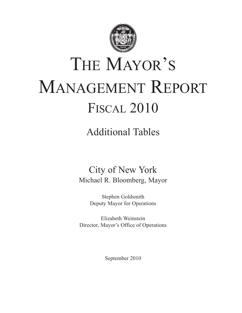

# THE MAYOR'S MANAGEMENT REPORT FISCAL 2010

## Additional Tables

## City of New York Michael R. Bloomberg, Mayor

Stephen Goldsmith Deputy Mayor for Operations

Elizabeth Weinstein Director, Mayor's Office of Operations

September 2010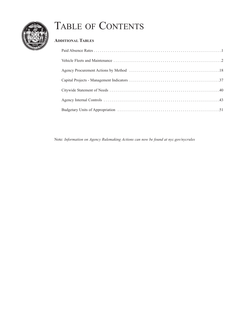

## TABLE OF CONTENTS

## **ADDITIONAL TABLES**

Note: *Information on Agency Rulemaking Actions can now be found at nyc.gov/nycrules*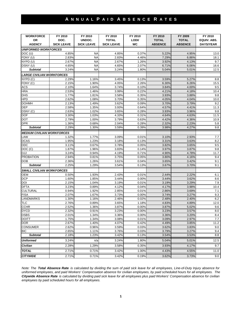## **A N N U A L P A I D A B S E N C E R A T E S**

| <b>WORKFORCE</b>                  | FY 2010           | FY 2010           | FY 2010           | FY 2010 | FY 2010        | FY 2009        | FY 2010          |
|-----------------------------------|-------------------|-------------------|-------------------|---------|----------------|----------------|------------------|
| OR                                | DOC.              | UNDOC.            | <b>TOTAL</b>      | LODI/   | <b>TOTAL</b>   | <b>TOTAL</b>   | EQUIV. ABS.      |
| <b>AGENCY</b>                     | <b>SICK LEAVE</b> | <b>SICK LEAVE</b> | <b>SICK LEAVE</b> | WC      | <b>ABSENCE</b> | <b>ABSENCE</b> | <b>DAYS/YEAR</b> |
| <b>UNIFORMED WORKFORCES</b>       |                   |                   |                   |         |                |                |                  |
| DOC (U)                           | 4.85%             | <b>NA</b>         | 4.85%             | 0.37%   | 5.22%          | 4.95%          | 13.0             |
| FDNY (U)                          | 2.83%             | <b>NA</b>         | 2.83%             | 4.46%   | 7.29%          | 6.86%          | 18.1             |
| NYPD (U)                          | 2.67%             | <b>NA</b>         | 2.67%             | 1.26%   | 3.92%          | 4.13%          | 9.7              |
| DSNY (U)                          | 4.65%             | <b>NA</b>         | 4.65%             | 2.07%   | 6.71%          | 6.06%          | 16.6             |
| <b>Subtotal</b>                   | 3.24%             | <b>NA</b>         | 3.24%             | 1.80%   | 5.04%          | 5.01%          | 12.5             |
|                                   |                   |                   |                   |         |                |                |                  |
| <b>LARGE CIVILIAN WORKFORCES</b>  |                   |                   |                   |         |                |                |                  |
| NYPD (C)                          | 2.29%             | 1.16%             | 3.45%             | 0.13%   | 3.59%          | 5.27%          | 8.8              |
| FDNY (C)                          | 2.15%             | 1.90%             | 4.05%             | 2.26%   | 6.30%          | 6.26%          | 15.5             |
| <b>ACS</b>                        | 2.10%             | 1.64%             | 3.74%             | 0.10%   | 3.84%          | 4.00%          | 9.5              |
| <b>HRA</b>                        | 2.53%             | 1.46%             | 3.99%             | 0.22%   | 4.21%          | 4.18%          | 10.4             |
| <b>DHS</b>                        | 1.77%             | 1.81%             | 3.58%             | 0.35%   | 3.93%          | 3.88%          | 9.8              |
| <b>HPD</b>                        | 2.62%             | 1.08%             | 3.70%             | 0.35%   | 4.05%          | 4.04%          | 10.0             |
| <b>DOHMH</b>                      | 2.13%             | 1.49%             | 3.62%             | 0.09%   | 3.70%          | 3.79%          | 9.2              |
| <b>DEP</b>                        | 2.58%             | 1.35%             | 3.93%             | 0.64%   | 4.57%          | 4.41%          | 11.3             |
| DSNY (C)                          | 2.63%             | 1.02%             | 3.65%             | 0.28%   | 3.93%          | 3.96%          | 9.8              |
| <b>DOF</b>                        | 3.30%             | 1.03%             | 4.33%             | 0.31%   | 4.64%          | 4.63%          | 11.5             |
| <b>DOT</b>                        | 2.79%             | 1.00%             | 3.79%             | 0.63%   | 4.42%          | 4.36%          | 10.9             |
| <b>DPR</b>                        | 1.36%             | 0.68%             | 2.04%             | 0.28%   | 2.32%          | 2.23%          | 5.8              |
| <b>Subtotal</b>                   | 2.29%             | 1.30%             | 3.59%             | 0.39%   | 3.98%          | 4.27%          | 9.8              |
| <b>MEDIUM CIVILIAN WORKFORCES</b> |                   |                   |                   |         |                |                |                  |
| LAW                               | 1.32%             | 1.77%             | 3.09%             | 0.01%   | 3.10%          | 2.93%          | 7.7              |
| <b>DCAS</b>                       | 1.95%             | 1.23%             | 3.18%             | 0.13%   | 3.31%          | 3.63%          | 8.2              |
| <b>DDC</b>                        | 3.11%             | 0.67%             | 3.78%             | 0.05%   | 3.82%          | 3.65%          | 9.5              |
| DOC(C)                            | 1.87%             | 1.96%             | 3.83%             | 0.14%   | 3.97%          | 3.87%          | 9.8              |
|                                   |                   |                   | 4.19%             |         |                |                |                  |
| <b>DJJ</b>                        | 3.24%             | 0.94%             |                   | 0.71%   | 4.90%          | 4.78%          | 11.7             |
| <b>PROBATION</b>                  | 2.94%             | 0.81%             | 3.75%             | 0.05%   | 3.80%          | 4.16%          | 9.4              |
| <b>DOB</b><br><b>Subtotal</b>     | 2.36%<br>2.25%    | 1.26%             | 3.61%<br>3.54%    | 0.04%   | 3.65%<br>3.67% | 3.42%          | 9.1<br>9.1       |
|                                   |                   | 1.29%             |                   | 0.13%   |                | 3.70%          |                  |
| <b>SMALL CIVILIAN WORKFORCES</b>  |                   |                   |                   |         |                |                |                  |
| <b>OEM</b>                        | 0.50%             | 1.93%             | 2.43%             | 0.01%   | 2.44%          | 2.22%          | 6.1              |
| <b>DCP</b>                        | 1.60%             | 1.85%             | 3.44%             | 0.00%   | 3.44%          | 3.62%          | 8.6              |
| DOI                               | 2.15%             | 1.04%             | 3.19%             | 0.01%   | 3.19%          | 3.29%          | 7.9              |
| <b>DFTA</b>                       | 3.23%             | 0.89%             | 4.12%             | 0.04%   | 4.17%          | 3.98%          | 10.4             |
| <b>CULTURAL</b>                   | 0.94%             | 1.92%             | 2.85%             | 0.01%   | 2.86%          | 3.69%          | 7.1              |
| <b>FISA</b>                       | 2.07%             | 1.67%             | 3.73%             | 0.00%   | 3.74%          | 3.27%          | 9.3              |
| <b>LANDMARKS</b>                  | 1.30%             | 1.16%             | 2.46%             | 0.02%   | 2.48%          | 2.40%          | 6.2              |
| <b>TLC</b>                        | 2.76%             | 0.89%             | 3.65%             | 1.18%   | 4.83%          | 4.89%          | 12.0             |
| <b>CCHR</b>                       | 2.52%             | 1.36%             | 3.87%             | 0.00%   | 3.87%          | 5.02%          | 9.6              |
| <b>DYCD</b>                       | 2.32%             | 0.91%             | 3.23%             | 0.00%   | 3.23%          | 3.57%          | 8.0              |
| <b>DSBS</b>                       | 2.01%             | 1.34%             | 3.36%             | 0.00%   | 3.36%          | 3.20%          | 8.4              |
| <b>DOITT</b>                      | 1.75%             | 1.34%             | 3.08%             | 0.01%   | 3.09%          | 2.97%          | 7.7              |
| <b>DOR</b>                        | 2.67%             | 1.40%             | 4.07%             | 0.42%   | 4.49%          | 3.85%          | 11.2             |
| <b>CONSUMER</b>                   | 2.62%             | 0.96%             | 3.59%             | 0.03%   | 3.62%          | 3.83%          | 9.0              |
| <b>BIC</b>                        | 2.65%             | 1.11%             | 3.76%             | 0.03%   | 3.79%          | 3.27%          | 9.4              |
| <b>Subtotal</b>                   | 2.18%             | 1.23%             | 3.42%             | 0.13%   | 3.54%          | 3.53%          | 8.8              |
| <b>Uniformed</b>                  | 3.24%             | n/a               | 3.24%             | 1.80%   | 5.04%          | 5.01%          | 12.5             |
| <b>Civilian</b>                   | 2.28%             | 1.29%             | 3.58%             | 0.35%   | 3.93%          | 4.17%          | 9.7              |
|                                   |                   |                   |                   |         |                |                |                  |
| <b>TOTAL</b>                      | 2.71%             | 0.71%             | 3.42%             | 1.00%   | 4.43%          | 4.55%          | 11.0             |
| <b>CITYWIDE</b>                   | 2.71%             | 0.71%             | 3.42%             | 0.19%   | 3.62%          | 3.73%          | 9.0              |

*Note: The Total Absence Rate is calculated by dividing the sum of paid sick leave for all employees, Line-of-Duty Injury absence for uniformed employees, and paid Workers' Compensation absence for civilian employees, by paid scheduled hours for all employees. The Citywide Absence Rate is calculated by dividing paid sick leave for all employees plus paid Workers' Compensation absence for civilian employees by paid scheduled hours for all employees.*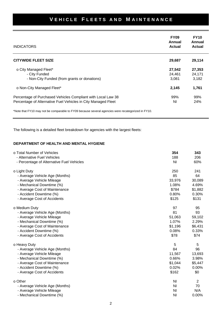| <b>INDICATORS</b>                                                                                                             | <b>FY09</b><br>Annual<br>Actual | <b>FY10</b><br>Annual<br><b>Actual</b> |
|-------------------------------------------------------------------------------------------------------------------------------|---------------------------------|----------------------------------------|
| <b>CITYWIDE FLEET SIZE</b>                                                                                                    | 29,687                          | 29,114                                 |
| o City Managed Fleet*<br>- City Funded<br>- Non-City Funded (from grants or donations)                                        | 27,542<br>24,461<br>3.081       | 27,353<br>24,171<br>3,182              |
| o Non-City Managed Fleet*                                                                                                     | 2,145                           | 1,761                                  |
| Percentage of Purchased Vehicles Compliant with Local Law 38<br>Percentage of Alternative Fuel Vehicles in City Managed Fleet | 99%<br>ΝI                       | 99%<br>24%                             |

\*Note that FY10 may not be comparable to FY09 because several agencies were recategorized in FY10.

The following is a detailed fleet breakdown for agencies with the largest fleets:

#### **DEPARTMENT OF HEALTH AND MENTAL HYGIENE**

| o Total Number of Vehicles                | 354            | 343     |
|-------------------------------------------|----------------|---------|
| - Alternative Fuel Vehicles               | 188            | 206     |
| - Percentage of Alternative Fuel Vehicles | N <sub>l</sub> | 60%     |
| o Light Duty                              | 250            | 241     |
| - Average Vehicle Age (Months)            | 85             | 64      |
| - Average Vehicle Mileage                 | 33,976         | 30,089  |
| - Mechanical Downtime (%)                 | 1.08%          | 4.69%   |
| - Average Cost of Maintenance             | \$784          | \$1,882 |
| - Accident Downtime (%)                   | 0.80%          | 0.30%   |
| - Average Cost of Accidents               | \$125          | \$131   |
| o Medium Duty                             | 97             | 95      |
| - Average Vehicle Age (Months)            | 81             | 93      |
| - Average Vehicle Mileage                 | 51,063         | 59,102  |
| - Mechanical Downtime (%)                 | 1.07%          | 2.29%   |
| - Average Cost of Maintenance             | \$1,196        | \$6,431 |
| - Accident Downtime (%)                   | 0.08%          | 0.33%   |
| - Average Cost of Accidents               | \$78           | \$74    |
| o Heavy Duty                              | 5              | 5       |
| - Average Vehicle Age (Months)            | 84             | 96      |
| - Average Vehicle Mileage                 | 11,567         | 13,693  |
| - Mechanical Downtime (%)                 | 0.66%          | 3.98%   |
| - Average Cost of Maintenance             | \$1,044        | \$5,447 |
| - Accident Downtime (%)                   | 0.02%          | 0.00%   |
| - Average Cost of Accidents               | \$162          | \$0     |
| o Other                                   | N <sub>l</sub> | 2       |
| - Average Vehicle Age (Months)            | ΝI             | 70      |
| - Average Vehicle Mileage                 | ΝI             | N/A     |
| - Mechanical Downtime (%)                 | ΝI             | 0.00%   |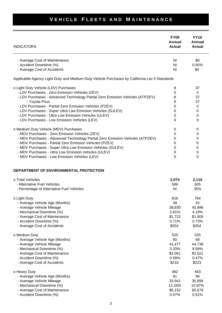| <b>INDICATORS</b>                                                                             | <b>FY09</b><br>Annual<br><b>Actual</b> | <b>FY10</b><br>Annual<br>Actual |
|-----------------------------------------------------------------------------------------------|----------------------------------------|---------------------------------|
| - Average Cost of Maintenance                                                                 | ΝI                                     | \$0                             |
| - Accident Downtime (%)                                                                       | ΝI                                     | $0.00\%$                        |
| - Average Cost of Accidents                                                                   | <b>NI</b>                              | \$0                             |
| Applicable Agency Light-Duty and Medium-Duty Vehicle Purchases by California Lev II Standards |                                        |                                 |
| o Light Duty Vehicle (LDV) Purchases                                                          | 8                                      | 37                              |
| - LDV Purchases - Zero Emission Vehicles (ZEV)                                                | $\Omega$                               | 0                               |
| - LDV Purchases - Advanced Technology Partial Zero Emission Vehicles (ATPZEV)                 | 8                                      | 37                              |
| - Toyota Prius                                                                                | 8                                      | 37                              |
| - LDV Purchases - Partial Zero Emission Vehicles (PZEV)                                       | 0                                      | 0                               |
| - LDV Purchases - Super Ultra Low Emission Vehicles (SULEV)                                   | $\Omega$                               | 0                               |
| - LDV Purchases - Ultra Low Emission Vehicles (ULEV)                                          | $\Omega$                               | 0                               |
| - LDV Purchases - Low Emission Vehicles (LEV)                                                 | 0                                      | $\Omega$                        |
| o Medium Duty Vehicle (MDV) Purchases                                                         | $\Omega$                               | 0                               |
| - MDV Purchases - Zero Emission Vehicles (ZEV)                                                | 0                                      | 0                               |
| - MDV Purchases - Advanced Technology Partial Zero Emission Vehicles (ATPZEV)                 | 0                                      | 0                               |
| - MDV Purchases - Partial Zero Emission Vehicles (PZEV)                                       | 0                                      | 0                               |
| - MDV Purchases - Super Ultra Low Emission Vehicles (SULEV)                                   | 0                                      | 0                               |
| - MDV Purchases - Ultra Low Emission Vehicles (ULEV)                                          | 0                                      | 0                               |
| - MDV Purchases - Low Emission Vehicles (LEV)                                                 | 0                                      | 0                               |
|                                                                                               |                                        |                                 |

#### **DEPARTMENT OF ENVIRONMENTAL PROTECTION**

| o Total Vehicles                          | 2,074   | 2,110   |
|-------------------------------------------|---------|---------|
| - Alternative Fuel Vehicles               | 586     | 605     |
| - Percentage of Alternative Fuel Vehicles | ΝI      | 35%     |
| o Light Duty                              | 816     | 764     |
| - Average Vehicle Age (Months)            | 49      | 52      |
| - Average Vehicle Mileage                 | 38,830  | 45,996  |
| - Mechanical Downtime (%)                 | 3.81%   | 4.19%   |
| - Average Cost of Maintenance             | \$1,722 | \$1,905 |
| - Accident Downtime (%)                   | 0.71%   | 0.73%   |
| - Average Cost of Accidents               | \$254   | \$254   |
| o Medium Duty                             | 525     | 525     |
| - Average Vehicle Age (Months)            | 60      | 69      |
| - Average Vehicle Mileage                 | 41,477  | 44,738  |
| - Mechanical Downtime (%)                 | 3.33%   | 8.58%   |
| - Average Cost of Maintenance             | \$2,061 | \$2,521 |
| - Accident Downtime (%)                   | 0.58%   | 0.47%   |
| - Average Cost of Accidents               | \$218   | \$223   |
| o Heavy Duty                              | 462     | 463     |
| - Average Vehicle Age (Months)            | 91      | 96      |
| - Average Vehicle Mileage                 | 33,941  | 35,894  |
| - Mechanical Downtime (%)                 | 12.26%  | 10.97%  |
| - Average Cost of Maintenance             | \$5,152 | \$5,679 |
| - Accident Downtime (%)                   | 0.57%   | 0.61%   |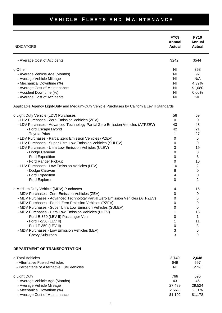| <b>INDICATORS</b>                                                                             | <b>FY09</b><br>Annual<br><b>Actual</b> | <b>FY10</b><br>Annual<br><b>Actual</b> |
|-----------------------------------------------------------------------------------------------|----------------------------------------|----------------------------------------|
| - Average Cost of Accidents                                                                   | \$242                                  | \$544                                  |
| o Other                                                                                       | ΝI                                     | 358                                    |
| - Average Vehicle Age (Months)                                                                | NI                                     | 92                                     |
| - Average Vehicle Mileage                                                                     | <b>NI</b>                              | N/A                                    |
| - Mechanical Downtime (%)                                                                     | ΝI                                     | 4.39%                                  |
| - Average Cost of Maintenance                                                                 | N <sub>l</sub>                         | \$1,080                                |
| - Accident Downtime (%)                                                                       | N <sub>l</sub>                         | 0.00%                                  |
| - Average Cost of Accidents                                                                   | ΝI                                     | \$0                                    |
| Applicable Agency Light-Duty and Medium-Duty Vehicle Purchases by California Lev II Standards |                                        |                                        |
| o Light Duty Vehicle (LDV) Purchases                                                          | 56                                     | 69                                     |
| - LDV Purchases - Zero Emission Vehicles (ZEV)                                                | 0                                      | 0                                      |
| - LDV Purchases - Advanced Technology Partial Zero Emission Vehicles (ATPZEV)                 | 43                                     | 48                                     |
| - Ford Escape Hybrid                                                                          | 42                                     | 21                                     |
| - Toyota Prius                                                                                | 1                                      | 27                                     |
| - LDV Purchases - Partial Zero Emission Vehicles (PZEV)                                       | 0                                      | 0                                      |
| - LDV Purchases - Super Ultra Low Emission Vehicles (SULEV)                                   | 0                                      | 0                                      |
| - LDV Purchases - Ultra Low Emission Vehicles (ULEV)                                          | 3                                      | 19                                     |
| - Dodge Caravan                                                                               | 0                                      | 3                                      |
| - Ford Expedition                                                                             | 0                                      | 6                                      |
| - Ford Ranger Pick-up                                                                         | 0                                      | 10                                     |
| - LDV Purchases - Low Emission Vehicles (LEV)                                                 | 10                                     | 2                                      |
| - Dodge Caravan                                                                               | 6                                      | 0                                      |
| - Ford Expedition                                                                             | 4                                      | 0                                      |
| - Ford Explorer                                                                               | 0                                      | 2                                      |
| o Medium Duty Vehicle (MDV) Purchases                                                         | 4                                      | 15                                     |
| - MDV Purchases - Zero Emission Vehicles (ZEV)                                                | 0                                      | 0                                      |
| - MDV Purchases - Advanced Technology Partial Zero Emission Vehicles (ATPZEV)                 | 0                                      | $\pmb{0}$                              |
| - MDV Purchases - Partial Zero Emission Vehicles (PZEV)                                       | 0                                      | 0                                      |
| - MDV Purchases - Super Ultra Low Emission Vehicles (SULEV)                                   | 0                                      | 0                                      |
| - MDV Purchases - Ultra Low Emission Vehicles (ULEV)                                          | 1                                      | 15                                     |
| - Ford E-350 (LEV II) Passenger Van                                                           | 0                                      | 1                                      |
| - Ford F-250 (LEV II)                                                                         | 1<br>$\pmb{0}$                         | 11                                     |
| - Ford F-350 (LEV II)<br>- MDV Purchases - Low Emission Vehicles (LEV)                        | 3                                      | 3<br>0                                 |
| - Chevy Suburban                                                                              | 3                                      | 0                                      |
|                                                                                               |                                        |                                        |
| DEPARTMENT OF TRANSPORTATION                                                                  |                                        |                                        |

| 2.749   | 2,648   |
|---------|---------|
| 649     | 597     |
| ΝI      | 27%     |
| 766     | 695     |
| 43      | 46      |
| 27.489  | 29.524  |
| 2.56%   | 2.51%   |
| \$1.102 | \$1,178 |
|         |         |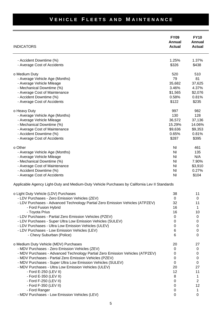| <b>INDICATORS</b>                                                                                                               | <b>FY09</b><br><b>Annual</b><br><b>Actual</b> | <b>FY10</b><br>Annual<br><b>Actual</b> |
|---------------------------------------------------------------------------------------------------------------------------------|-----------------------------------------------|----------------------------------------|
| - Accident Downtime (%)                                                                                                         | 1.25%                                         | 1.37%                                  |
| - Average Cost of Accidents                                                                                                     | \$326                                         | \$438                                  |
| o Medium Duty                                                                                                                   | 520                                           | 510                                    |
| - Average Vehicle Age (Months)                                                                                                  | 79                                            | 81                                     |
| - Average Vehicle Mileage                                                                                                       | 35,682                                        | 37,625                                 |
| - Mechanical Downtime (%)                                                                                                       | 3.46%                                         | 4.37%                                  |
| - Average Cost of Maintenance                                                                                                   | \$1,565                                       | \$2,076                                |
| - Accident Downtime (%)                                                                                                         | 0.58%                                         | 0.81%                                  |
| - Average Cost of Accidents                                                                                                     | \$122                                         | \$235                                  |
| o Heavy Duty                                                                                                                    | 997                                           | 982                                    |
| - Average Vehicle Age (Months)                                                                                                  | 130                                           | 128                                    |
| - Average Vehicle Mileage                                                                                                       | 36,572                                        | 37,136                                 |
| - Mechanical Downtime (%)                                                                                                       | 15.29%                                        | 14.06%                                 |
| - Average Cost of Maintenance                                                                                                   | \$9,636                                       | \$9,353                                |
| - Accident Downtime (%)                                                                                                         | 0.65%                                         | 0.81%                                  |
| - Average Cost of Accidents                                                                                                     | \$287                                         | \$395                                  |
| o Other                                                                                                                         | N <sub>l</sub>                                | 461                                    |
| - Average Vehicle Age (Months)                                                                                                  | N <sub>l</sub>                                | 135                                    |
| - Average Vehicle Mileage                                                                                                       | N <sub>l</sub>                                | N/A                                    |
| - Mechanical Downtime (%)                                                                                                       | N <sub>l</sub>                                | 7.90%                                  |
| - Average Cost of Maintenance                                                                                                   | N <sub>l</sub>                                | \$3,910                                |
| - Accident Downtime (%)                                                                                                         | N <sub>l</sub>                                | 0.27%                                  |
| - Average Cost of Accidents                                                                                                     | N <sub>l</sub>                                | \$104                                  |
| Applicable Agency Light-Duty and Medium-Duty Vehicle Purchases by California Lev II Standards                                   |                                               |                                        |
| o Light Duty Vehicle (LDV) Purchases                                                                                            | 38                                            | 11                                     |
| - LDV Purchases - Zero Emission Vehicles (ZEV)                                                                                  | $\pmb{0}$                                     | $\pmb{0}$                              |
| - LDV Purchases - Advanced Technology Partial Zero Emission Vehicles (ATPZEV)                                                   | 32                                            | 11                                     |
| - Ford Fusion Hybrid                                                                                                            | 16                                            | 1                                      |
| - Toyota Prius                                                                                                                  | 16                                            | 10                                     |
| - LDV Purchases - Partial Zero Emission Vehicles (PZEV)                                                                         | 0                                             | 0                                      |
| - LDV Purchases - Super Ultra Low Emission Vehicles (SULEV)<br>- LDV Purchases - Ultra Low Emission Vehicles (ULEV)             | 0<br>0                                        | 0<br>0                                 |
| - LDV Purchases - Low Emission Vehicles (LEV)                                                                                   | 6                                             | 0                                      |
| - Chevy Suburban (Police)                                                                                                       | 6                                             | 0                                      |
|                                                                                                                                 |                                               |                                        |
| o Medium Duty Vehicle (MDV) Purchases                                                                                           | 20                                            | 27                                     |
| - MDV Purchases - Zero Emission Vehicles (ZEV)<br>- MDV Purchases - Advanced Technology Partial Zero Emission Vehicles (ATPZEV) | 0<br>0                                        | 0<br>0                                 |
| - MDV Purchases - Partial Zero Emission Vehicles (PZEV)                                                                         | 0                                             | 0                                      |
| - MDV Purchases - Super Ultra Low Emission Vehicles (SULEV)                                                                     | 0                                             | 0                                      |
| - MDV Purchases - Ultra Low Emission Vehicles (ULEV)                                                                            | 20                                            | 27                                     |
| - Ford E-250 (LEV II)                                                                                                           | 12                                            | 11                                     |
| - Ford E-350 (LEV II)                                                                                                           | 8                                             | 1                                      |
| - Ford F-250 (LEV II)                                                                                                           | 0                                             | $\overline{c}$                         |
| - Ford F-350 (LEV II)                                                                                                           | 0                                             | 12                                     |
| - Ford Ranger                                                                                                                   | 0                                             | 1                                      |
| - MDV Purchases - Low Emission Vehicles (LEV)                                                                                   | 0                                             | $\boldsymbol{0}$                       |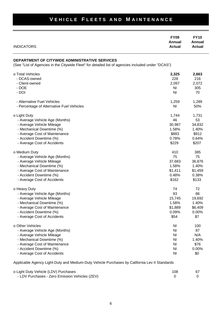### **FY09 FY10 Annual Annual** INDICATORS **Actual Actual DEPARTMENT OF CITYWIDE ADMINISTRATIVE SERVICES** (See "List of Agencies in the Citywide Fleet" for detailed list of agencies included under "DCAS") o Total Vehicles **2,325 2,663** - DCAS-owned 228 216 - Client-owned 2,097 2,072 - DOE NI 305 - DOI NI 70 - Alternative Fuel Vehicles **1,289** 1,289 1,289 - Percentage of Alternative Fuel Vehicles NI 60% and Night Alternative Fuel Vehicles NI 50% o Light Duty 1,744 1,731 - Average Vehicle Age (Months) 46 53 - Average Vehicle Mileage 30,987 34,832 - Mechanical Downtime (%) 1.58% 1.40% - Average Cost of Maintenance **\$883** \$912 - Accident Downtime (%) and the contract of the contract of the contract of the contract of the contract of the contract of the contract of the contract of the contract of the contract of the contract of the contract of th - Average Cost of Accidents  $$207$ o Medium Duty **410** 385 - Average Vehicle Age (Months) 75 75 - Average Vehicle Mileage 37,683 36,876 - Mechanical Downtime (%) 1.58% 1.40% - Average Cost of Maintenance **\$1,411** \$1,459 - Accident Downtime (%) 0.48% 0.38% - Average Cost of Accidents  $$133$ o Heavy Duty 72 - Average Vehicle Age (Months) 86 - Average Vehicle Mileage 15,745 19,692 - Mechanical Downtime (%) 1.58% 1.40% - Average Cost of Maintenance **\$1,889** \$6,409 - Accident Downtime (%) 0.00% 0.00% - Average Cost of Accidents  $$7 \overline$54$   $$7$ o Other Vehicles **NI 100** - Average Vehicle Age (Months) Ni 87 - Average Vehicle Mileage National According to the Mileague of the Mileague of the Mileague of the Mileague of the Mileague of the Mileague of the Mileague of the Mileague of the Mileague of the Mileague of the Mileague o - Mechanical Downtime (%) and the state of the state of the state of the state of the state of the state of the state of the state of the state of the state of the state of the state of the state of the state of the state - Average Cost of Maintenance **NI \$76** and \$76 - Accident Downtime (%) and the state of the state of the state of the state of the state of the state of the state of the state of the state of the state of the state of the state of the state of the state of the state of - Average Cost of Accidents **NI \$0** and  $\sim$  80 and  $\sim$  80 and  $\sim$  80 and  $\sim$  80 and  $\sim$  80 and  $\sim$  80 and  $\sim$  80 and  $\sim$  80 and  $\sim$  80 and  $\sim$  80 and  $\sim$  80 and  $\sim$  80 and  $\sim$  80 and  $\sim$  80 and  $\sim$  80 and  $\$

**VEHICLE FLEETS AND MAINTENANCE** 

Applicable Agency Light-Duty and Medium-Duty Vehicle Purchases by California Lev II Standards

| o Light Duty Vehicle (LDV) Purchases           | 108 |  |
|------------------------------------------------|-----|--|
| - LDV Purchases - Zero Emission Vehicles (ZEV) |     |  |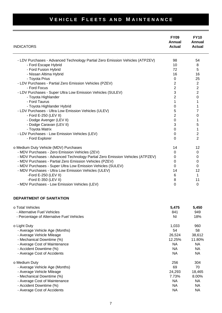| <b>INDICATORS</b>                                                             | <b>FY09</b><br>Annual<br><b>Actual</b> | <b>FY10</b><br>Annual<br><b>Actual</b> |
|-------------------------------------------------------------------------------|----------------------------------------|----------------------------------------|
| - LDV Purchases - Advanced Technology Partial Zero Emission Vehicles (ATPZEV) | 98                                     | 54                                     |
| - Ford Escape Hybrid                                                          | 10                                     | 8                                      |
| - Ford Fusion Hybrid                                                          | 72                                     | 5                                      |
|                                                                               | 16                                     | 16                                     |
| - Nissan Altima Hybrid                                                        |                                        |                                        |
| - Toyota Prius                                                                | 0<br>$\overline{2}$                    | 25                                     |
| - LDV Purchases - Partial Zero Emission Vehicles (PZEV)                       |                                        | $\overline{2}$                         |
| - Ford Focus                                                                  | $\overline{2}$                         | $\overline{2}$                         |
| - LDV Purchases - Super Ultra Low Emission Vehicles (SULEV)                   | 3                                      | $\overline{2}$                         |
| - Toyota Highlander                                                           | 2                                      | 0                                      |
| - Ford Taurus                                                                 | 1                                      | 1                                      |
| - Toyota Highlander Hybrid                                                    | 0                                      |                                        |
| - LDV Purchases - Ultra Low Emission Vehicles (ULEV)                          | 5                                      | 7                                      |
| - Ford E-250 (LEV II)                                                         | $\overline{2}$                         | 0                                      |
| - Dodge Avenger (LEV II)                                                      | $\mathbf 0$                            | 1                                      |
| - Dodge Caravan (LEV II)                                                      | 3                                      | 5                                      |
| - Toyota Matrix                                                               | 0                                      | 1                                      |
| - LDV Purchases - Low Emission Vehicles (LEV)                                 | 0                                      | $\overline{2}$                         |
| - Ford Explorer                                                               | $\Omega$                               | $\overline{2}$                         |
| o Medium Duty Vehicle (MDV) Purchases                                         | 14                                     | 12                                     |
| - MDV Purchases - Zero Emission Vehicles (ZEV)                                | 0                                      | 0                                      |
| - MDV Purchases - Advanced Technology Partial Zero Emission Vehicles (ATPZEV) | 0                                      | 0                                      |
| - MDV Purchases - Partial Zero Emission Vehicles (PZEV)                       | 0                                      | 0                                      |
| - MDV Purchases - Super Ultra Low Emission Vehicles (SULEV)                   | 0                                      | 0                                      |
| - MDV Purchases - Ultra Low Emission Vehicles (ULEV)                          | 14                                     | 12                                     |
| -Ford E-250 (LEV II)                                                          | 6                                      | 1                                      |
| -Ford E-350 (LEV II)                                                          | 8                                      | 11                                     |
| - MDV Purchases - Low Emission Vehicles (LEV)                                 | $\Omega$                               | 0                                      |

#### **DEPARTMENT OF SANITATION**

| o Total Vehicles<br>- Alternative Fuel Vehicles | 5,475<br>841 | 5,450<br>949 |
|-------------------------------------------------|--------------|--------------|
| - Percentage of Alternative Fuel Vehicles       | ΝI           | 18%          |
| o Light Duty                                    | 1,033        | 960          |
| - Average Vehicle Age (Months)                  | 54           | 58           |
| - Average Vehicle Mileage                       | 26,524       | 38,612       |
| - Mechanical Downtime (%)                       | 12.25%       | 11.80%       |
| - Average Cost of Maintenance                   | NA.          | NA.          |
| - Accident Downtime (%)                         | NA.          | NA.          |
| - Average Cost of Accidents                     | NA.          | NA.          |
| o Medium Duty                                   | 256          | 304          |
| - Average Vehicle Age (Months)                  | 69           | 70           |
| - Average Vehicle Mileage                       | 24,293       | 18,465       |
| - Mechanical Downtime (%)                       | 7.73%        | 8.00%        |
| - Average Cost of Maintenance                   | NA.          | NA.          |
| - Accident Downtime (%)                         | NA.          | NA.          |
| - Average Cost of Accidents                     | <b>NA</b>    | NA.          |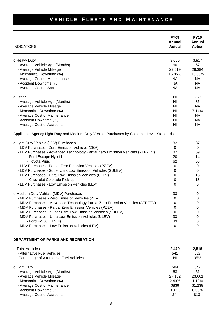| <b>INDICATORS</b>                                                                             | <b>FY09</b><br>Annual<br><b>Actual</b> | <b>FY10</b><br>Annual<br><b>Actual</b> |
|-----------------------------------------------------------------------------------------------|----------------------------------------|----------------------------------------|
| o Heavy Duty                                                                                  | 3,655                                  | 3,917                                  |
| - Average Vehicle Age (Months)                                                                | 60                                     | 57                                     |
| - Average Vehicle Mileage                                                                     | 29,519                                 | 26,384                                 |
| - Mechanical Downtime (%)                                                                     | 15.95%                                 | 16.59%                                 |
| - Average Cost of Maintenance                                                                 | <b>NA</b>                              | <b>NA</b>                              |
| - Accident Downtime (%)                                                                       | <b>NA</b>                              | <b>NA</b>                              |
| - Average Cost of Accidents                                                                   | <b>NA</b>                              | <b>NA</b>                              |
| o Other                                                                                       | N <sub>l</sub>                         | 269                                    |
| - Average Vehicle Age (Months)                                                                | N <sub>l</sub>                         | 85                                     |
| - Average Vehicle Mileage                                                                     | ΝI                                     | <b>NA</b>                              |
| - Mechanical Downtime (%)                                                                     | N <sub>l</sub>                         | 7.14%                                  |
| - Average Cost of Maintenance                                                                 | N <sub>l</sub>                         | <b>NA</b>                              |
| - Accident Downtime (%)                                                                       | ΝI                                     | <b>NA</b>                              |
| - Average Cost of Accidents                                                                   | N <sub>l</sub>                         | <b>NA</b>                              |
| Applicable Agency Light-Duty and Medium-Duty Vehicle Purchases by California Lev II Standards |                                        |                                        |
| o Light Duty Vehicle (LDV) Purchases                                                          | 82                                     | 87                                     |
| - LDV Purchases - Zero Emission Vehicles (ZEV)                                                | 0                                      | 0                                      |
| - LDV Purchases - Advanced Technology Partial Zero Emission Vehicles (ATPZEV)                 | 82                                     | 69                                     |
| - Ford Escape Hybrid                                                                          | 20                                     | 14                                     |
| - Toyota Prius                                                                                | 62                                     | 55                                     |
| - LDV Purchases - Partial Zero Emission Vehicles (PZEV)                                       | 0                                      | 0                                      |
| - LDV Purchases - Super Ultra Low Emission Vehicles (SULEV)                                   | 0                                      | 0                                      |
| - LDV Purchases - Ultra Low Emission Vehicles (ULEV)                                          | 0                                      | 18                                     |
| - Chevrolet Colorado Pick-up                                                                  | 0                                      | 18                                     |
| - LDV Purchases - Low Emission Vehicles (LEV)                                                 | 0                                      | 0                                      |
| o Medium Duty Vehicle (MDV) Purchases                                                         | 33                                     | 0                                      |
| - MDV Purchases - Zero Emission Vehicles (ZEV)                                                | 0                                      | 0                                      |
| - MDV Purchases - Advanced Technology Partial Zero Emission Vehicles (ATPZEV)                 | 0                                      | 0                                      |
| - MDV Purchases - Partial Zero Emission Vehicles (PZEV)                                       | 0                                      | 0                                      |
| - MDV Purchases - Super Ultra Low Emission Vehicles (SULEV)                                   | 0                                      | 0                                      |
| - MDV Purchases - Ultra Low Emission Vehicles (ULEV)                                          | 33                                     | 0                                      |
| - Ford F-250 (LEV II)                                                                         | 33                                     | 0                                      |
| - MDV Purchases - Low Emission Vehicles (LEV)                                                 | 0                                      | 0                                      |
| DEPARTMENT OF PARKS AND RECREATION                                                            |                                        |                                        |
| o Total Vehicles                                                                              | 2,470                                  | 2,518                                  |
| - Alternative Fuel Vehicles                                                                   | 541                                    | 627                                    |
| - Percentage of Alternative Fuel Vehicles                                                     | ΝI                                     | 35%                                    |
| o Light Duty                                                                                  | 504                                    | 547                                    |
| - Average Vehicle Age (Months)                                                                | 63                                     | 51                                     |
| - Average Vehicle Mileage                                                                     | 27,102                                 | 23,661                                 |
| - Mechanical Downtime (%)                                                                     | 2.49%                                  | 1.10%                                  |
| - Average Cost of Maintenance                                                                 | \$836                                  | \$1,239                                |
| - Accident Downtime (%)                                                                       | 0.07%                                  | 0.08%                                  |
| - Average Cost of Accidents                                                                   | \$4                                    | \$13                                   |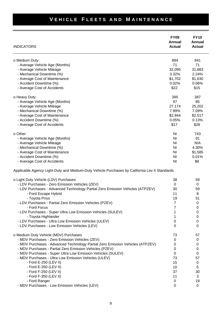| <b>INDICATORS</b>                                                                             | <b>FY09</b><br>Annual<br><b>Actual</b> | <b>FY10</b><br>Annual<br><b>Actual</b> |
|-----------------------------------------------------------------------------------------------|----------------------------------------|----------------------------------------|
| o Medium Duty                                                                                 | 894                                    | 841                                    |
| - Average Vehicle Age (Months)                                                                | 71                                     | 71                                     |
| - Average Vehicle Mileage                                                                     | 32,095                                 | 31,883                                 |
| - Mechanical Downtime (%)                                                                     | 3.32%                                  | 2.24%                                  |
| - Average Cost of Maintenance                                                                 | \$1,702                                | \$1,630                                |
| - Accident Downtime (%)                                                                       | 0.02%                                  | 0.06%                                  |
| - Average Cost of Accidents                                                                   | \$22                                   | \$15                                   |
| o Heavy Duty                                                                                  | 395                                    | 387                                    |
| - Average Vehicle Age (Months)                                                                | 97                                     | 85                                     |
| - Average Vehicle Mileage                                                                     | 27,174                                 | 25,202                                 |
| - Mechanical Downtime (%)                                                                     | 7.99%                                  | 7.09%                                  |
| - Average Cost of Maintenance                                                                 | \$2,944                                | \$2,517                                |
| - Accident Downtime (%)                                                                       | 0.05%                                  | 0.13%                                  |
| - Average Cost of Accidents                                                                   | \$17                                   | \$28                                   |
|                                                                                               |                                        |                                        |
| o Other                                                                                       | N <sub>l</sub>                         | 743                                    |
| - Average Vehicle Age (Months)                                                                | N <sub>l</sub>                         | 91                                     |
| - Average Vehicle Mileage                                                                     | N <sub>l</sub>                         | N/A                                    |
| - Mechanical Downtime (%)                                                                     | N <sub>l</sub>                         | 4.30%                                  |
| - Average Cost of Maintenance                                                                 | N <sub>l</sub>                         | \$1,585                                |
| - Accident Downtime (%)                                                                       | N <sub>l</sub>                         | 0.01%                                  |
| - Average Cost of Accidents                                                                   | <b>NI</b>                              | \$8                                    |
| Applicable Agency Light-Duty and Medium-Duty Vehicle Purchases by California Lev II Standards |                                        |                                        |
| o Light Duty Vehicle (LDV) Purchases                                                          | 38                                     | 59                                     |
| - LDV Purchases - Zero Emission Vehicles (ZEV)                                                | 0                                      | 0                                      |
| - LDV Purchases - Advanced Technology Partial Zero Emission Vehicles (ATPZEV)                 | 30                                     | 59                                     |
| - Ford Escape Hybrid                                                                          | 11                                     | 8                                      |
| - Toyota Prius                                                                                | 19                                     | 51                                     |
| - LDV Purchases - Partial Zero Emission Vehicles (PZEV)                                       | 7                                      | 0                                      |
| - Ford Focus                                                                                  | 7                                      | 0                                      |
| - LDV Purchases - Super Ultra Low Emission Vehicles (SULEV)                                   |                                        | 0                                      |
| - Toyota Highlander                                                                           |                                        | 0                                      |
| - LDV Purchases - Ultra Low Emission Vehicles (ULEV)                                          | $\boldsymbol{0}$                       | 0                                      |
| - LDV Purchases - Low Emission Vehicles (LEV)                                                 | $\Omega$                               | 0                                      |
| o Medium Duty Vehicle (MDV) Purchases                                                         | 73                                     | 57                                     |
| - MDV Purchases - Zero Emission Vehicles (ZEV)                                                | 0                                      | 0                                      |
| - MDV Purchases - Advanced Technology Partial Zero Emission Vehicles (ATPZEV)                 | 0                                      | 0                                      |
| - MDV Purchases - Partial Zero Emission Vehicles (PZEV)                                       | 0                                      | 0                                      |
| - MDV Purchases - Super Ultra Low Emission Vehicles (SULEV)                                   | 0                                      | 0                                      |
| - MDV Purchases - Ultra Low Emission Vehicles (ULEV)                                          | 73                                     | 57                                     |
| - Ford E-250 (LEV II)                                                                         | 15                                     | 0                                      |
| - Ford E-350 (LEV II)                                                                         | 10                                     | 5                                      |
| - Ford F-250 (LEV II)                                                                         | 37                                     | 30                                     |
| - Ford F-350 (LEV II)                                                                         | 11                                     | 3                                      |
| - Ford Ranger                                                                                 | 0                                      | 19                                     |
| - MDV Purchases - Low Emission Vehicles (LEV)                                                 | 0                                      | 0                                      |
|                                                                                               |                                        |                                        |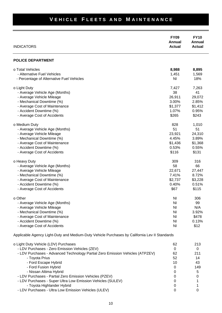| <b>INDICATORS</b>                                                                             | <b>FY09</b><br>Annual<br><b>Actual</b> | <b>FY10</b><br>Annual<br><b>Actual</b> |
|-----------------------------------------------------------------------------------------------|----------------------------------------|----------------------------------------|
| <b>POLICE DEPARTMENT</b>                                                                      |                                        |                                        |
| o Total Vehicles                                                                              | 8,988                                  | 8,895                                  |
| - Alternative Fuel Vehicles                                                                   | 1,451                                  | 1,569                                  |
| - Percentage of Alternative Fuel Vehicles                                                     | N <sub>l</sub>                         | 18%                                    |
| o Light Duty                                                                                  | 7,427                                  | 7,263                                  |
| - Average Vehicle Age (Months)                                                                | 38                                     | 41                                     |
| - Average Vehicle Mileage                                                                     | 26,911                                 | 29,072                                 |
| - Mechanical Downtime (%)                                                                     | 3.00%                                  | 2.85%                                  |
| - Average Cost of Maintenance                                                                 | \$1,377                                | \$1,412                                |
| - Accident Downtime (%)                                                                       | 1.07%                                  | 0.95%                                  |
| - Average Cost of Accidents                                                                   | \$265                                  | \$243                                  |
| o Medium Duty                                                                                 | 828                                    | 1,010                                  |
| - Average Vehicle Age (Months)                                                                | 51                                     | 51                                     |
| - Average Vehicle Mileage                                                                     | 23,921                                 | 24,310                                 |
| - Mechanical Downtime (%)                                                                     | 4.45%                                  | 3.89%                                  |
| - Average Cost of Maintenance                                                                 | \$1,436                                | \$1,368                                |
| - Accident Downtime (%)                                                                       | 0.53%                                  | 0.55%                                  |
| - Average Cost of Accidents                                                                   | \$116                                  | \$131                                  |
| o Heavy Duty                                                                                  | 309                                    | 316                                    |
| - Average Vehicle Age (Months)                                                                | 58                                     | 66                                     |
| - Average Vehicle Mileage                                                                     | 22,671                                 | 27,447                                 |
| - Mechanical Downtime (%)                                                                     | 7.41%                                  | 8.72%                                  |
| - Average Cost of Maintenance                                                                 | \$2,737                                | \$3,228                                |
| - Accident Downtime (%)                                                                       | 0.40%                                  | 0.51%                                  |
| - Average Cost of Accidents                                                                   | \$67                                   | \$115                                  |
| o Other                                                                                       | N <sub>l</sub>                         | 306                                    |
| - Average Vehicle Age (Months)                                                                | ΝI                                     | 99                                     |
| - Average Vehicle Mileage                                                                     | <b>NI</b>                              | N/A                                    |
| - Mechanical Downtime (%)                                                                     | N <sub>l</sub>                         | 3.92%                                  |
| - Average Cost of Maintenance                                                                 | ΝI                                     | \$478                                  |
| - Accident Downtime (%)                                                                       | ΝI                                     | 0.13%                                  |
| - Average Cost of Accidents                                                                   | <b>NI</b>                              | \$12                                   |
| Applicable Agency Light-Duty and Medium-Duty Vehicle Purchases by California Lev II Standards |                                        |                                        |
|                                                                                               |                                        |                                        |
| o Light Duty Vehicle (LDV) Purchases                                                          | 62                                     | 213                                    |
| - LDV Purchases - Zero Emission Vehicles (ZEV)                                                | $\pmb{0}$                              | 0                                      |
| - LDV Purchases - Advanced Technology Partial Zero Emission Vehicles (ATPZEV)                 | 62                                     | 211                                    |
| - Toyota Prius                                                                                | 52                                     | 14                                     |
| - Ford Escape Hybrid                                                                          | 10                                     | 43                                     |
| - Ford Fusion Hybrid<br>Niccon Altimo Hybrid                                                  | 0<br>U                                 | 149<br>Е                               |

- LDV Purchases - Partial Zero Emission Vehicles (PZEV)

- Nissan Altima Hybrid<br>/ Purchases - Partial Zero Emission Vehicles (PZEV) 0 0<br>/ Purchases - Super Ultra Low Emission Vehicles (SULEV) 0 1 - LDV Purchases - Super Ultra Low Emission Vehicles (SULEV) 0 - Toyota Highlander Hybrid 0 1 - LDV Purchases - Ultra Low Emission Vehicles (ULEV) 0 0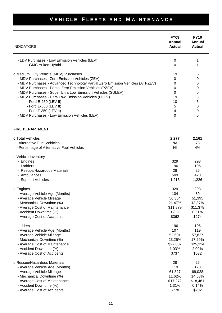| <b>INDICATORS</b>                                                                                                   | <b>FY09</b><br>Annual<br><b>Actual</b> | <b>FY10</b><br>Annual<br><b>Actual</b> |
|---------------------------------------------------------------------------------------------------------------------|----------------------------------------|----------------------------------------|
| - LDV Purchases - Low Emission Vehicles (LEV)<br>- GMC Yukon Hybrid                                                 | 0<br>0                                 | 1                                      |
| o Medium Duty Vehicle (MDV) Purchases                                                                               | 19                                     | 5                                      |
| - MDV Purchases - Zero Emission Vehicles (ZEV)                                                                      | 0                                      | 0                                      |
| - MDV Purchases - Advanced Technology Partial Zero Emission Vehicles (ATPZEV)                                       | 0                                      | 0                                      |
| - MDV Purchases - Partial Zero Emission Vehicles (PZEV)                                                             | 0                                      | 0                                      |
| - MDV Purchases - Super Ultra Low Emission Vehicles (SULEV)                                                         | 0                                      | 0                                      |
| - MDV Purchases - Ultra Low Emission Vehicles (ULEV)                                                                | 19                                     | 5                                      |
| - Ford E-250 (LEV II)                                                                                               | 10                                     | 5                                      |
| - Ford E-350 (LEV II)                                                                                               | 5                                      | 0                                      |
| - Ford F-350 (LEV II)                                                                                               | 4                                      | 0                                      |
| - MDV Purchases - Low Emission Vehicles (LEV)                                                                       | 0                                      | 0                                      |
| <b>FIRE DEPARTMENT</b>                                                                                              |                                        |                                        |
| o Total Vehicles                                                                                                    | 2,277                                  | 2,161                                  |
| - Alternative Fuel Vehicles                                                                                         | <b>NA</b>                              | 78                                     |
| - Percentage of Alternative Fuel Vehicles                                                                           | ΝI                                     | 4%                                     |
| o Vehicle Inventory<br>- Engines<br>- Ladders<br>- Rescue/Hazardous Materials<br>- Ambulances<br>- Support Vehicles | 329<br>196<br>28<br>509<br>1,215       | 293<br>196<br>26<br>420<br>1,226       |
| o Engines                                                                                                           | 329                                    | 293                                    |
| - Average Vehicle Age (Months)                                                                                      | 104                                    | 89                                     |
| - Average Vehicle Mileage                                                                                           | 56,354                                 | 51,395                                 |
| - Mechanical Downtime (%)                                                                                           | 21.47%                                 | 13.87%                                 |
| - Average Cost of Maintenance                                                                                       | \$11,879                               | \$11,378                               |
| - Accident Downtime (%)                                                                                             | 0.71%                                  | 0.51%                                  |
| - Average Cost of Accidents                                                                                         | \$362                                  | \$274                                  |
| o Ladders                                                                                                           | 196                                    | 196                                    |
| - Average Vehicle Age (Months)                                                                                      | 107                                    | 119                                    |
| - Average Vehicle Mileage                                                                                           | 52,601                                 | 57,827                                 |
| - Mechanical Downtime (%)                                                                                           | 23.25%                                 | 17.29%                                 |
| - Average Cost of Maintenance                                                                                       | \$27,687                               | \$25,324                               |
| - Accident Downtime (%)                                                                                             | 1.03%                                  | 2.00%                                  |
| - Average Cost of Accidents                                                                                         | \$737                                  | \$632                                  |
| o Rescue/Hazardous Materials                                                                                        | 28                                     | 26                                     |
| - Average Vehicle Age (Months)                                                                                      | 119                                    | 123                                    |
| - Average Vehicle Mileage                                                                                           | 61,827                                 | 69,028                                 |
| - Mechanical Downtime (%)                                                                                           | 11.62%                                 | 14.58%                                 |
| - Average Cost of Maintenance                                                                                       | \$17,272                               | \$18,461                               |
| - Accident Downtime (%)                                                                                             | 1.31%                                  | 0.14%                                  |
| - Average Cost of Accidents                                                                                         | \$778                                  | \$202                                  |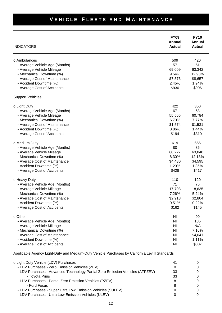| <b>INDICATORS</b>              | <b>FY09</b><br>Annual<br><b>Actual</b> | <b>FY10</b><br>Annual<br><b>Actual</b> |
|--------------------------------|----------------------------------------|----------------------------------------|
| o Ambulances                   | 509                                    | 420                                    |
| - Average Vehicle Age (Months) | 57                                     | 51                                     |
| - Average Vehicle Mileage      | 69,009                                 | 63,342                                 |
| - Mechanical Downtime (%)      | 9.54%                                  | 12.93%                                 |
| - Average Cost of Maintenance  | \$7,576                                | \$8,657                                |
| - Accident Downtime (%)        | 2.45%                                  | 1.94%                                  |
| - Average Cost of Accidents    | \$930                                  | \$906                                  |
| Support Vehicles:              |                                        |                                        |
| o Light Duty                   | 422                                    | 350                                    |
| - Average Vehicle Age (Months) | 67                                     | 68                                     |
| - Average Vehicle Mileage      | 55,565                                 | 60,784                                 |
| - Mechanical Downtime (%)      | 6.79%                                  | 7.77%                                  |
| - Average Cost of Maintenance  | \$1,574                                | \$1,531                                |
| - Accident Downtime (%)        | 0.86%                                  | 1.44%                                  |
| - Average Cost of Accidents    | \$194                                  | \$310                                  |
| o Medium Duty                  | 619                                    | 666                                    |
| - Average Vehicle Age (Months) | 80                                     | 86                                     |
| - Average Vehicle Mileage      | 60,227                                 | 63,840                                 |
| - Mechanical Downtime (%)      | 8.30%                                  | 12.13%                                 |
| - Average Cost of Maintenance  | \$4,480                                | \$4,595                                |
| - Accident Downtime (%)        | 1.29%                                  | 1.35%                                  |
| - Average Cost of Accidents    | \$428                                  | \$417                                  |
| o Heavy Duty                   | 110                                    | 120                                    |
| - Average Vehicle Age (Months) | 71                                     | 76                                     |
| - Average Vehicle Mileage      | 17,708                                 | 18,635                                 |
| - Mechanical Downtime (%)      | 7.26%                                  | 5.24%                                  |
| - Average Cost of Maintenance  | \$2,918                                | \$2,804                                |
| - Accident Downtime (%)        | 0.51%                                  | 0.22%                                  |
| - Average Cost of Accidents    | \$162                                  | \$145                                  |
| o Other                        | N <sub>l</sub>                         | 90                                     |
| - Average Vehicle Age (Months) | N <sub>l</sub>                         | 135                                    |
| - Average Vehicle Mileage      | N <sub>l</sub>                         | N/A                                    |
| - Mechanical Downtime (%)      | N <sub>l</sub>                         | 7.16%                                  |
| - Average Cost of Maintenance  | N <sub>l</sub>                         | \$4,041                                |
| - Accident Downtime (%)        | N <sub>l</sub>                         | 1.11%                                  |
| - Average Cost of Accidents    | N <sub>l</sub>                         | \$307                                  |

Applicable Agency Light-Duty and Medium-Duty Vehicle Purchases by California Lev II Standards

| o Light Duty Vehicle (LDV) Purchases                                          | 41 |   |
|-------------------------------------------------------------------------------|----|---|
| - LDV Purchases - Zero Emission Vehicles (ZEV)                                |    |   |
| - LDV Purchases - Advanced Technology Partial Zero Emission Vehicles (ATPZEV) | 33 | 0 |
| - Toyota Prius                                                                | 33 |   |
| - LDV Purchases - Partial Zero Emission Vehicles (PZEV)                       | 8  |   |
| - Ford Focus                                                                  | 8  |   |
| - LDV Purchases - Super Ultra Low Emission Vehicles (SULEV)                   |    |   |
| - LDV Purchases - Ultra Low Emission Vehicles (ULEV)                          |    |   |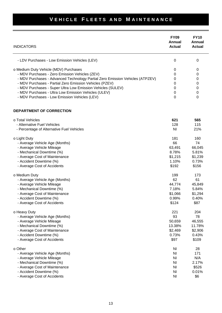| <b>INDICATORS</b>                                                             | <b>FY09</b><br>Annual<br><b>Actual</b> | <b>FY10</b><br>Annual<br><b>Actual</b> |
|-------------------------------------------------------------------------------|----------------------------------------|----------------------------------------|
| - LDV Purchases - Low Emission Vehicles (LEV)                                 | $\mathbf 0$                            | $\mathbf 0$                            |
| o Medium Duty Vehicle (MDV) Purchases                                         | 0                                      | 0                                      |
| - MDV Purchases - Zero Emission Vehicles (ZEV)                                | 0                                      | 0                                      |
| - MDV Purchases - Advanced Technology Partial Zero Emission Vehicles (ATPZEV) | 0                                      | 0                                      |
| - MDV Purchases - Partial Zero Emission Vehicles (PZEV)                       | 0                                      | 0                                      |
| - MDV Purchases - Super Ultra Low Emission Vehicles (SULEV)                   | 0                                      | 0                                      |
| - MDV Purchases - Ultra Low Emission Vehicles (ULEV)                          | 0                                      | 0                                      |
| - MDV Purchases - Low Emission Vehicles (LEV)                                 | $\Omega$                               | 0                                      |
| DEPARTMENT OF CORRECTION                                                      |                                        |                                        |
| o Total Vehicles                                                              | 621                                    | 565                                    |
| - Alternative Fuel Vehicles                                                   | 128                                    | 115                                    |
| - Percentage of Alternative Fuel Vehicles                                     | N <sub>l</sub>                         | 21%                                    |
| o Light Duty                                                                  | 181                                    | 160                                    |
| - Average Vehicle Age (Months)                                                | 66                                     | 74                                     |
| - Average Vehicle Mileage                                                     | 63,491                                 | 66,045                                 |
| - Mechanical Downtime (%)                                                     | 8.78%                                  | 5.81%                                  |
| - Average Cost of Maintenance                                                 | \$1,215                                | \$1,239                                |
| - Accident Downtime (%)                                                       | 1.10%                                  | 0.73%                                  |
| - Average Cost of Accidents                                                   | \$192                                  | \$156                                  |
| o Medium Duty                                                                 | 199                                    | 173                                    |
| - Average Vehicle Age (Months)                                                | 62                                     | 61                                     |
| - Average Vehicle Mileage                                                     | 44,774                                 | 45,849                                 |
| - Mechanical Downtime (%)                                                     | 7.18%                                  | 5.84%                                  |
| - Average Cost of Maintenance                                                 | \$1,066                                | \$1,294                                |
| - Accident Downtime (%)                                                       | 0.99%                                  | 0.40%                                  |
| - Average Cost of Accidents                                                   | \$124                                  | \$87                                   |
| o Heavy Duty                                                                  | 221                                    | 204                                    |
| - Average Vehicle Age (Months)                                                | 93                                     | 78                                     |
| - Average Vehicle Mileage                                                     | 50,659                                 | 46,555                                 |
| - Mechanical Downtime (%)                                                     | 13.38%                                 | 11.78%                                 |
| - Average Cost of Maintenance                                                 | \$2,469                                | \$2,906                                |
| - Accident Downtime (%)                                                       | 0.73%                                  | 0.43%                                  |
| - Average Cost of Accidents                                                   | \$97                                   | \$109                                  |
| o Other                                                                       | N <sub>l</sub>                         | 28                                     |
| - Average Vehicle Age (Months)                                                | N <sub>l</sub>                         | 171                                    |
| - Average Vehicle Mileage                                                     | N <sub>l</sub>                         | N/A                                    |
| - Mechanical Downtime (%)                                                     | N <sub>l</sub>                         | 2.17%                                  |
| - Average Cost of Maintenance                                                 | N <sub>l</sub>                         | \$526                                  |
| - Accident Downtime (%)                                                       | N <sub>l</sub>                         | 0.01%                                  |
| - Average Cost of Accidents                                                   | N <sub>l</sub>                         | \$6                                    |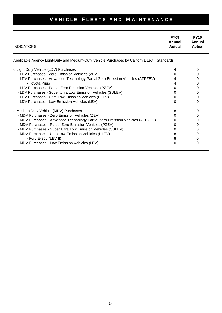| <b>INDICATORS</b>                                                                                                                                                                                                                                                                                                                                                                                                                    | FY09<br>Annual<br><b>Actual</b>      | <b>FY10</b><br>Annual<br>Actual      |
|--------------------------------------------------------------------------------------------------------------------------------------------------------------------------------------------------------------------------------------------------------------------------------------------------------------------------------------------------------------------------------------------------------------------------------------|--------------------------------------|--------------------------------------|
| Applicable Agency Light-Duty and Medium-Duty Vehicle Purchases by California Lev II Standards                                                                                                                                                                                                                                                                                                                                        |                                      |                                      |
| o Light Duty Vehicle (LDV) Purchases<br>- LDV Purchases - Zero Emission Vehicles (ZEV)<br>- LDV Purchases - Advanced Technology Partial Zero Emission Vehicles (ATPZEV)<br>- Toyota Prius<br>- LDV Purchases - Partial Zero Emission Vehicles (PZEV)<br>- LDV Purchases - Super Ultra Low Emission Vehicles (SULEV)<br>- LDV Purchases - Ultra Low Emission Vehicles (ULEV)<br>- LDV Purchases - Low Emission Vehicles (LEV)         | O<br>4<br>0<br>0<br>0                | 0<br>0<br>0<br>0<br>0<br>0<br>0<br>0 |
| o Medium Duty Vehicle (MDV) Purchases<br>- MDV Purchases - Zero Emission Vehicles (ZEV)<br>- MDV Purchases - Advanced Technology Partial Zero Emission Vehicles (ATPZEV)<br>- MDV Purchases - Partial Zero Emission Vehicles (PZEV)<br>- MDV Purchases - Super Ultra Low Emission Vehicles (SULEV)<br>- MDV Purchases - Ultra Low Emission Vehicles (ULEV)<br>- Ford E-350 (LEV II)<br>- MDV Purchases - Low Emission Vehicles (LEV) | 8<br>0<br>O<br>O<br>0<br>8<br>8<br>0 | 0<br>0<br>0<br>0<br>0<br>0<br>0<br>0 |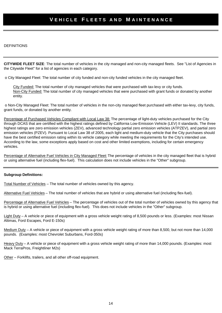#### DEFINITIONS

**CITYWIDE FLEET SIZE**: The total number of vehicles in the city managed and non-city managed fleets. See "List of Agencies in the Citywide Fleet" for a list of agencies in each category.

o City Managed Fleet: The total number of city funded and non-city funded vehicles in the city managed fleet.

City Funded: The total number of city managed vehicles that were purchased with tax-levy or city funds. Non-City Funded: The total number of city managed vehicles that were purchased with grant funds or donated by another entity.

 o Non-City Managed Fleet: The total number of vehicles in the non-city managed fleet purchased with either tax-levy, city funds, grant funds, or donated by another entity.

Percentage of Purchased Vehicles Compliant with Local Law 38: The percentage of light-duty vehicles purchased for the City through DCAS that are certified with the highest ratings defined by California Low-Emission Vehicle (LEV) II standards. The three highest ratings are zero emission vehicles (ZEV), advanced technology partial zero emission vehicles (ATPZEV), and partial zero emission vehicles (PZEV). Pursuant to Local Law 38 of 2005, each light and medium-duty vehicle that the City purchases should have the best certified emission rating within its vehicle category while meeting the requirements for the City's intended use. According to the law, some exceptions apply based on cost and other limited exemptions, including for certain emergency vehicles.

Percentage of Alternative Fuel Vehicles in City Managed Fleet: The percentage of vehicles in the city managed fleet that is hybrid or using alternative fuel (including flex-fuel). This calculation does not include vehicles in the "Other" subgroup.

#### **Subgroup Definitions:**

Total Number of Vehicles – The total number of vehicles owned by this agency.

Alternative Fuel Vehicles – The total number of vehicles that are hybrid or using alternative fuel (including flex-fuel).

Percentage of Alternative Fuel Vehicles – The percentage of vehicles out of the total number of vehicles owned by this agency that is hybrid or using alternative fuel (including flex-fuel). This does not include vehicles in the "Other" subgroup.

Light Duty – A vehicle or piece of equipment with a gross vehicle weight rating of 8,500 pounds or less. (Examples: most Nissan Altimas, Ford Escapes, Ford E-150s)

Medium Duty – A vehicle or piece of equipment with a gross vehicle weight rating of more than 8,500, but not more than 14,000 pounds. (Examples: most Chevrolet Suburbans, Ford-350s)

Heavy Duty – A vehicle or piece of equipment with a gross vehicle weight rating of more than 14,000 pounds. (Examples: most Mack TerraPros, Freightliner M2s)

Other – Forklifts, trailers, and all other off-road equipment.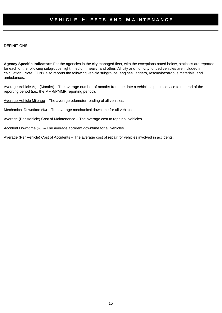#### DEFINITIONS

**Agency Specific Indicators**: For the agencies in the city managed fleet, with the exceptions noted below, statistics are reported for each of the following subgroups: light, medium, heavy, and other. All city and non-city funded vehicles are included in calculation. Note: FDNY also reports the following vehicle subgroups: engines, ladders, rescue/hazardous materials, and ambulances.

Average Vehicle Age (Months) – The average number of months from the date a vehicle is put in service to the end of the reporting period (i.e., the MMR/PMMR reporting period).

Average Vehicle Mileage – The average odometer reading of all vehicles.

Mechanical Downtime (%) – The average mechanical downtime for all vehicles.

Average (Per Vehicle) Cost of Maintenance – The average cost to repair all vehicles.

Accident Downtime (%) – The average accident downtime for all vehicles.

Average (Per Vehicle) Cost of Accidents – The average cost of repair for vehicles involved in accidents.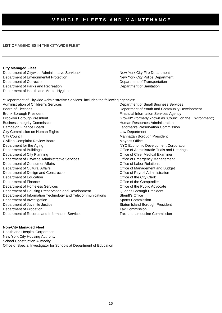#### LIST OF AGENCIES IN THE CITYWIDE FLEET

#### **City Managed Fleet**

Department of Citywide Administrative Services\* New York City Fire Department Department of Environmental Protection New York City Police Department Department of Correction Department of Transportation Department of Parks and Recreation Department of Sanitation Department of Health and Mental Hygiene

\*"Department of Citywide Administrative Services" includes the following agencies:

Administration of Children's Services Department of Small Business Services Board of Elections Department of Youth and Community Development Bronx Borough President Financial Information Services Agency Brooklyn Borough President Grow Communication CrowNY (formerly known as "Council on the Environment") Business Integrity Commission **Human Resources Administration Human Resources Administration** Campaign Finance Board Landmarks Preservation Commission City Commission on Human Rights Law Department **City Council City Council City Council** Manhattan Borough President Civilian Complaint Review Board Mayor's Office Department for the Aging NYC Economic Development Corporation Department of Buildings Office of Administratie Trials and Hearings Department of City Planning **Department of City Planning CHIEF CHIEF Medical Examiner** Department of Citywide Administrative Services **Conserversity** Office of Emergency Management Department of Consumer Affairs **Consumer Affairs** Consumer Affairs **Consumer Affairs** Consumer Affairs **Consumer Affairs** Department of Cultural Affairs **Cultural Affairs** Cultural Affairs **Cultural Affairs** Cultural Affairs **Cultural Affairs** Cultural Affairs **Cultural Affairs** Cultural Affairs **Cultural Affairs** Cultural Affairs **Cultural A** Department of Design and Construction **Department of Design and Construction Office of Payroll Administration** Department of Education **Department of Education** Christian According to the City Clerk Department of Finance<br>
Department of Homeless Services<br>
Office of the Public Advocate<br>
Office of the Public Advocate Department of Homeless Services Department of Housing Preservation and Development Queens Borough President Department of Information Technology and Telecommunications Sheriff's Office Department of Investigation Sports Commission Sports Commission Department of Juvenile Justice Staten Island Borough President Department of Probation Tax Commission Department of Records and Information Services Taxi and Limousine Commission

#### **Non-City Managed Fleet**

Health and Hospital Corporation New York City Housing Authority School Construction Authority Office of Special Investigator for Schools at Department of Education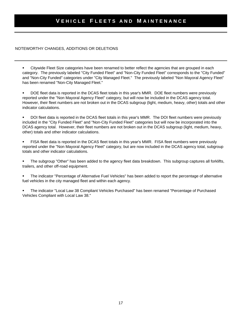#### NOTEWORTHY CHANGES, ADDITIONS OR DELETIONS

 Citywide Fleet Size categories have been renamed to better reflect the agencies that are grouped in each category. The previously labeled "City Funded Fleet" and "Non-City Funded Fleet" corresponds to the "City Funded" and "Non-City Funded" categories under "City Managed Fleet." The previously labeled "Non Mayoral Agency Fleet" has been renamed "Non-City Managed Fleet."

 DOE fleet data is reported in the DCAS fleet totals in this year's MMR. DOE fleet numbers were previously reported under the "Non Mayoral Agency Fleet" category, but will now be included in the DCAS agency total. However, their fleet numbers are not broken out in the DCAS subgroup (light, medium, heavy, other) totals and other indicator calculations.

 DOI fleet data is reported in the DCAS fleet totals in this year's MMR. The DOI fleet numbers were previously included in the "City Funded Fleet" and "Non-City Funded Fleet" categories but will now be incorporated into the DCAS agency total. However, their fleet numbers are not broken out in the DCAS subgroup (light, medium, heavy, other) totals and other indicator calculations.

 FISA fleet data is reported in the DCAS fleet totals in this year's MMR. FISA fleet numbers were previously reported under the "Non Mayoral Agency Fleet" category, but are now included in the DCAS agency total, subgroup totals and other indicator calculations.

 The subgroup "Other" has been added to the agency fleet data breakdown. This subgroup captures all forklifts, trailers, and other off-road equipment.

 The indicator "Percentage of Alternative Fuel Vehicles" has been added to report the percentage of alternative fuel vehicles in the city managed fleet and within each agency.

 The indicator "Local Law 38 Compliant Vehicles Purchased" has been renamed "Percentage of Purchased Vehicles Compliant with Local Law 38."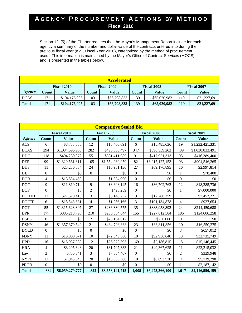Section 12c(5) of the Charter requires that the Mayor's Management Report include for each agency a summary of the number and dollar value of the contracts entered into during the previous fiscal year (e.g., Fiscal Year 2010), categorized by the method of procurement used. This information is maintained by the Mayor's Office of Contract Services (MOCS) and is presented in the tables below.

| <b>Accelerated</b>                                             |       |               |       |              |       |                    |       |              |
|----------------------------------------------------------------|-------|---------------|-------|--------------|-------|--------------------|-------|--------------|
| <b>Fiscal 2010</b><br><b>Fiscal 2009</b><br><b>Fiscal 2008</b> |       |               |       |              |       | <b>Fiscal 2007</b> |       |              |
| <b>Agency</b>                                                  | Count | Value         | Count | Value        | Count | Value              | Count | Value        |
| <b>DCAS</b>                                                    | 171   | \$104,176,995 | 103   | \$66,708,833 | 139   | \$65,020,982       | 110   | \$21,227,691 |
| <b>Total</b>                                                   | 171   | \$104,176,995 | 103   | \$66,708,833 | 139   | \$65,020,982       | 110   | \$21,227,691 |

| <b>Competitive Sealed Bid</b> |                    |                 |                    |                 |                    |                 |                          |                 |
|-------------------------------|--------------------|-----------------|--------------------|-----------------|--------------------|-----------------|--------------------------|-----------------|
|                               | <b>Fiscal 2010</b> |                 | <b>Fiscal 2009</b> |                 | <b>Fiscal 2008</b> |                 | <b>Fiscal 2007</b>       |                 |
| <b>Agency</b>                 | <b>Count</b>       | <b>Value</b>    | <b>Count</b>       | <b>Value</b>    | <b>Count</b>       | <b>Value</b>    | <b>Count</b>             | <b>Value</b>    |
| <b>ACS</b>                    | 6                  | \$8,783,550     | 12                 | \$15,400,691    | 6                  | \$15,485,636    | 19                       | \$1,232,421,331 |
| <b>DCAS</b>                   | 294                | \$1,034,596,968 | 282                | \$496,368,497   | 347                | \$598,539,263   | 489                      | \$1,030,833,491 |
| $DDC$                         | 118                | \$494,230,072   | 55                 | \$381,411,989   | 91                 | \$417,921,313   | 93                       | \$416,389,400   |
| <b>DEP</b>                    | 99                 | \$1,329,561,311 | 105                | \$1,554,260,059 | 82                 | \$3,917,127,153 | 93                       | \$904,546,265   |
| <b>DHS</b>                    | 11                 | \$23,286,084    | 24                 | \$16,981,136    | 27                 | \$69,176,895    | 16                       | \$2,997,814     |
| <b>DJJ</b>                    | $\boldsymbol{0}$   | \$0             | $\overline{0}$     | \$0             | $\mathbf{0}$       | \$0             | 1                        | \$78,400        |
| DOB                           | $\overline{4}$     | \$13,884,450    | $\mathbf{1}$       | \$1,084,000     | $\boldsymbol{0}$   | \$0             | $\boldsymbol{0}$         | \$0             |
| <b>DOC</b>                    | 9                  | \$11,810,714    | 9                  | \$8,608,145     | 16                 | \$36,702,762    | 12                       | \$48,285,736    |
| <b>DOF</b>                    | $\boldsymbol{0}$   | \$0             | $\overline{2}$     | \$498,239       | $\boldsymbol{0}$   | \$0             | $\mathbf{1}$             | \$7,000,000     |
| <b>DOHMH</b>                  | 13                 | \$27,570,418    | 3                  | \$5,146,232     | 9                  | \$17,280,259    | $\overline{7}$           | \$7,452,221     |
| <b>DOITT</b>                  | 6                  | \$15,548,681    | $\overline{4}$     | \$1,256,166     | 3                  | \$101,134,878   | $\overline{\mathcal{L}}$ | \$927,654       |
| <b>DOT</b>                    | 55                 | \$1,315,628,307 | 27                 | \$236,330,575   | 35                 | \$883,958,892   | 24                       | \$244,450,688   |
| <b>DPR</b>                    | 177                | \$385,213,795   | 210                | \$280,534,644   | 155                | \$227,812,584   | 186                      | \$124,606,258   |
| <b>DSBS</b>                   | $\boldsymbol{0}$   | \$0             | $\overline{2}$     | \$20,134,617    | $\mathbf{1}$       | \$230,000       | $\mathbf{0}$             | \$0             |
| <b>DSNY</b>                   | 46                 | \$1,357,379,540 | 21                 | \$484,798,868   | 23                 | \$36,811,856    | 10                       | \$16,550,275    |
| <b>DYCD</b>                   | $\boldsymbol{0}$   | \$0             | $\mathbf{0}$       | \$0             | $\mathbf{0}$       | \$0             | 3                        | \$657,012       |
| <b>FDNY</b>                   | 11                 | \$13,800,671    | 10                 | \$72,545,360    | 10                 | \$92,936,640    | 13                       | \$32,735,749    |
| <b>HPD</b>                    | 16                 | \$15,987,889    | 12                 | \$26,872,393    | 169                | \$2,186,815     | 18                       | \$15,146,445    |
| <b>HRA</b>                    | $\overline{4}$     | \$3,295,348     | 20                 | \$31,707,333    | 21                 | \$49,367,625    | 11                       | \$23,215,032    |
| Law                           | $\overline{2}$     | \$756,341       | $\overline{3}$     | \$7,834,407     | $\overline{0}$     | \$0             | $\overline{2}$           | \$329,948       |
| <b>NYPD</b>                   | 13                 | \$7,945,640     | 20                 | \$16,368,366    | 10                 | \$6,693,530     | 14                       | \$5,739,298     |
| <b>PROB</b>                   | $\boldsymbol{0}$   | \$0             | $\mathbf{0}$       | \$0             | $\Omega$           | \$0             | $\mathbf{1}$             | \$2,187,142     |
| <b>Total</b>                  | 884                | \$6,059,279,777 | 822                | \$3,658,141,715 | 1,005              | \$6,473,366,100 | 1,017                    | \$4,116,550,159 |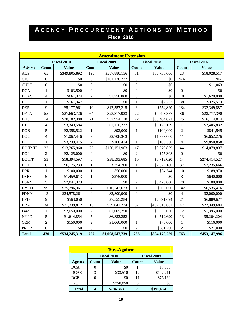| <b>Amendment Extension</b> |                    |               |                  |                    |                  |                    |                  |                    |
|----------------------------|--------------------|---------------|------------------|--------------------|------------------|--------------------|------------------|--------------------|
|                            | <b>Fiscal 2010</b> |               |                  | <b>Fiscal 2009</b> |                  | <b>Fiscal 2008</b> |                  | <b>Fiscal 2007</b> |
| <b>Agency</b>              | Count              | <b>Value</b>  | Count            | <b>Value</b>       | Count            | <b>Value</b>       | <b>Count</b>     | <b>Value</b>       |
| <b>ACS</b>                 | 65                 | \$349,805,892 | 195              | \$557,880,156      | 31               | \$36,736,006       | 23               | \$18,028,517       |
| CJC                        | $\boldsymbol{0}$   | \$0           | $\sqrt{6}$       | \$101,128,772      | $\overline{0}$   | \$0                | N/A              | N/A                |
| <b>CULT</b>                | $\boldsymbol{0}$   | \$0           | $\boldsymbol{0}$ | \$0                | $\mathbf{0}$     | \$0                | $\mathbf{1}$     | \$11,063           |
| <b>DCA</b>                 | $\mathbf{1}$       | \$103,500     | $\boldsymbol{0}$ | \$0                | $\overline{0}$   | \$0                | $\overline{0}$   | \$0                |
| <b>DCAS</b>                | $\overline{4}$     | \$661,374     | $\overline{2}$   | \$1,750,000        | $\boldsymbol{0}$ | \$0                | 10               | \$1,620,000        |
| DDC                        | $\mathbf{1}$       | \$161,347     | $\boldsymbol{0}$ | \$0                | $\mathbf{1}$     | \$7,223            | 88               | \$325,573          |
| <b>DEP</b>                 | 9                  | \$5,177,961   | 10               | \$12,557,215       | 6                | \$754,820          | 134              | \$32,349,887       |
| <b>DFTA</b>                | 55                 | \$27,663,726  | 64               | \$23,817,923       | 22               | \$4,793,857        | 86               | \$28,777,390       |
| <b>DHS</b>                 | 14                 | \$20,102,380  | 21               | \$32,954,118       | 22               | \$33,484,071       | 25               | \$16,114,014       |
| $DJJ$                      | $\overline{4}$     | \$3,349,584   | $\overline{2}$   | \$1,110,237        | 9                | \$3,122,179        | $\mathbf{1}$     | \$2,405,832        |
| <b>DOB</b>                 | 5                  | \$2,358,522   | $\mathbf{1}$     | \$92,000           | $\mathbf{1}$     | \$100,000          | $\overline{2}$   | \$841,545          |
| <b>DOC</b>                 | $\overline{4}$     | \$1,067,446   | $\overline{7}$   | \$2,708,363        | 3                | \$1,777,000        | 11               | \$6,652,276        |
| <b>DOF</b>                 | 10                 | \$3,239,475   | $\overline{2}$   | \$166,414          | $\mathbf{1}$     | \$105,300          | $\overline{4}$   | \$9,850,858        |
| <b>DOHMH</b>               | 23                 | \$13,265,960  | 22               | \$160,151,963      | 17               | \$8,879,829        | 44               | \$14,079,897       |
| <b>DOI</b>                 | $\overline{2}$     | \$2,125,000   | $\boldsymbol{0}$ | \$0                | $\overline{2}$   | \$75,308           | $\boldsymbol{0}$ | \$0                |
| <b>DOITT</b>               | 53                 | \$18,394,597  | 5                | \$38,593,685       | 10               | \$3,713,020        | 14               | \$274,414,527      |
| <b>DOT</b>                 | 6                  | \$6,175,233   | $\,1$            | \$354,700          | $\mathbf{1}$     | \$2,622,180        | 37               | \$2,235,666        |
| <b>DPR</b>                 | $\mathbf{1}$       | \$100,000     | $\mathbf{1}$     | \$50,000           | $\mathbf{1}$     | \$34,544           | 10               | \$189,970          |
| <b>DSBS</b>                | 5                  | \$1,459,613   | $\mathbf{1}$     | \$275,000          | $\overline{0}$   | \$0                | 3                | \$640,000          |
| <b>DSNY</b>                | 5                  | \$2,841,373   | $\mathbf{0}$     | \$0                | $\overline{2}$   | \$8,478,000        | 28               | \$100,000          |
| <b>DYCD</b>                | 99                 | \$25,296,361  | 346              | \$16,547,633       | $\mathbf{1}$     | \$360,000          | 142              | \$6,535,416        |
| <b>FDNY</b>                | 13                 | \$24,578,261  | $\overline{4}$   | \$2,800,000        | $\boldsymbol{0}$ | \$0                | $\overline{4}$   | \$2,000,000        |
| <b>HPD</b>                 | 9                  | \$563,050     | 5                | \$7,555,284        | 5                | \$2,391,694        | 21               | \$6,889,677        |
| <b>HRA</b>                 | 34                 | \$21,339,812  | 18               | \$39,042,274       | 87               | \$187,810,662      | 47               | \$22,349,684       |
| Law                        | $\mathbf{1}$       | \$2,650,000   | $\boldsymbol{7}$ | \$1,069,750        | 6                | \$3,353,676        | 12               | \$1,395,000        |
| <b>NYPD</b>                | 5                  | \$1,614,854   | 5                | \$6,882,252        | $\overline{4}$   | \$4,519,690        | 13               | \$5,204,204        |
| <b>OEM</b>                 | $\overline{c}$     | \$150,000     | $\overline{c}$   | \$1,060,000        | $\mathbf{1}$     | \$70,000           | $\mathbf{1}$     | \$116,000          |
| <b>PROB</b>                | $\boldsymbol{0}$   | \$0           | $\boldsymbol{0}$ | \$0                | $\overline{2}$   | \$981,200          | $\overline{2}$   | \$21,000           |
| <b>Total</b>               | 430                | \$534,245,319 | 727              | \$1,008,547,739    | 235              | \$304,170,259      | 763              | \$453,147,996      |

| <b>Buy-Against</b> |                  |                    |              |                    |  |  |  |
|--------------------|------------------|--------------------|--------------|--------------------|--|--|--|
|                    |                  | <b>Fiscal 2010</b> |              | <b>Fiscal 2009</b> |  |  |  |
| Agency             | Count            | <b>Value</b>       | <b>Count</b> | <b>Value</b>       |  |  |  |
| <b>DCA</b>         |                  | \$0                |              | \$7,300            |  |  |  |
| <b>DCAS</b>        | 3                | \$33,510           | 17           | \$107,211          |  |  |  |
| <b>DCP</b>         | $\left( \right)$ | \$0                | 11           | \$76,163           |  |  |  |
| Law                |                  | \$750,858          |              | \$0                |  |  |  |
| <b>Total</b>       |                  | \$784,368          | 29           | \$190,674          |  |  |  |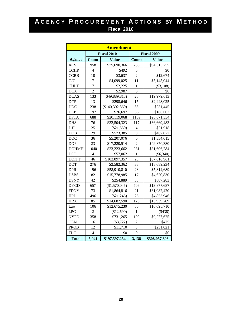|               |                               | <b>Amendment</b>   |                          |                    |
|---------------|-------------------------------|--------------------|--------------------------|--------------------|
|               |                               | <b>Fiscal 2010</b> |                          | <b>Fiscal 2009</b> |
| <b>Agency</b> | Count                         | <b>Value</b>       | Count                    | <b>Value</b>       |
| <b>ACS</b>    | 958                           | \$75,690,366       | 256                      | \$94,513,755       |
| <b>CCHR</b>   | $\overline{4}$                | \$492              | $\boldsymbol{0}$         | \$0                |
| <b>CCRB</b>   | 10                            | \$3,637            | $\overline{2}$           | \$12,674           |
| <b>CJC</b>    | $\overline{7}$<br>\$4,099,025 |                    | 11                       | \$5,145,044        |
| <b>CULT</b>   | $\overline{7}$                | \$2,225            | 1                        | (\$3,108)          |
| <b>DCA</b>    | $\overline{2}$                | \$2,987            | $\overline{0}$           | \$0                |
| <b>DCAS</b>   | 133<br>25<br>$(\$49,889,813)$ |                    |                          | \$19,979,613       |
| <b>DCP</b>    | 13                            | \$298,646          | 15                       | \$2,448,025        |
| <b>DDC</b>    | 238                           | (\$140,302,860)    | 55                       | \$231,445          |
| <b>DEP</b>    | 197                           | \$26,697           | 56                       | \$186,002          |
| <b>DFTA</b>   | 688                           | \$20,119,068       | 1109                     | \$28,071,334       |
| <b>DHS</b>    | 76                            | \$32,504,323       | 117                      | \$36,669,483       |
| <b>DJJ</b>    | 25                            | $(\$21,550)$       | $\overline{\mathcal{L}}$ | \$21,918           |
| <b>DOB</b>    | 29                            | \$573,385          | 9                        | \$467,027          |
| <b>DOC</b>    | 36                            | \$5,207,076        | 6                        | \$1,334,615        |
| <b>DOF</b>    | 23                            | \$17,220,514       | $\overline{2}$           | \$49,870,380       |
| <b>DOHMH</b>  | 1040                          | \$23,223,662       | 281                      | \$81,606,284       |
| <b>DOI</b>    | 4                             | \$57,062           | $\mathbf{1}$             | $(\$6,340)$        |
| <b>DOITT</b>  | 46                            | \$102,897,357      | 28                       | \$67,616,961       |
| <b>DOT</b>    | 276                           | \$2,582,362        | 38                       | \$18,689,234       |
| <b>DPR</b>    | 196                           | \$58,910,810       | 28                       | \$5,814,689        |
| <b>DSBS</b>   | 82                            | \$15,778,985       | 17                       | \$4,620,830        |
| <b>DSNY</b>   | 42                            | \$254,889          | 33                       | \$807,283          |
| <b>DYCD</b>   | 657                           | (\$1,570,045)      | 706                      | \$13,877,687       |
| <b>FDNY</b>   | 73                            | \$1,864,816        | 21                       | \$31,082,420       |
| <b>HPD</b>    | 496                           | $(\$21,245)$       | 25                       | \$4,853,946        |
| <b>HRA</b>    | 85                            | \$14,682,590       | 126                      | \$13,939,209       |
| Law           | 106                           | \$12,675,230       | 56                       | \$16,698,710       |
| <b>LPC</b>    | $\overline{2}$                | (\$12,690)         | 1                        | (\$438)            |
| <b>NYPD</b>   | 358                           | \$731,265          | 102                      | \$9,277,625        |
| <b>OEM</b>    | 16                            | $(\$3,722)$        | 2                        | \$475              |
| <b>PROB</b>   | 12                            | \$11,710           | 5                        | \$231,021          |
| <b>TLC</b>    | $\overline{4}$                | \$0                | $\overline{0}$           | \$0                |
| <b>Total</b>  | 5,941                         | \$197,597,254      | 3,138                    | \$508,057,803      |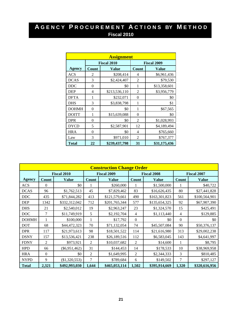|               |                | <b>Assignment</b>  |          |                    |
|---------------|----------------|--------------------|----------|--------------------|
|               |                | <b>Fiscal 2010</b> |          | <b>Fiscal 2009</b> |
| <b>Agency</b> | Count          | Value              | Count    | <b>Value</b>       |
| <b>ACS</b>    | 2              | \$208,414          | 4        | \$6,961,436        |
| <b>DCAS</b>   | 3              | \$2,424,407        | 2        | \$79,530           |
| <b>DDC</b>    | $\theta$       | \$0                | 1        | \$13,358,601       |
| <b>DEP</b>    | $\overline{4}$ | \$213,536,110      | 2        | \$3,956,779        |
| <b>DFTA</b>   | 1              | \$232,071          | $\Omega$ | \$0                |
| <b>DHS</b>    | 3              | \$3,838,798        | 1        | \$1                |
| <b>DOHMH</b>  | $\theta$       | \$0                | 1        | \$67,565           |
| <b>DOITT</b>  | 1              | \$15,639,088       | $\Omega$ | \$0                |
| <b>DPR</b>    | $\theta$       | \$0                | 2        | \$1,028,993        |
| <b>DYCD</b>   | 5              | \$2,587,901        | 12       | \$4,189,494        |
| <b>HRA</b>    | $\theta$       | \$0                | 4        | \$765,660          |
| Law           | 3              | \$971,010          | 2        | \$767,377          |
| <b>Total</b>  | 22             | \$239,437,798      | 31       | \$31,175,436       |

| <b>Construction Change Order</b> |              |                    |                |                    |                    |               |                    |               |  |  |  |  |
|----------------------------------|--------------|--------------------|----------------|--------------------|--------------------|---------------|--------------------|---------------|--|--|--|--|
|                                  |              | <b>Fiscal 2010</b> |                | <b>Fiscal 2009</b> | <b>Fiscal 2008</b> |               | <b>Fiscal 2007</b> |               |  |  |  |  |
| <b>Agency</b>                    | <b>Count</b> | <b>Value</b>       | Count          | <b>Value</b>       | <b>Count</b>       | <b>Value</b>  | Count              | <b>Value</b>  |  |  |  |  |
| <b>ACS</b>                       | $\mathbf{0}$ | \$0                |                | \$260,000          |                    | \$1,500,000   | 1                  | \$40,722      |  |  |  |  |
| <b>DCAS</b>                      | 96           | \$1,762,513        | 45             | \$7,829,462        | 83                 | \$16,626,435  | 80                 | \$27,441,828  |  |  |  |  |
| <b>DDC</b>                       | 435          | \$71,844,282       | 413            | \$121,579,661      | 490                | \$163,301,823 | 561                | \$100,564,901 |  |  |  |  |
| <b>DEP</b>                       | 1342         | \$332,312,042      | 712            | \$201,765,344      | 577                | \$135,654,325 | 92                 | \$67,907,390  |  |  |  |  |
| <b>DHS</b>                       | 21           | \$2,540,012        | 19             | \$2,963,247        | 23                 | \$1,324,570   | 15                 | \$425,491     |  |  |  |  |
| <b>DOC</b>                       | $\tau$       | \$11,749,919       | 5              | \$2,192,704        | $\overline{4}$     | \$1,113,440   | $\overline{4}$     | \$129,885     |  |  |  |  |
| <b>DOHMH</b>                     |              | \$100,000          |                | \$17,792           | $\Omega$           | \$0           | $\Omega$           | \$0           |  |  |  |  |
| <b>DOT</b>                       | 68           | \$44,472,323       | 70             | \$71,132,054       | 74                 | \$45,507,084  | 90                 | \$50,376,137  |  |  |  |  |
| <b>DPR</b>                       | 117          | \$21,973,613       | 98             | \$18,501,522       | 114                | \$21,616,980  | 313                | \$29,002,238  |  |  |  |  |
| <b>DSNY</b>                      | 157          | \$13,536,421       | 238            | \$26,189,516       | 112                | \$6,583,045   | 143                | \$4,641,997   |  |  |  |  |
| <b>FDNY</b>                      | 2            | \$973,921          | $\overline{2}$ | \$10,037,682       | $\overline{2}$     | \$14,600      | 1                  | \$8,795       |  |  |  |  |
| <b>HPD</b>                       | 66           | $(\$6,951,462)$    | 31             | \$144,453          | 14                 | \$178,533     | 10                 | \$38,969,958  |  |  |  |  |
| <b>HRA</b>                       | $\Omega$     | \$0                | $\overline{2}$ | \$1,649,995        | $\overline{2}$     | \$2,344,333   | 3                  | \$810,485     |  |  |  |  |
| <b>NYPD</b>                      | 9            | $(\$1,320,553)$    | 7              | \$789,684          | 6                  | \$149,502     | $\overline{7}$     | \$297,127     |  |  |  |  |
| <b>Total</b>                     | 2,321        | \$492,993,030      | 1,644          | \$465,053,114      | 1,502              | \$395,914,669 | 1,320              | \$320,616,956 |  |  |  |  |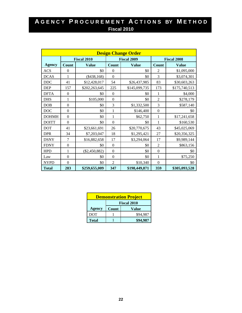| <b>Design Change Order</b> |              |                    |                |                    |                  |                    |  |  |  |  |  |  |
|----------------------------|--------------|--------------------|----------------|--------------------|------------------|--------------------|--|--|--|--|--|--|
|                            |              | <b>Fiscal 2010</b> |                | <b>Fiscal 2009</b> |                  | <b>Fiscal 2008</b> |  |  |  |  |  |  |
| <b>Agency</b>              | Count        | <b>Value</b>       | <b>Count</b>   | <b>Value</b>       | Count            | <b>Value</b>       |  |  |  |  |  |  |
| <b>ACS</b>                 | $\theta$     | \$0                | $\Omega$       | \$0                | $\overline{2}$   | \$1,095,000        |  |  |  |  |  |  |
| <b>DCAS</b>                | 1            | $(\$438,168)$      | $\mathbf{0}$   | \$0                | 3                | \$3,074,301        |  |  |  |  |  |  |
| <b>DDC</b>                 | 41           | \$12,428,017       | 54             | \$26,437,985       | 83               | \$30,603,263       |  |  |  |  |  |  |
| <b>DEP</b>                 | 157          | \$202,263,645      | 225            | \$145,099,735      | 173              | \$175,740,513      |  |  |  |  |  |  |
| <b>DFTA</b>                | $\theta$     | \$0                | $\mathbf{0}$   | \$0                | 1                | \$4,000            |  |  |  |  |  |  |
| <b>DHS</b>                 | 1            | \$105,000          | $\overline{0}$ | \$0                | $\overline{2}$   | \$278,179          |  |  |  |  |  |  |
| <b>DOB</b>                 | $\mathbf{0}$ | \$0                | 3              | \$1,332,500        | 3                | \$587,140          |  |  |  |  |  |  |
| <b>DOC</b>                 | $\theta$     | \$0                | $\mathbf{1}$   | \$146,400          | $\boldsymbol{0}$ | \$0                |  |  |  |  |  |  |
| <b>DOHMH</b>               | $\mathbf{0}$ | \$0                | 1              | \$62,750           | 1                | \$17,241,658       |  |  |  |  |  |  |
| <b>DOITT</b>               | $\Omega$     | \$0                | $\theta$       | \$0                | 1                | \$160,530          |  |  |  |  |  |  |
| <b>DOT</b>                 | 41           | \$23,661,691       | 26             | \$20,770,675       | 43               | \$45,025,069       |  |  |  |  |  |  |
| <b>DPR</b>                 | 34           | \$7,203,047        | 18             | \$1,295,421        | 27               | \$20,356,325       |  |  |  |  |  |  |
| <b>DSNY</b>                | 7            | \$16,882,658       | 17             | \$3,294,064        | 17               | \$9,989,144        |  |  |  |  |  |  |
| <b>FDNY</b>                | $\mathbf{0}$ | \$0                | $\mathbf{0}$   | \$0                | $\overline{2}$   | \$863,156          |  |  |  |  |  |  |
| <b>HPD</b>                 | 1            | $(\$2,450,882)$    | $\overline{0}$ | \$0                | $\theta$         | \$0                |  |  |  |  |  |  |
| Law                        | $\theta$     | \$0                | $\mathbf{0}$   | \$0                | $\mathbf{1}$     | \$75,250           |  |  |  |  |  |  |
| <b>NYPD</b>                | $\Omega$     | \$0                | $\overline{2}$ | \$10,340           | $\theta$         | \$0                |  |  |  |  |  |  |
| <b>Total</b>               | 283          | \$259,655,009      | 347            | \$198,449,871      | 359              | \$305,093,528      |  |  |  |  |  |  |

| <b>Demonstration Project</b> |                    |          |  |  |  |  |  |  |  |
|------------------------------|--------------------|----------|--|--|--|--|--|--|--|
|                              | <b>Fiscal 2010</b> |          |  |  |  |  |  |  |  |
| Agency                       | Count              | Value    |  |  |  |  |  |  |  |
| DOT                          |                    | \$94,987 |  |  |  |  |  |  |  |
| <b>Total</b>                 |                    | \$94.987 |  |  |  |  |  |  |  |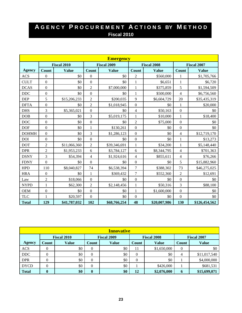|               | <b>Emergency</b> |                    |                  |                    |                  |                    |                          |                    |  |  |  |  |
|---------------|------------------|--------------------|------------------|--------------------|------------------|--------------------|--------------------------|--------------------|--|--|--|--|
|               |                  | <b>Fiscal 2010</b> |                  | <b>Fiscal 2009</b> |                  | <b>Fiscal 2008</b> |                          | <b>Fiscal 2007</b> |  |  |  |  |
| <b>Agency</b> | <b>Count</b>     | <b>Value</b>       | <b>Count</b>     | <b>Value</b>       | <b>Count</b>     | <b>Value</b>       | <b>Count</b>             | <b>Value</b>       |  |  |  |  |
| <b>ACS</b>    | $\mathbf{0}$     | \$0                | $\mathbf{0}$     | \$0                | $\overline{2}$   | \$560,000          | $\mathbf{1}$             | \$1,705,766        |  |  |  |  |
| <b>CULT</b>   | $\mathbf{0}$     | \$0                | $\mathbf{0}$     | \$0                | $\mathbf{1}$     | \$6,651            | $\mathbf{1}$             | \$6,720            |  |  |  |  |
| <b>DCAS</b>   | $\boldsymbol{0}$ | \$0                | $\overline{2}$   | \$7,000,000        | $\mathbf{1}$     | \$375,859          | 5                        | \$1,594,509        |  |  |  |  |
| DDC           | $\boldsymbol{0}$ | \$0                | $\mathbf{0}$     | \$0                | $\mathbf{1}$     | \$500,000          | $\overline{4}$           | \$6,756,560        |  |  |  |  |
| <b>DEP</b>    | 5                | \$15,206,233       | $\overline{2}$   | \$200,035          | 9                | \$6,604,729        | 20                       | \$35,435,319       |  |  |  |  |
| <b>DFTA</b>   | $\boldsymbol{0}$ | \$0                | $\overline{2}$   | \$1,018,945        | $\overline{0}$   | \$0                | 1                        | \$20,000           |  |  |  |  |
| <b>DHS</b>    | 3                | \$5,365,021        | $\mathbf{0}$     | \$0                | $\overline{4}$   | \$50,163           | $\boldsymbol{0}$         | \$0                |  |  |  |  |
| <b>DOB</b>    | $\boldsymbol{0}$ | \$0                | $\overline{3}$   | \$5,019,175        | 1                | \$10,000           | $\mathbf{1}$             | \$18,400           |  |  |  |  |
| <b>DOC</b>    | $\overline{0}$   | \$0                | $\overline{0}$   | \$0                | $\overline{2}$   | \$75,000           | $\overline{0}$           | \$0                |  |  |  |  |
| <b>DOF</b>    | $\boldsymbol{0}$ | \$0                | $\mathbf{1}$     | \$130,261          | $\boldsymbol{0}$ | \$0                | $\boldsymbol{0}$         | \$0                |  |  |  |  |
| <b>DOHMH</b>  | $\boldsymbol{0}$ | \$0                | 3                | \$1,286,123        | $\boldsymbol{0}$ | \$0                | $\overline{\mathcal{L}}$ | \$12,719,170       |  |  |  |  |
| <b>DOI</b>    | $\boldsymbol{0}$ | \$0                | $\mathbf{0}$     | \$0                | $\overline{0}$   | \$0                | $\mathbf{1}$             | \$13,273           |  |  |  |  |
| <b>DOT</b>    | $\overline{c}$   | \$11,066,360       | $\overline{2}$   | \$39,346,691       | $\mathbf{1}$     | \$34,200           | $\mathbf{1}$             | \$5,148,440        |  |  |  |  |
| <b>DPR</b>    | $\overline{c}$   | \$1,953,233        | 6                | \$3,784,127        | 6                | \$8,344,795        | $\overline{4}$           | \$701,363          |  |  |  |  |
| <b>DSNY</b>   | 3                | \$54,394           | $\overline{4}$   | \$1,924,616        | $\overline{4}$   | \$855,611          | $\overline{4}$           | \$76,266           |  |  |  |  |
| <b>FDNY</b>   | $\mathbf{0}$     | \$0                | $\overline{0}$   | \$0                | $\boldsymbol{0}$ | \$0                | 5                        | \$15,882,960       |  |  |  |  |
| <b>HPD</b>    | 110              | \$8,040,827        | 74               | \$6,538,394        | $\tau$           | \$388,302          | 73                       | \$46,275,025       |  |  |  |  |
| <b>HRA</b>    | $\boldsymbol{0}$ | \$0                | $\mathbf{1}$     | \$369,432          | $\tau$           | \$552,360          | $\overline{2}$           | \$12,691           |  |  |  |  |
| Law           | $\overline{c}$   | \$18,066           | $\boldsymbol{0}$ | \$0                | $\boldsymbol{0}$ | \$0                | $\boldsymbol{0}$         | \$0                |  |  |  |  |
| <b>NYPD</b>   | 1                | \$62,300           | $\overline{2}$   | \$2,148,456        | $\mathbf{1}$     | \$50,316           | $\overline{3}$           | \$88,100           |  |  |  |  |
| <b>OEM</b>    | $\boldsymbol{0}$ | \$0                | $\overline{0}$   | \$0                | $\mathbf{1}$     | \$1,600,000        | $\overline{0}$           | \$0                |  |  |  |  |
| <b>TLC</b>    | 1                | \$20,597           | $\boldsymbol{0}$ | \$0                | $\boldsymbol{0}$ | \$0                | $\mathbf{0}$             | \$0                |  |  |  |  |
| <b>Total</b>  | 129              | \$41,787,032       | 102              | \$68,766,254       | 48               | \$20,007,986       | 130                      | \$126,454,562      |  |  |  |  |

| <b>Innovative</b> |                    |              |                    |       |                    |              |                    |              |  |  |  |
|-------------------|--------------------|--------------|--------------------|-------|--------------------|--------------|--------------------|--------------|--|--|--|
|                   | <b>Fiscal 2010</b> |              | <b>Fiscal 2009</b> |       | <b>Fiscal 2008</b> |              | <b>Fiscal 2007</b> |              |  |  |  |
| <b>Agency</b>     | Count              | <b>Value</b> | Count              | Value | Count              | <b>Value</b> | Count              | <b>Value</b> |  |  |  |
| <b>ACS</b>        | 0                  | \$0          | 0                  | \$0   | 11                 | \$1,650,000  | $\theta$           | \$0          |  |  |  |
| $DDC$             | 0                  | \$0          | 0                  | \$0   | $\Omega$           | \$0          | 4                  | \$11,017,540 |  |  |  |
| <b>DPR</b>        | $\theta$           | \$0          | $\theta$           | \$0   | $\Omega$           | \$0          |                    | \$4,000,000  |  |  |  |
| <b>DYCD</b>       | $\overline{0}$     | \$0          | $\boldsymbol{0}$   | \$0   |                    | \$426,000    |                    | \$681,531    |  |  |  |
| <b>Total</b>      | $\bf{0}$           | \$0          | $\bf{0}$           | \$0   | 12                 | \$2,076,000  | 6                  | \$15,699,071 |  |  |  |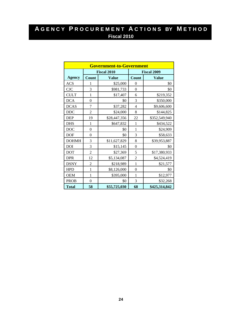|               |                  | <b>Government-to-Government</b> |                |                    |
|---------------|------------------|---------------------------------|----------------|--------------------|
|               |                  | <b>Fiscal 2010</b>              |                | <b>Fiscal 2009</b> |
| <b>Agency</b> | <b>Count</b>     | <b>Value</b>                    | Count          | <b>Value</b>       |
| <b>ACS</b>    | 1                | \$25,000                        | $\theta$       | \$0                |
| <b>CJC</b>    | 3                | \$981,733                       | $\overline{0}$ | \$0                |
| <b>CULT</b>   | 1                | \$17,407                        | 6              | \$219,352          |
| <b>DCA</b>    | $\overline{0}$   | \$0                             | 3              | \$350,000          |
| <b>DCAS</b>   | 7                | \$37,282                        | $\overline{4}$ | \$9,606,600        |
| <b>DDC</b>    | $\overline{c}$   | \$24,000                        | 8              | \$144,825          |
| <b>DEP</b>    | 19               | \$28,447,356                    | 22             | \$352,549,940      |
| <b>DHS</b>    | 1                | \$647,832                       | $\mathbf{1}$   | \$434,522          |
| <b>DOC</b>    | $\boldsymbol{0}$ | \$0                             | $\mathbf{1}$   | \$24,909           |
| <b>DOF</b>    | $\overline{0}$   | \$0                             | 3              | \$58,633           |
| <b>DOHMH</b>  | 3                | \$11,627,829                    | 8              | \$39,953,887       |
| <b>DOI</b>    | 3                | \$15,145                        | $\mathbf{0}$   | \$0                |
| <b>DOT</b>    | $\overline{2}$   | \$27,369                        | 5              | \$17,380,933       |
| <b>DPR</b>    | 12               | \$5,134,087                     | $\overline{2}$ | \$4,524,419        |
| <b>DSNY</b>   | $\overline{c}$   | \$218,989                       | $\mathbf{1}$   | \$21,577           |
| <b>HPD</b>    | $\mathbf{1}$     | \$8,126,000                     | $\overline{0}$ | \$0                |
| <b>OEM</b>    | 1                | \$395,000                       | 1              | \$12,977           |
| <b>PROB</b>   | $\boldsymbol{0}$ | \$0                             | 3              | \$32,268           |
| <b>Total</b>  | 58               | \$55,725,030                    | 68             | \$425,314,842      |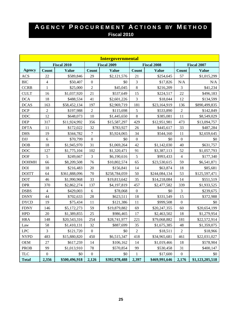|               |                  |                    |                  | <b>Intergovernmental</b> |                  |                    |                  |                    |
|---------------|------------------|--------------------|------------------|--------------------------|------------------|--------------------|------------------|--------------------|
|               |                  | <b>Fiscal 2010</b> |                  | <b>Fiscal 2009</b>       |                  | <b>Fiscal 2008</b> |                  | <b>Fiscal 2007</b> |
| <b>Agency</b> | <b>Count</b>     | <b>Value</b>       | <b>Count</b>     | <b>Value</b>             | <b>Count</b>     | <b>Value</b>       | Count            | <b>Value</b>       |
| <b>ACS</b>    | 22               | \$589,846          | 29               | \$2,121,576              | 21               | \$254,645          | 57               | \$1,015,299        |
| <b>BIC</b>    | $\overline{4}$   | \$50,407           | $\boldsymbol{0}$ | \$0                      | 3                | \$17,826           | N/A              | N/A                |
| <b>CCRB</b>   | $\mathbf{1}$     | \$25,000           | $\overline{2}$   | \$45,045                 | 8                | \$216,209          | 3                | \$41,234           |
| <b>CULT</b>   | 16               | \$1,037,920        | 21               | \$537,649                | 15               | \$224,517          | 22               | \$496,183          |
| <b>DCA</b>    | 18               | \$488,534          | 41               | \$2,601,226              | 3                | \$18,044           | 12               | \$134,599          |
| <b>DCAS</b>   | 163              | \$58,452,134       | 197              | \$2,969,719              | 181              | \$23,164,919       | 136              | \$890,499,835      |
| <b>DCP</b>    | $\sqrt{2}$       | \$197,988          | $\overline{2}$   | \$115,698                | 5                | \$533,890          | $\sqrt{2}$       | \$142,849          |
| $DDC$         | 12               | \$648,073          | 10               | \$1,445,650              | $\,8\,$          | \$385,081          | 11               | \$8,549,029        |
| <b>DEP</b>    | 317              | \$11,924,992       | 356              | \$15,587,297             | 429              | \$12,951,981       | 473              | \$13,094,757       |
| <b>DFTA</b>   | 11               | \$172,022          | 32               | \$783,927                | 26               | \$445,617          | 33               | \$487,284          |
| <b>DHS</b>    | 19               | \$344,782          | $\boldsymbol{7}$ | \$5,924,065              | 34               | \$544,160          | 11               | \$2,659,645        |
| <b>DJJ</b>    | 6                | \$70,799           | $\boldsymbol{0}$ | \$0                      | $\boldsymbol{0}$ | \$0                | $\boldsymbol{0}$ | \$0                |
| <b>DOB</b>    | 18               | \$1,945,970        | 31               | \$1,069,264              | 42               | \$1,142,030        | 40               | \$631,757          |
| DOC           | 127              | \$1,775,104        | 102              | \$1,320,471              | 91               | \$3,387,113        | 52               | \$1,057,793        |
| <b>DOF</b>    | 5                | \$249,667          | 3                | \$6,190,616              | 5                | \$993,433          | $\overline{4}$   | \$177,340          |
| <b>DOHMH</b>  | 66               | \$8,209,508        | 76               | \$10,802,574             | 65               | \$23,530,615       | 59               | \$6,541,871        |
| <b>DOI</b>    | 18               | \$216,483          | 20               | \$156,841                | 14               | \$63,874           | 18               | \$85,681           |
| <b>DOITT</b>  | 64               | \$361,888,096      | 70               | \$258,784,059            | 50               | \$244,084,134      | 53               | \$125,597,471      |
| <b>DOT</b>    | 46               | \$1,990,968        | 33               | \$19,813,642             | 35               | \$14,218,084       | 14               | \$551,519          |
| <b>DPR</b>    | 370              | \$2,862,274        | 137              | \$4,197,819              | 457              | \$2,477,582        | 339              | \$1,933,525        |
| <b>DSBS</b>   | $\overline{4}$   | \$429,003          | 6                | \$78,068                 | $\boldsymbol{0}$ | \$0                | 3                | \$239,675          |
| <b>DSNY</b>   | 44               | \$702,633          | 28               | \$623,511                | 18               | \$331,549          | 15               | \$372,988          |
| <b>DYCD</b>   | 19               | \$75,434           | 11               | \$121,386                | 11               | \$999,508          | $\boldsymbol{0}$ | \$0                |
| <b>FDNY</b>   | 146              | \$5,172,273        | 59               | \$19,879,882             | 69               | \$20,247,355       | 60               | \$20,654,199       |
| <b>HPD</b>    | 20               | \$1,389,855        | 25               | \$986,465                | 17               | \$2,463,502        | 18               | \$1,279,954        |
| <b>HRA</b>    | 148              | \$20,543,316       | 254              | \$28,741,977             | 221              | \$79,068,882       | 181              | \$22,572,914       |
| Law           | 58               | \$1,410,131        | 32               | \$887,699                | 35               | \$1,675,385        | 48               | \$1,359,075        |
| ${\rm LPC}$   | 3                | \$121,720          | $\boldsymbol{0}$ | \$0                      | $\sqrt{2}$       | \$18,511           | $\sqrt{2}$       | \$18,966           |
| <b>NYPD</b>   | 483              | \$15,880,820       | 450              | \$6,515,347              | 418              | \$34,965,681       | 461              | \$22,031,027       |
| <b>OEM</b>    | 27               | \$617,259          | 14               | \$106,162                | 14               | \$1,019,466        | 18               | \$578,904          |
| <b>PROB</b>   | 99               | \$1,013,910        | 78               | \$570,854                | 99               | \$530,458          | 31               | \$400,147          |
| <b>TLC</b>    | $\boldsymbol{0}$ | \$0                | $\boldsymbol{0}$ | \$0                      | $\mathbf{1}$     | \$17,600           | $\boldsymbol{0}$ | \$0                |
| <b>Total</b>  | 2,356            | \$500,496,918      | 2,126            | \$392,978,488            | 2,397            | \$469,991,646      | 2,176            | \$1,123,205,518    |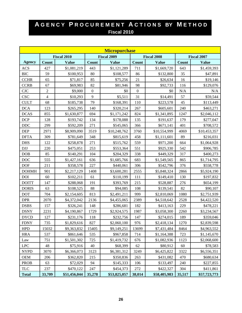|               |                |                    |                  | <b>Micropurchase</b> |                  |                    |        |                    |
|---------------|----------------|--------------------|------------------|----------------------|------------------|--------------------|--------|--------------------|
|               |                | <b>Fiscal 2010</b> |                  | <b>Fiscal 2009</b>   |                  | <b>Fiscal 2008</b> |        | <b>Fiscal 2007</b> |
| <b>Agency</b> | Count          | <b>Value</b>       | <b>Count</b>     | <b>Value</b>         | <b>Count</b>     | <b>Value</b>       | Count  | <b>Value</b>       |
| <b>ACS</b>    | 427            | \$1,081,219        | 443              | \$1,121,289          | 711              | \$1,669,720        | 643    | \$1,459,393        |
| <b>BIC</b>    | 59             | \$100,953          | 80               | \$108,577            | 86               | \$132,800          | 35     | \$47,891           |
| <b>CCHR</b>   | 65             | \$71,817           | 85               | \$75,256             | 21               | \$26,634           | 16     | \$19,146           |
| <b>CCRB</b>   | 67             | \$69,983           | 82               | \$81,946             | 98               | \$92,733           | 116    | \$129,076          |
| CJC           | $\overline{c}$ | \$9,000            | $\boldsymbol{0}$ | \$0                  | $\boldsymbol{0}$ | \$0                | N/A    | N/A                |
| <b>CSC</b>    | 4              | \$10,293           | 9                | \$5,511              | 31               | \$14,491           | 57     | \$59,544           |
| <b>CULT</b>   | 68             | \$185,738          | 79               | \$168,391            | 110              | \$223,578          | 45     | \$113,449          |
| <b>DCA</b>    | 123            | \$265,295          | 140              | \$320,214            | 267              | \$605,601          | 240    | \$463,271          |
| <b>DCAS</b>   | 855            | \$1,630,877        | 694              | \$1,171,242          | 824              | \$1,341,895        | 1247   | \$2,046,112        |
| DCP           | 128            | \$193,742          | 134              | \$178,088            | 135              | \$191,637          | 179    | \$277,047          |
| <b>DDC</b>    | 299            | \$592,209          | 271              | \$545,065            | 366              | \$671,141          | 401    | \$708,572          |
| <b>DEP</b>    | 2971           | \$8,909,090        | 3519             | \$10,248,762         | 3760             | \$10,554,999       | 4069   | \$10,453,357       |
| <b>DFTA</b>   | 309            | \$781,649          | 348              | \$815,619            | 458              | \$1,111,601        | 89     | \$216,031          |
| <b>DHS</b>    | 122            | \$258,878          | 271              | \$515,762            | 559              | \$971,200          | 664    | \$1,064,928        |
| DJJ           | 220            | \$475,051          | 253              | \$553,364            | 551              | \$925,330          | 542    | \$906,785          |
| DOB           | 85             | \$140,291          | 104              | \$204,329            | 338              | \$449,329          | 317    | \$400,273          |
| <b>DOC</b>    | 555            | \$1,427,161        | 636              | \$1,685,766          | 683              | \$1,549,565        | 865    | \$1,714,795        |
| <b>DOF</b>    | 211            | \$358,578          | 227              | \$440,061            | 306              | \$542,796          | 376    | \$558,778          |
| <b>DOHMH</b>  | 901            | \$2,217,129        | 1408             | \$3,600,281          | 2555             | \$5,848,324        | 2866   | \$5,924,190        |
| DOI           | 60             | \$102,211          | 61               | \$110,199            | 111              | \$149,410          | 130    | \$197,832          |
| <b>DOITT</b>  | 147            | \$288,068          | 191              | \$393,769            | 215              | \$528,887          | 276    | \$654,199          |
| <b>DORIS</b>  | 63             | \$108,525          | 88               | \$94,085             | 108              | \$139,541          | 82     | \$90,107           |
| <b>DOT</b>    | 704            | \$2,154,605        | 813              | \$2,491,211          | 999              | \$2,810,069        | 1080   | \$2,751,939        |
| <b>DPR</b>    | 2070           | \$4,372,042        | 2136             | \$4,455,065          | 2389             | \$4,518,642        | 2528   | \$4,422,520        |
| <b>DSBS</b>   | 157            | \$326,241          | 148              | \$286,681            | 182              | \$413,163          | 229    | \$478,221          |
| <b>DSNY</b>   | 2231           | \$4,190,867        | 1729             | \$2,924,575          | 1987             | \$3,058,300        | 2260   | \$3,234,567        |
| <b>DYCD</b>   | 127            | \$231,176          | 118              | \$232,756            | 147              | \$274,015          | 189    | \$359,046          |
| <b>FDNY</b>   | 735            | \$1,829,616        | 827              | \$2,060,100          | 976              | \$2,418,134        | 1270   | \$2,839,598        |
| <b>HPD</b>    | 15032          | \$9,363,832        | 15405            | \$9,149,251          | 13699            | \$7,431,484        | 8464   | \$4,963,552        |
| <b>HRA</b>    | 537            | \$861,646          | 535              | \$967,858            | 714              | \$1,164,388        | 723    | \$1,145,670        |
| Law           | 751            | \$1,501,302        | 725              | \$1,419,732          | 676              | \$1,082,936        | 1123   | \$2,068,600        |
| <b>LPC</b>    | 48             | \$75,916           | 40               | \$68,399             | 62               | \$80,912           | 60     | \$78,583           |
| <b>NYPD</b>   | 3070           | \$6,366,073        | 3123             | \$6,381,312          | 3249             | \$6,425,822        | 3322   | \$6,556,351        |
| <b>OEM</b>    | 206            | \$362,820          | 215              | \$350,836            | 263              | \$431,082          | 470    | \$680,634          |
| <b>PROB</b>   | 63             | \$72,029           | 94               | \$145,333            | 106              | \$133,497          | 240    | \$227,855          |
| <b>TLC</b>    | 237            | \$470,122          | 247              | \$454,373            | $272\,$          | \$422,327          | 304    | \$411,861          |
| <b>Total</b>  | 33,709         | \$51,456,044       | 35,278           | \$53,825,057         | 38,014           | \$58,405,983       | 35,517 | \$57,723,773       |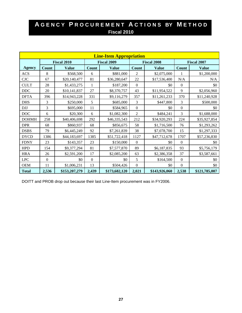| <b>Line-Item Appropriation</b> |                    |               |                  |                    |                    |               |                    |               |  |  |  |  |
|--------------------------------|--------------------|---------------|------------------|--------------------|--------------------|---------------|--------------------|---------------|--|--|--|--|
|                                | <b>Fiscal 2010</b> |               |                  | <b>Fiscal 2009</b> | <b>Fiscal 2008</b> |               | <b>Fiscal 2007</b> |               |  |  |  |  |
| <b>Agency</b>                  | Count              | <b>Value</b>  | <b>Count</b>     | <b>Value</b>       | <b>Count</b>       | <b>Value</b>  | <b>Count</b>       | <b>Value</b>  |  |  |  |  |
| <b>ACS</b>                     | 8                  | \$568,500     | 6                | \$881,000          | $\overline{2}$     | \$2,075,000   |                    | \$1,200,000   |  |  |  |  |
| CJC                            | 67                 | \$20,140,477  | 81               | \$36,280,647       | 22                 | \$17,536,400  | N/A                | N/A           |  |  |  |  |
| <b>CULT</b>                    | 28                 | \$1,433,275   | 1                | \$187,200          | $\Omega$           | \$0           | $\overline{0}$     | \$0           |  |  |  |  |
| DDC                            | 20                 | \$10,141,837  | 27               | \$8,370,757        | 43                 | \$11,954,522  | 9                  | \$2,056,960   |  |  |  |  |
| <b>DFTA</b>                    | 396                | \$14,943,228  | 331              | \$9,116,279        | 357                | \$11,261,233  | 370                | \$11,240,928  |  |  |  |  |
| <b>DHS</b>                     | 3                  | \$250,000     | 5                | \$685,000          | 3                  | \$447,800     | 3                  | \$500,000     |  |  |  |  |
| <b>DJJ</b>                     | 3                  | \$695,000     | 11               | \$584,965          | $\mathbf{0}$       | \$0           | $\mathbf{0}$       | \$0           |  |  |  |  |
| DOC                            | 6                  | \$20,300      | 6                | \$1,082,300        | $\overline{2}$     | \$484,241     | 3                  | \$1,688,000   |  |  |  |  |
| <b>DOHMH</b>                   | 258                | \$40,406,698  | 292              | \$46,335,543       | 212                | \$34,920,293  | 224                | \$35,927,854  |  |  |  |  |
| <b>DPR</b>                     | 68                 | \$860,937     | 68               | \$856,675          | 58                 | \$1,716,500   | 76                 | \$1,293,262   |  |  |  |  |
| <b>DSBS</b>                    | 79                 | \$6,445,249   | 92               | \$7,261,839        | 38                 | \$7,078,700   | 15                 | \$1,297,333   |  |  |  |  |
| <b>DYCD</b>                    | 1386               | \$44,183,697  | 1385             | \$51,722,418       | 1127               | \$47,712,678  | 1707               | \$57,236,830  |  |  |  |  |
| <b>FDNY</b>                    | 23                 | \$143,357     | 23               | \$150,000          | $\Omega$           | \$0           | $\Omega$           | \$0           |  |  |  |  |
| <b>HPD</b>                     | 154                | \$9,377,294   | 81               | \$7,577,870        | 89                 | \$6,187,835   | 93                 | \$5,756,179   |  |  |  |  |
| <b>HRA</b>                     | 26                 | \$2,591,200   | 17               | \$2,085,200        | 63                 | \$2,386,358   | 37                 | \$3,587,661   |  |  |  |  |
| <b>LPC</b>                     | $\boldsymbol{0}$   | \$0           | $\boldsymbol{0}$ | \$0                | 5                  | \$164,500     | $\mathbf{0}$       | \$0           |  |  |  |  |
| <b>OEM</b>                     | 11                 | \$1,006,231   | 13               | \$504,426          | $\overline{0}$     | \$0           | $\overline{0}$     | \$0           |  |  |  |  |
| <b>Total</b>                   | 2,536              | \$153,207,279 | 2,439            | \$173,682,120      | 2,021              | \$143,926,060 | 2,538              | \$121,785,007 |  |  |  |  |

DOITT and PROB drop out because their last Line-Item procurement was in FY2006.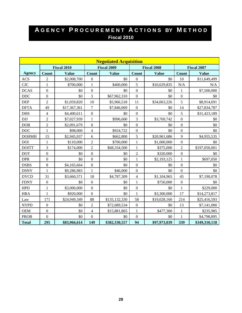| <b>Negotiated Acquisition</b> |                  |                    |                  |                    |                          |              |                  |                    |  |  |  |  |
|-------------------------------|------------------|--------------------|------------------|--------------------|--------------------------|--------------|------------------|--------------------|--|--|--|--|
|                               |                  | <b>Fiscal 2010</b> |                  | <b>Fiscal 2009</b> | <b>Fiscal 2008</b>       |              |                  | <b>Fiscal 2007</b> |  |  |  |  |
| <b>Agency</b>                 | <b>Count</b>     | <b>Value</b>       | <b>Count</b>     | <b>Value</b>       | Count                    | <b>Value</b> | <b>Count</b>     | <b>Value</b>       |  |  |  |  |
| <b>ACS</b>                    | $\sqrt{2}$       | \$2,008,700        | $\boldsymbol{0}$ | \$0                | $\boldsymbol{0}$         | \$0          | 10               | \$11,649,499       |  |  |  |  |
| <b>CJC</b>                    | $\mathbf{1}$     | \$700,000          | $\mathbf{1}$     | \$400,000          | 5                        | \$10,629,835 | N/A              | N/A                |  |  |  |  |
| <b>DCAS</b>                   | $\boldsymbol{0}$ | \$0                | $\boldsymbol{0}$ | \$0                | $\boldsymbol{0}$         | \$0          | $\mathbf{1}$     | \$7,500,000        |  |  |  |  |
| DDC                           | $\boldsymbol{0}$ | \$0                | $\overline{3}$   | \$67,962,310       | $\mathbf{0}$             | \$0          | $\boldsymbol{0}$ | \$0                |  |  |  |  |
| <b>DEP</b>                    | $\overline{2}$   | \$1,059,820        | 10               | \$5,966,518        | 11                       | \$34,063,226 | 5                | \$8,914,691        |  |  |  |  |
| <b>DFTA</b>                   | 49               | \$17,367,361       | $\overline{7}$   | \$7,846,069        | $\overline{0}$           | \$0          | 14               | \$27,834,787       |  |  |  |  |
| <b>DHS</b>                    | $\overline{4}$   | \$4,400,611        | $\boldsymbol{0}$ | \$0                | $\mathbf{0}$             | \$0          | 5                | \$31,423,189       |  |  |  |  |
| <b>DJJ</b>                    | $\overline{2}$   | \$7,027,939        | $\mathbf{1}$     | \$996,600          | 3                        | \$3,769,742  | $\overline{0}$   | \$0                |  |  |  |  |
| DOB                           | $\overline{2}$   | \$2,091,679        | $\boldsymbol{0}$ | \$0                | $\mathbf{0}$             | \$0          | $\boldsymbol{0}$ | \$0                |  |  |  |  |
| <b>DOC</b>                    | $\mathbf{1}$     | \$98,000           | $\overline{4}$   | \$924,722          | $\boldsymbol{0}$         | \$0          | $\overline{0}$   | \$0                |  |  |  |  |
| <b>DOHMH</b>                  | 15               | \$2,945,937        | 6                | \$662,800          | 5                        | \$20,961,686 | 9                | \$4,955,535        |  |  |  |  |
| <b>DOI</b>                    | $\mathbf{1}$     | \$110,000          | $\overline{2}$   | \$700,000          | $\mathbf{1}$             | \$1,000,000  | $\boldsymbol{0}$ | \$0                |  |  |  |  |
| <b>DOITT</b>                  | 3                | \$174,000          | $\overline{2}$   | \$68,334,500       | $\mathbf{1}$             | \$375,000    | $\overline{2}$   | \$197,050,001      |  |  |  |  |
| <b>DOT</b>                    | $\boldsymbol{0}$ | \$0                | $\boldsymbol{0}$ | \$0                | $\overline{2}$           | \$320,000    | $\boldsymbol{0}$ | \$0                |  |  |  |  |
| <b>DPR</b>                    | $\boldsymbol{0}$ | \$0                | $\overline{0}$   | \$0                | $\mathbf{1}$             | \$2,193,125  | $\mathbf{1}$     | \$697,050          |  |  |  |  |
| <b>DSBS</b>                   | $8\,$            | \$4,165,664        | $\boldsymbol{0}$ | \$0                | $\boldsymbol{0}$         | \$0          | $\boldsymbol{0}$ | \$0                |  |  |  |  |
| <b>DSNY</b>                   | $\mathbf{1}$     | \$9,286,983        | $\mathbf{1}$     | \$46,000           | $\boldsymbol{0}$         | \$0          | $\boldsymbol{0}$ | \$0                |  |  |  |  |
| <b>DYCD</b>                   | 31               | \$3,660,571        | 18               | \$4,787,309        | $\overline{\mathcal{L}}$ | \$1,104,965  | 45               | \$7,190,078        |  |  |  |  |
| <b>FDNY</b>                   | $\boldsymbol{0}$ | \$0                | $\boldsymbol{0}$ | \$0                | $\mathbf{1}$             | \$750,000    | $\boldsymbol{0}$ | \$0                |  |  |  |  |
| <b>HPD</b>                    | $\mathbf{1}$     | \$3,000,000        | $\boldsymbol{0}$ | \$0                | $\boldsymbol{0}$         | \$0          | $\mathbf{1}$     | \$229,000          |  |  |  |  |
| <b>HRA</b>                    | $\mathbf{1}$     | \$920,000          | $\overline{0}$   | \$0                | $\mathbf{1}$             | \$3,300,000  | 17               | \$14,273,817       |  |  |  |  |
| Law                           | 171              | \$24,949,349       | 88               | \$135,132,330      | 58                       | \$19,028,160 | 214              | \$25,416,593       |  |  |  |  |
| <b>NYPD</b>                   | $\boldsymbol{0}$ | \$0                | $\overline{2}$   | \$72,689,534       | $\boldsymbol{0}$         | \$0          | 13               | \$7,141,000        |  |  |  |  |
| <b>OEM</b>                    | $\boldsymbol{0}$ | \$0                | $\overline{4}$   | \$15,881,865       | $\mathbf{1}$             | \$477,300    | $\mathbf{1}$     | \$235,985          |  |  |  |  |
| <b>PROB</b>                   | $\overline{0}$   | \$0                | $\overline{0}$   | \$0                | $\boldsymbol{0}$         | \$0          | 1                | \$4,798,895        |  |  |  |  |
| <b>Total</b>                  | 295              | \$83,966,614       | 149              | \$382,330,557      | 94                       | \$97,973,039 | 339              | \$349,310,118      |  |  |  |  |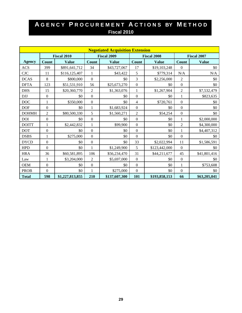|               |                  |                    |                    | <b>Negotiated Acquisition Extension</b> |                    |               |                  |                    |
|---------------|------------------|--------------------|--------------------|-----------------------------------------|--------------------|---------------|------------------|--------------------|
|               |                  | <b>Fiscal 2010</b> | <b>Fiscal 2009</b> |                                         | <b>Fiscal 2008</b> |               |                  | <b>Fiscal 2007</b> |
| <b>Agency</b> | <b>Count</b>     | <b>Value</b>       | Count              | <b>Value</b>                            | <b>Count</b>       | <b>Value</b>  | Count            | <b>Value</b>       |
| <b>ACS</b>    | 399              | \$891,641,712      | 34                 | \$43,727,067                            | 17                 | \$19,103,248  | $\mathbf{0}$     | \$0                |
| CJC           | 11               | \$116,125,407      | 1                  | \$43,422                                | 5                  | \$779,314     | N/A              | N/A                |
| <b>DCAS</b>   | 8                | \$800,000          | $\boldsymbol{0}$   | \$0                                     | 3                  | \$2,256,000   | $\overline{2}$   | \$0                |
| <b>DFTA</b>   | 123              | \$51,531,910       | 56                 | \$25,673,270                            | $\boldsymbol{0}$   | \$0           | $\boldsymbol{0}$ | \$0                |
| <b>DHS</b>    | 15               | \$20,360,770       | $\overline{2}$     | \$1,363,076                             | 1                  | \$1,267,904   | $\overline{2}$   | \$7,532,479        |
| <b>DJJ</b>    | $\boldsymbol{0}$ | \$0                | $\mathbf{0}$       | \$0                                     | $\mathbf{0}$       | \$0           | $\mathbf{1}$     | \$823,635          |
| <b>DOC</b>    | 1                | \$350,000          | $\boldsymbol{0}$   | \$0                                     | 4                  | \$720,761     | $\mathbf{0}$     | \$0                |
| <b>DOF</b>    | $\mathbf{0}$     | \$0                | 1                  | \$1,683,924                             | $\boldsymbol{0}$   | \$0           | $\overline{0}$   | \$0                |
| <b>DOHMH</b>  | $\overline{c}$   | \$80,500,330       | 5                  | \$1,560,271                             | 2                  | \$54,254      | $\boldsymbol{0}$ | \$0                |
| <b>DOI</b>    | $\boldsymbol{0}$ | \$0                | $\overline{0}$     | \$0                                     | $\Omega$           | \$0           | $\mathbf{1}$     | \$2,000,000        |
| <b>DOITT</b>  | $\mathbf{1}$     | \$2,442,832        | $\mathbf{1}$       | \$99,900                                | $\mathbf{0}$       | \$0           | $\overline{2}$   | \$4,300,000        |
| <b>DOT</b>    | $\boldsymbol{0}$ | \$0                | $\boldsymbol{0}$   | \$0                                     | $\Omega$           | \$0           | 1                | \$4,407,312        |
| <b>DSBS</b>   | 1                | \$275,000          | $\boldsymbol{0}$   | \$0                                     | $\mathbf{0}$       | \$0           | $\mathbf{0}$     | \$0                |
| <b>DYCD</b>   | $\mathbf{0}$     | \$0                | $\boldsymbol{0}$   | \$0                                     | 33                 | \$2,022,994   | 11               | \$1,586,591        |
| <b>HPD</b>    | $\mathbf{0}$     | \$0                | 1                  | \$1,249,900                             | 5                  | \$123,442,000 | $\overline{0}$   | \$0                |
| <b>HRA</b>    | 36               | \$60,581,895       | 106                | \$56,234,470                            | 31                 | \$44,211,677  | 45               | \$41,801,416       |
| Law           | $\mathbf{1}$     | \$3,204,000        | $\overline{2}$     | \$5,697,000                             | $\boldsymbol{0}$   | \$0           | $\mathbf{0}$     | \$0                |
| <b>OEM</b>    | $\boldsymbol{0}$ | \$0                | $\boldsymbol{0}$   | \$0                                     | $\boldsymbol{0}$   | \$0           | 1                | \$753,608          |
| <b>PROB</b>   | $\theta$         | \$0                | 1                  | \$275,000                               | $\Omega$           | \$0           | $\theta$         | \$0                |
| <b>Total</b>  | 598              | \$1,227,813,855    | 210                | \$137,607,300                           | 101                | \$193,858,153 | 66               | \$63,205,041       |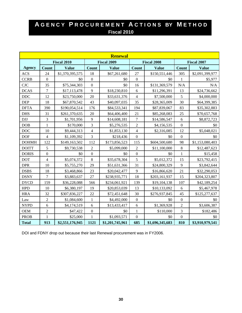|               |                  |                    |                  | <b>Renewal</b>     |                  |                    |                  |                    |
|---------------|------------------|--------------------|------------------|--------------------|------------------|--------------------|------------------|--------------------|
|               |                  | <b>Fiscal 2010</b> |                  | <b>Fiscal 2009</b> |                  | <b>Fiscal 2008</b> |                  | <b>Fiscal 2007</b> |
| <b>Agency</b> | <b>Count</b>     | <b>Value</b>       | <b>Count</b>     | <b>Value</b>       | <b>Count</b>     | <b>Value</b>       | <b>Count</b>     | <b>Value</b>       |
| <b>ACS</b>    | 24               | \$1,370,395,575    | 18               | \$67,261,680       | 27               | \$150,551,446      | 305              | \$2,091,399,977    |
| <b>CCRB</b>   | $\boldsymbol{0}$ | \$0                | $\boldsymbol{0}$ | \$0                | $\boldsymbol{0}$ | \$0                | 1                | \$5,977            |
| CJC           | 35               | \$75,344,303       | $\overline{0}$   | \$0                | 16               | \$131,369,579      | N/A              | N/A                |
| <b>DCAS</b>   | $\boldsymbol{7}$ | \$17,113,478       | 9                | \$18,230,810       | 6                | \$11,296,391       | 13               | \$24,736,662       |
| $DDC$         | 12               | \$23,750,000       | 20               | \$33,631,376       | $\overline{4}$   | \$7,500,000        | 5                | \$4,000,000        |
| <b>DEP</b>    | 18               | \$67,870,542       | 43               | \$40,097,035       | 35               | \$28,365,009       | 30               | \$64,399,385       |
| <b>DFTA</b>   | 390              | \$190,054,514      | 176              | \$84,533,341       | 194              | \$87,839,067       | 83               | \$35,302,883       |
| <b>DHS</b>    | 31               | \$261,370,635      | 20               | \$64,406,400       | 21               | \$85,268,083       | 25               | \$70,657,768       |
| <b>DJJ</b>    | 3                | \$1,701,956        | 9                | \$14,608,181       | $\boldsymbol{7}$ | \$14,586,547       | 6                | \$8,872,723        |
| DOB           | $\mathbf{1}$     | \$170,000          | 3                | \$5,276,535        | $\overline{c}$   | \$4,156,535        | $\boldsymbol{0}$ | \$0                |
| DOC           | 10               | \$9,444,313        | $\overline{4}$   | \$1,853,130        | $\overline{4}$   | \$2,316,085        | 12               | \$5,048,021        |
| <b>DOF</b>    | $\overline{4}$   | \$1,109,392        | $\overline{3}$   | \$218,436          | $\boldsymbol{0}$ | \$0                | $\overline{0}$   | \$0                |
| <b>DOHMH</b>  | 122              | \$149,163,502      | 112              | \$173,856,523      | 115              | \$604,500,680      | 98               | \$1,153,080,403    |
| <b>DOITT</b>  | 5                | \$9,730,538        | $\overline{2}$   | \$5,099,000        | $\overline{2}$   | \$11,100,000       | 8                | \$12,487,623       |
| <b>DORIS</b>  | $\boldsymbol{0}$ | \$0                | $\overline{0}$   | \$0                | $\boldsymbol{0}$ | \$0                | $\mathbf{1}$     | \$15,458           |
| <b>DOT</b>    | $\overline{4}$   | \$5,074,372        | 8                | \$35,678,304       | 5                | \$5,012,372        | 15               | \$23,792,415       |
| <b>DPR</b>    | 10               | \$5,755,270        | 29               | \$51,631,366       | 31               | \$24,800,329       | 9                | \$3,842,644        |
| <b>DSBS</b>   | 18               | \$3,468,866        | 23               | \$20,042,477       | 9                | \$16,866,620       | 21               | \$32,290,053       |
| <b>DSNY</b>   | $\tau$           | \$3,883,637        | 27               | \$238,935,771      | 18               | \$203,161,937      | 15               | \$204,323,807      |
| <b>DYCD</b>   | 159              | \$36,228,088       | 566              | \$234,061,921      | 139              | \$19,104,138       | 107              | \$42,189,254       |
| <b>HPD</b>    | 10               | \$6,380,197        | 19               | \$20,853,039       | 13               | \$10,133,092       | 6                | \$5,467,978        |
| <b>HRA</b>    | 32               | \$307,836,227      | 22               | \$72,451,648       | 30               | \$276,937,845      | 45               | \$125,277,637      |
| Law           | $\overline{2}$   | \$1,084,600        | $\mathbf{1}$     | \$4,492,000        | $\boldsymbol{0}$ | \$0                | $\mathbf{0}$     | \$0                |
| <b>NYPD</b>   | 6                | \$4,174,519        | 6                | \$13,433,417       | 6                | \$1,369,928        | $\overline{c}$   | \$3,606,387        |
| <b>OEM</b>    | $\overline{c}$   | \$47,422           | $\boldsymbol{0}$ | \$0                | 1                | \$110,000          | 3                | \$182,486          |
| <b>PROB</b>   | $\mathbf{1}$     | \$25,000           | $\mathbf{1}$     | \$1,093,571        | $\mathbf{0}$     | \$0                | $\overline{0}$   | \$0                |
| <b>Total</b>  | 913              | \$2,551,176,945    | 1121             | \$1,201,745,961    | 685              | \$1,696,345,683    | 810              | \$3,910,979,541    |

DOI and FDNY drop out because their last Renewal procurement was in FY2006.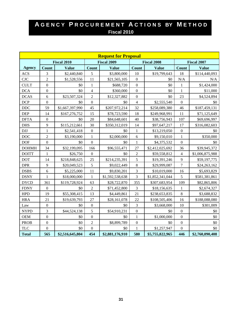|                             |                  |                    |                  | <b>Request for Proposal</b> |                  |                    |                  |                    |
|-----------------------------|------------------|--------------------|------------------|-----------------------------|------------------|--------------------|------------------|--------------------|
|                             |                  | <b>Fiscal 2010</b> |                  | <b>Fiscal 2009</b>          |                  | <b>Fiscal 2008</b> |                  | <b>Fiscal 2007</b> |
| <b>Agency</b>               | Count            | <b>Value</b>       | Count            | <b>Value</b>                | <b>Count</b>     | <b>Value</b>       | Count            | <b>Value</b>       |
| <b>ACS</b>                  | 3                | \$2,440,840        | $\mathfrak s$    | \$3,800,000                 | $10\,$           | \$19,799,643       | 18               | \$114,440,093      |
| $\ensuremath{\mathrm{CJC}}$ | $\overline{c}$   | \$1,528,556        | 11               | \$21,565,105                | $\overline{0}$   | \$0                | N/A              | N/A                |
| <b>CULT</b>                 | $\mathbf{0}$     | \$0                | $\mathbf{1}$     | \$688,720                   | $\overline{0}$   | \$0                | $\mathbf{1}$     | \$1,424,000        |
| <b>DCA</b>                  | $\boldsymbol{0}$ | \$0                | $\overline{4}$   | \$360,000                   | $\boldsymbol{0}$ | \$0                | $\mathbf{1}$     | \$11,000           |
| <b>DCAS</b>                 | 6                | \$23,507,324       | $\overline{2}$   | \$12,327,882                | $\boldsymbol{0}$ | \$0                | 23               | \$4,524,894        |
| DCP                         | $\boldsymbol{0}$ | \$0                | $\boldsymbol{0}$ | \$0                         | $\overline{4}$   | \$2,555,540        | $\boldsymbol{0}$ | \$0                |
| <b>DDC</b>                  | 59               | \$1,667,397,990    | 45               | \$207,972,214               | 32               | \$258,089,380      | 46               | \$187,459,131      |
| <b>DEP</b>                  | 14               | \$167,276,752      | 15               | \$78,723,590                | 18               | \$249,968,991      | 11               | \$71,125,649       |
| <b>DFTA</b>                 | $\boldsymbol{0}$ | \$0                | 20               | \$84,648,601                | 40               | \$38,756,943       | 107              | \$69,696,997       |
| <b>DHS</b>                  | 9                | \$115,212,661      | 30               | \$350,312,019               | 14               | \$97,647,217       | 17               | \$316,082,603      |
| <b>DJJ</b>                  | $\mathbf{1}$     | \$2,541,418        | $\boldsymbol{0}$ | \$0                         | $\mathbf{1}$     | \$13,219,050       | $\boldsymbol{0}$ | \$0                |
| <b>DOC</b>                  | $\overline{c}$   | \$3,190,000        | $\mathbf{1}$     | \$2,000,000                 | 6                | \$9,150,010        | $\mathbf{1}$     | \$350,000          |
| <b>DOF</b>                  | $\boldsymbol{0}$ | \$0                | $\boldsymbol{0}$ | \$0                         | $\mathbf{1}$     | \$4,375,532        | $\boldsymbol{0}$ | \$0                |
| <b>DOHMH</b>                | 34               | \$32,199,095       | 166              | \$96,555,471                | 27               | \$2,412,025,692    | 36               | \$39,945,372       |
| <b>DOITT</b>                | $\mathbf{1}$     | \$26,750           | $\mathbf{0}$     | \$0                         | $\overline{2}$   | \$59,558,812       | $\overline{4}$   | \$1,006,875,988    |
| <b>DOT</b>                  | 14               | \$218,848,625      | 25               | \$214,235,391               | 5                | \$19,391,246       | 9                | \$59,197,775       |
| <b>DPR</b>                  | $\mathbf{9}$     | \$20,049,523       | 5                | \$9,022,449                 | $\,8\,$          | \$29,999,087       | $\overline{7}$   | \$24,263,162       |
| <b>DSBS</b>                 | $\sqrt{6}$       | \$5,225,000        | 11               | \$9,830,201                 | 3                | \$10,019,000       | 16               | \$5,693,829        |
| <b>DSNY</b>                 | $\mathbf{1}$     | \$18,000,000       | $\mathbf{1}$     | \$1,592,538,638             | 3                | \$1,852,341,044    | 5                | \$581,381,861      |
| <b>DYCD</b>                 | 361              | \$119,728,924      | 63               | \$28,722,870                | 355              | \$307,683,954      | 109              | \$82,865,806       |
| <b>FDNY</b>                 | $\mathbf{0}$     | \$0                | $\overline{2}$   | \$71,452,800                | 3                | \$18,156,635       | $\mathbf{1}$     | \$2,674,327        |
| <b>HPD</b>                  | 19               | \$55,308,415       | 13               | \$4,449,861                 | 21               | \$238,653,835      | 8                | \$3,688,832        |
| <b>HRA</b>                  | 21               | \$19,639,793       | 27               | \$28,161,078                | 22               | \$108,505,406      | 16               | \$188,088,080      |
| Law                         | $\boldsymbol{0}$ | \$0                | $\boldsymbol{0}$ | \$0                         | 3                | \$3,668,000        | 10               | \$301,009          |
| <b>NYPD</b>                 | 3                | \$44,524,138       | 5                | \$54,910,231                | $\boldsymbol{0}$ | \$0                | $\boldsymbol{0}$ | \$0                |
| <b>OEM</b>                  | $\boldsymbol{0}$ | \$0                | $\boldsymbol{0}$ | \$0                         | $\mathbf{1}$     | \$1,000,000        | $\overline{0}$   | \$0                |
| <b>PROB</b>                 | $\boldsymbol{0}$ | \$0                | $\overline{2}$   | \$8,899,789                 | $\boldsymbol{0}$ | \$0                | $\overline{0}$   | \$0                |
| <b>TLC</b>                  | $\overline{0}$   | \$0                | $\mathbf{0}$     | \$0                         | 1                | \$1,257,947        | $\overline{0}$   | \$0                |
| <b>Total</b>                | 565              | \$2,516,645,804    | 454              | \$2,881,176,910             | 580              | \$5,755,822,965    | 446              | \$2,760,090,408    |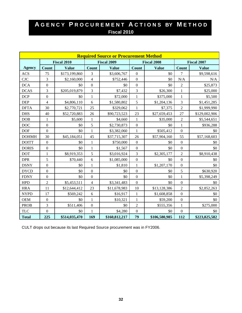|               |                  |                    |                    | <b>Required Source or Procurement Method</b> |                    |               |                  |                    |
|---------------|------------------|--------------------|--------------------|----------------------------------------------|--------------------|---------------|------------------|--------------------|
|               |                  | <b>Fiscal 2010</b> | <b>Fiscal 2009</b> |                                              | <b>Fiscal 2008</b> |               |                  | <b>Fiscal 2007</b> |
| <b>Agency</b> | <b>Count</b>     | <b>Value</b>       | <b>Count</b>       | <b>Value</b>                                 | <b>Count</b>       | <b>Value</b>  | <b>Count</b>     | <b>Value</b>       |
| <b>ACS</b>    | 75               | \$173,199,860      | 3                  | \$3,606,767                                  | $\boldsymbol{0}$   | \$0           | 7                | \$9,598,616        |
| <b>CJC</b>    | $\overline{3}$   | \$2,160,000        | $\overline{4}$     | \$752,446                                    | $\mathbf{0}$       | \$0           | N/A              | N/A                |
| <b>DCA</b>    | $\boldsymbol{0}$ | \$0                | $\mathbf{0}$       | \$0                                          | $\boldsymbol{0}$   | \$0           | $\overline{2}$   | \$25,873           |
| <b>DCAS</b>   | 3                | \$205,019,879      | 3                  | \$7,432                                      | 3                  | \$26,300      | $\mathbf{1}$     | \$25,000           |
| <b>DCP</b>    | $\boldsymbol{0}$ | \$0                | $\mathbf{1}$       | \$72,000                                     | $\,1$              | \$375,000     | $\mathbf{1}$     | \$5,500            |
| <b>DEP</b>    | $\overline{4}$   | \$4,806,110        | 6                  | \$1,580,802                                  | 5                  | \$1,204,136   | 3                | \$1,451,285        |
| <b>DFTA</b>   | 30               | \$2,770,721        | 25                 | \$329,062                                    | $\mathbf{1}$       | \$7,375       | $\overline{2}$   | \$1,999,990        |
| <b>DHS</b>    | 40               | \$52,720,883       | 26                 | \$90,723,523                                 | 23                 | \$27,659,453  | 27               | \$129,002,906      |
| <b>DOB</b>    | $\mathbf{1}$     | \$5,600            | $\mathbf{1}$       | \$4,660                                      | $\mathbf{1}$       | \$35,000      | $\overline{2}$   | \$5,544,651        |
| $_{\rm DOC}$  | $\boldsymbol{0}$ | \$0                | 5                  | \$2,730,873                                  | $\boldsymbol{0}$   | \$0           | $\mathbf{1}$     | \$936,288          |
| <b>DOF</b>    | $\boldsymbol{0}$ | \$0                | $\mathbf{1}$       | \$3,382,060                                  | $\mathbf{1}$       | \$505,412     | $\boldsymbol{0}$ | \$0                |
| <b>DOHMH</b>  | 30               | \$45,184,051       | 45                 | \$37,715,307                                 | 26                 | \$57,904,160  | 55               | \$57,168,603       |
| <b>DOITT</b>  | $\boldsymbol{0}$ | \$0                | $\mathbf{1}$       | \$750,000                                    | $\boldsymbol{0}$   | \$0           | $\overline{0}$   | \$0                |
| <b>DORIS</b>  | $\boldsymbol{0}$ | \$0                | $\mathbf{1}$       | \$1,567                                      | $\boldsymbol{0}$   | \$0           | $\overline{0}$   | \$0                |
| <b>DOT</b>    | $\mathbf{1}$     | \$8,919,353        | 5                  | \$3,016,924                                  | 3                  | \$2,305,177   | $\overline{2}$   | \$8,910,438        |
| <b>DPR</b>    | 5                | \$70,440           | 6                  | \$1,085,000                                  | $\boldsymbol{0}$   | \$0           | $\boldsymbol{0}$ | \$0                |
| <b>DSNY</b>   | $\boldsymbol{0}$ | \$0                | $\mathbf{1}$       | \$1,810                                      | $\mathbf{1}$       | \$1,207,170   | $\overline{0}$   | \$0                |
| <b>DYCD</b>   | $\boldsymbol{0}$ | \$0                | $\overline{0}$     | \$0                                          | $\boldsymbol{0}$   | \$0           | 5                | \$630,920          |
| <b>FDNY</b>   | $\boldsymbol{0}$ | \$0                | $\mathbf{0}$       | \$0                                          | $\mathbf{0}$       | \$0           | $\mathbf{1}$     | \$5,398,249        |
| <b>HPD</b>    | $\sqrt{2}$       | \$5,453,511        | $\overline{4}$     | \$3,341,483                                  | $\boldsymbol{0}$   | \$0           | $\boldsymbol{0}$ | \$0                |
| <b>HRA</b>    | 11               | \$12,644,412       | 23                 | \$11,678,983                                 | 10                 | \$13,128,386  | $\overline{2}$   | \$2,852,263        |
| <b>NYPD</b>   | 17               | \$569,242          | 6                  | \$16,917                                     | $\mathbf{1}$       | \$1,608,858   | $\overline{0}$   | \$0                |
| <b>OEM</b>    | $\boldsymbol{0}$ | \$0                | $\mathbf{1}$       | \$10,321                                     | $\mathbf{1}$       | \$59,200      | $\overline{0}$   | \$0                |
| <b>PROB</b>   | 3                | \$511,406          | $\boldsymbol{0}$   | \$0                                          | $\overline{c}$     | \$555,356     | $\mathbf{1}$     | \$275,000          |
| <b>TLC</b>    | $\boldsymbol{0}$ | \$0                | $\mathbf{1}$       | \$4,280                                      | $\boldsymbol{0}$   | \$0           | $\boldsymbol{0}$ | \$0                |
| <b>Total</b>  | 225              | \$514,035,470      | 169                | \$160,812,217                                | 79                 | \$106,580,985 | 112              | \$223,825,582      |

CULT drops out because its last Required Source procurement was in FY2006.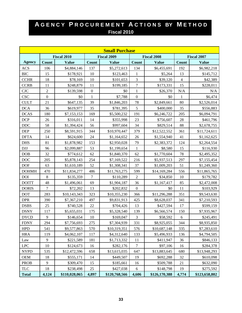|               |                  |                    |                  | <b>Small Purchase</b> |                  |                    |                |                    |
|---------------|------------------|--------------------|------------------|-----------------------|------------------|--------------------|----------------|--------------------|
|               |                  | <b>Fiscal 2010</b> |                  | <b>Fiscal 2009</b>    |                  | <b>Fiscal 2008</b> |                | <b>Fiscal 2007</b> |
| <b>Agency</b> | Count            | <b>Value</b>       | <b>Count</b>     | <b>Value</b>          | <b>Count</b>     | <b>Value</b>       | Count          | <b>Value</b>       |
| <b>ACS</b>    | 106              | \$4,884,146        | 137              | \$5,272,613           | 134              | \$6,455,691        | 192            | \$6,982,218        |
| <b>BIC</b>    | 15               | \$178,921          | 10               | \$123,463             | $\mathbf{1}$     | \$5,264            | 13             | \$145,712          |
| <b>CCHR</b>   | 18               | \$78,169           | 10               | \$101,653             | 3                | \$39,120           | $\overline{4}$ | \$42,389           |
| <b>CCRB</b>   | 11               | \$248,879          | 11               | \$199,185             | $\overline{7}$   | \$173,331          | 15             | \$228,011          |
| <b>CJC</b>    | $\overline{2}$   | \$139,598          | $\boldsymbol{0}$ | \$0                   | $\mathbf{1}$     | \$26,370           | N/A            | N/A                |
| <b>CSC</b>    | $\boldsymbol{0}$ | \$0                | $\mathbf{1}$     | \$7,788               | $\boldsymbol{0}$ | \$0                | 1              | \$6,474            |
| <b>CULT</b>   | 21               | \$647,135          | 39               | \$1,846,203           | 78               | \$2,849,661        | 80             | \$2,526,014        |
| <b>DCA</b>    | 36               | \$619,977          | 35               | \$781,395             | 5                | \$400,000          | 35             | \$556,883          |
| <b>DCAS</b>   | 180              | \$7,153,153        | 169              | \$5,500,232           | 191              | \$6,246,722        | 205            | \$6,094,791        |
| <b>DCP</b>    | 26               | \$316,011          | 14               | \$355,998             | 23               | \$756,607          | 28             | \$461,796          |
| <b>DDC</b>    | 58               | \$1,394,424        | 56               | \$997,604             | 34               | \$829,514          | 88             | \$2,678,755        |
| <b>DEP</b>    | 250              | \$8,591,915        | 344              | \$10,970,447          | 379              | \$12,522,552       | 361            | \$11,724,611       |
| <b>DFTA</b>   | 14               | \$624,600          | 24               | \$1,164,652           | 26               | \$1,554,940        | 41             | \$1,162,625        |
| <b>DHS</b>    | 81               | \$1,878,982        | 153              | \$2,950,028           | 79               | \$2,383,372        | 124            | \$2,264,554        |
| <b>DJJ</b>    | 96               | \$2,099,887        | 53               | \$1,199,654           | $\mathbf{1}$     | \$8,580            | 15             | \$116,930          |
| DOB           | 32               | \$774,612          | 62               | \$1,840,370           | 62               | \$1,770,604        | 78             | \$2,495,352        |
| <b>DOC</b>    | 205              | \$5,878,143        | 254              | \$7,169,522           | 216              | \$5,937,513        | 297            | \$7,155,454        |
| <b>DOF</b>    | 63               | \$1,610,189        | 52               | \$1,308,341           | 37               | \$1,009,203        | 51             | \$1,249,360        |
| <b>DOHMH</b>  | 470              | \$11,834,277       | 486              | \$11,763,275          | 599              | \$14,169,284       | 556            | \$11,865,765       |
| <b>DOI</b>    | $\,8\,$          | \$135,359          | $\tau$           | \$110,289             | $\mathfrak{2}$   | \$34,850           | 10             | \$179,782          |
| <b>DOITT</b>  | 48               | \$1,496,061        | 69               | \$1,904,187           | 36               | \$1,167,417        | 85             | \$2,472,008        |
| <b>DORIS</b>  | $\boldsymbol{7}$ | \$72,202           | 13               | \$202,832             | $\boldsymbol{0}$ | \$0                | 11             | \$103,929          |
| <b>DOT</b>    | 283              | \$10,143,343       | 323              | \$10,355,230          | 366              | \$11,296,288       | 351            | \$9,543,630        |
| <b>DPR</b>    | 390              | \$7,367,210        | 497              | \$9,831,913           | 425              | \$8,628,037        | 341            | \$7,210,593        |
| <b>DSBS</b>   | 25               | \$740,528          | 22               | \$704,426             | 13               | \$427,594          | 17             | \$599,159          |
| <b>DSNY</b>   | 117              | \$5,655,031        | 175              | \$5,328,540           | 139              | \$6,566,574        | 150            | \$7,935,967        |
| <b>DYCD</b>   | $\mathbf{9}$     | \$146,654          | 10               | \$169,047             | 3                | \$58,592           | 6              | \$245,491          |
| <b>FDNY</b>   | 294              | \$7,756,693        | 275              | \$7,304,939           | 331              | \$8,925,055        | 344            | \$8,935,850        |
| <b>HPD</b>    | 541              | \$9,577,863        | 570              | \$10,319,351          | 576              | \$10,687,148       | 335            | \$7,283,610        |
| <b>HRA</b>    | 119              | \$4,062,107        | 117              | \$4,312,640           | 133              | \$5,496,933        | 136            | \$4,794,505        |
| Law           | 9                | \$221,589          | 181              | \$1,713,332           | 11               | \$411,947          | 36             | \$846,133          |
| <b>LPC</b>    | 10               | \$124,673          | 16               | \$282,176             | 7                | \$97,106           | 16             | \$284,378          |
| <b>NYPD</b>   | 535              | \$12,472,596       | 658              | \$13,615,035          | 647              | \$13,883,645       | 680            | \$13,948,293       |
| OEM           | 18               | \$555,171          | 14               | \$449,507             | 19               | \$692,288          | 32             | \$610,098          |
| <b>PROB</b>   | 9                | \$309,470          | 15               | \$185,661             | 16               | \$509,788          | 21             | \$632,090          |
| <b>TLC</b>    | 18               | \$238,498          | 25               | \$427,038             | 6                | \$148,798          | 19             | \$275,592          |
| <b>Total</b>  | 4,124            | \$110,028,065      | 4,897            | \$120,768,566         | 4,606            | \$126,170,388      | 4,774          | \$123,658,802      |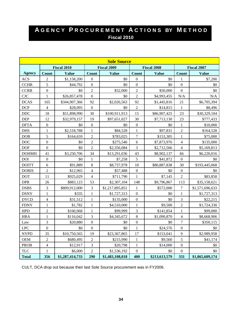|               |                         |                    |                  | <b>Sole Source</b> |                  |                    |                  |                    |
|---------------|-------------------------|--------------------|------------------|--------------------|------------------|--------------------|------------------|--------------------|
|               |                         | <b>Fiscal 2010</b> |                  | <b>Fiscal 2009</b> |                  | <b>Fiscal 2008</b> |                  | <b>Fiscal 2007</b> |
| <b>Agency</b> | <b>Count</b>            | <b>Value</b>       | <b>Count</b>     | <b>Value</b>       | <b>Count</b>     | <b>Value</b>       | <b>Count</b>     | <b>Value</b>       |
| <b>ACS</b>    | $\overline{2}$          | \$1,158,200        | $\boldsymbol{0}$ | \$0                | $\boldsymbol{0}$ | \$0                | $\mathbf{1}$     | \$7,200            |
| <b>CCHR</b>   | 5                       | \$44,792           | $\boldsymbol{0}$ | \$0                | $\boldsymbol{0}$ | \$0                | $\mathbf{0}$     | \$0                |
| <b>CCRB</b>   | $\boldsymbol{0}$        | \$0                | $\overline{c}$   | \$52,000           | $\overline{2}$   | \$50,000           | $\overline{0}$   | \$0                |
| CJC           | $\,1$                   | \$26,857,478       | $\mathbf{0}$     | \$0                | $\sqrt{2}$       | \$4,993,455        | N/A              | N/A                |
| <b>DCAS</b>   | 165                     | \$344,907,366      | 92               | \$2,026,563        | 92               | \$1,445,816        | 21               | \$6,705,394        |
| <b>DCP</b>    | $\overline{4}$          | \$28,095           | $\boldsymbol{0}$ | \$0                | $\overline{2}$   | \$14,815           | $\mathbf{1}$     | \$8,496            |
| <b>DDC</b>    | 18                      | \$51,898,990       | 30               | \$100,911,913      | 15               | \$86,907,425       | 23               | \$30,329,104       |
| <b>DEP</b>    | 12                      | \$32,979,157       | 19               | \$97,651,027       | 30               | \$7,713,130        | 23               | \$777,433          |
| <b>DFTA</b>   | $\boldsymbol{0}$        | \$0                | $\mathbf{0}$     | \$0                | $\boldsymbol{0}$ | \$0                | $\mathbf{1}$     | \$10,000           |
| <b>DHS</b>    | $\mathbf{1}$            | \$2,518,788        | $\mathbf{1}$     | \$84,528           | $\mathbf{1}$     | \$97,831           | $\sqrt{2}$       | \$164,528          |
| DOB           | 5                       | \$164,659          | $\overline{2}$   | \$783,025          | $\boldsymbol{7}$ | \$153,305          | $\mathbf{1}$     | \$75,000           |
| DOC           | $\boldsymbol{0}$        | \$0                | $\overline{2}$   | \$275,546          | 6                | \$7,873,976        | $\overline{4}$   | \$135,000          |
| <b>DOF</b>    | $\boldsymbol{0}$        | \$0                | $\overline{2}$   | \$2,356,084        | $\overline{3}$   | \$2,712,566        | $\overline{4}$   | \$5,169,813        |
| <b>DOHMH</b>  | 41                      | \$3,250,706        | 34               | \$13,291,036       | 43               | \$8,902,137        | 66               | \$6,220,016        |
| $\rm{DOI}$    | $\boldsymbol{0}$        | \$0                | $\mathbf{1}$     | \$7,258            | 5                | \$41,872           | $\boldsymbol{0}$ | \$0                |
| <b>DOITT</b>  | 6                       | \$91,889           | 8                | \$8,737,978        | 10               | \$80,887,838       | 30               | \$193,445,068      |
| <b>DORIS</b>  | $\overline{2}$          | \$12,965           | $\overline{4}$   | \$57,488           | $\boldsymbol{0}$ | \$0                | $\boldsymbol{0}$ | \$0                |
| <b>DOT</b>    | 11                      | \$925,029          | $\overline{4}$   | \$711,790          | $\mathbf{1}$     | \$7,145            | $\overline{c}$   | \$83,858           |
| <b>DPR</b>    | 26                      | \$883,123          | 53               | \$2,307,104        | 148              | \$9,796,867        | 113              | \$35,158,621       |
| <b>DSBS</b>   | 3                       | \$809,912,000      | $\mathfrak{Z}$   | \$1,217,895,851    | $\mathbf{1}$     | \$572,000          | $\boldsymbol{7}$ | \$1,571,696,633    |
| <b>DSNY</b>   | $\mathbf{1}$            | \$335              | $\mathbf{1}$     | \$1,727,313        | $\boldsymbol{0}$ | \$0                | $\mathbf{1}$     | \$1,727,313        |
| <b>DYCD</b>   | $\overline{\mathbf{4}}$ | \$31,512           | $\mathbf{1}$     | \$135,000          | $\mathbf{0}$     | \$0                | $\overline{3}$   | \$22,215           |
| <b>FDNY</b>   | $\mathbf{1}$            | \$1,782            | $\mathbf{1}$     | \$4,510,000        | $\mathbf{1}$     | \$9,500            | $\overline{2}$   | \$1,724,330        |
| <b>HPD</b>    | $\overline{c}$          | \$160,968          | $\mathbf{1}$     | \$99,999           | 3                | \$141,854          | $\mathbf{1}$     | \$99,000           |
| <b>HRA</b>    | $\mathbf{1}$            | \$116,042          | $\overline{3}$   | \$4,345,672        | 8                | \$1,090,870        | $\overline{4}$   | \$8,668,906        |
| $\rm Law$     | $\overline{3}$          | \$20,880           | $\mathbf{0}$     | \$0                | $\boldsymbol{0}$ | \$0                | $\overline{7}$   | \$350,115          |
| <b>LPC</b>    | $\boldsymbol{0}$        | \$0                | $\overline{0}$   | \$0                | $\mathbf{1}$     | \$24,576           | $\mathbf{0}$     | \$0                |
| <b>NYPD</b>   | 35                      | \$10,750,565       | 19               | \$23,367,865       | 17               | \$153,041          | 9                | \$2,989,958        |
| <b>OEM</b>    | $\sqrt{2}$              | \$680,495          | $\overline{2}$   | \$215,990          | $\mathbf{1}$     | \$9,560            | 5                | \$41,174           |
| <b>PROB</b>   | $\overline{\mathbf{4}}$ | \$12,917           | 3                | \$20,798           | $\mathbf{1}$     | \$14,000           | $\boldsymbol{0}$ | \$0                |
| <b>TLC</b>    | $\mathbf{1}$            | \$6,000            | $\overline{2}$   | \$1,536,192        | $\boldsymbol{0}$ | \$0                | $\boldsymbol{0}$ | \$0                |
| <b>Total</b>  | 356                     | \$1,287,414,733    | 290              | \$1,483,108,018    | 400              | \$213,613,579      | 331              | \$1,865,609,174    |

CULT, DCA drop out because their last Sole Source procurement was in FY2006.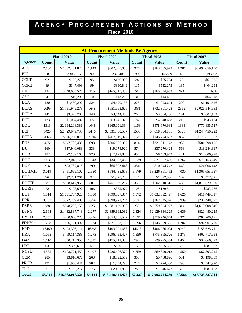|               | <b>All Procurement Methods By Agency</b> |                    |        |                    |              |                    |           |                    |  |
|---------------|------------------------------------------|--------------------|--------|--------------------|--------------|--------------------|-----------|--------------------|--|
|               |                                          | <b>Fiscal 2010</b> |        | <b>Fiscal 2009</b> |              | <b>Fiscal 2008</b> |           | <b>Fiscal 2007</b> |  |
| <b>Agency</b> | <b>Count</b>                             | <b>Value</b>       | Count  | <b>Value</b>       | <b>Count</b> | <b>Value</b>       | Count     | <b>Value</b>       |  |
| <b>ACS</b>    | 2,100                                    | \$2,882,481,820    | 1,143  | \$802,808,030      | 976          | \$263,565,973      | 1,281     | \$3,494,059,130    |  |
| <b>BIC</b>    | 78                                       | 330281.59          | 90     | 232040.36          | 90           | 155889             | 48        | 193603             |  |
| <b>CCHR</b>   | 92                                       | \$195,270          | 95     | \$176,909          | 24           | \$65,754           | 20        | \$61,535           |  |
| <b>CCRB</b>   | 89                                       | \$347,498          | 99     | \$390,849          | 115          | \$532,273          | 135       | \$404,298          |  |
| <b>CJC</b>    | 134                                      | \$248,085,577      | 115    | \$165,315,436      | 51           | \$165,334,953      | $\rm N/A$ | $\rm N/A$          |  |
| <b>CSC</b>    | 4                                        | \$10,293           | 10     | \$13,299           | 31           | \$14,491           | 58        | \$66,018           |  |
| <b>DCA</b>    | 180                                      | \$1,480,292        | 224    | \$4,420,135        | 275          | \$1,023,644        | 290       | \$1,191,626        |  |
| <b>DCAS</b>   | 2099                                     | \$1,751,949,278    | 1648   | \$651,663,626      | 1881         | \$732,301,428      | 2362      | \$2,026,544,983    |  |
| <b>DCLA</b>   | 141                                      | \$3,323,700        | 148    | \$3,644,406        | 204          | \$3,304,406        | 151       | \$4,602,183        |  |
| <b>DCP</b>    | 173                                      | \$1,034,482        | 177    | \$3,245,973        | 187          | \$4,548,688        | 218       | \$943,434          |  |
| <b>DDC</b>    | 1313                                     | \$2,194,208,381    | 1048   | \$965,001,394      | 1168         | \$978,670,684      | 1333      | \$770,835,527      |  |
| <b>DEP</b>    | 5420                                     | \$2,429,949,733    | 5446   | \$2,531,400,587    | 5530         | \$4,618,004,861    | 5326      | \$1,244,450,222    |  |
| <b>DFTA</b>   | 2066                                     | \$326,260,870      | 2194   | \$267,819,022      | 1125         | \$145,774,633      | 832       | \$176,811,362      |  |
| <b>DHS</b>    | 455                                      | \$547,706,439      | 698    | \$606,966,907      | 814          | \$321,311,173      | 939       | \$581,298,405      |  |
| <b>DJJ</b>    | 360                                      | \$17,940,083       | 333    | \$19,074,920       | 574          | \$37,270,428       | 568       | \$18,284,317       |  |
| <b>DOB</b>    | 182                                      | \$22,109,168       | 220    | \$17,172,885       | 457          | \$8,403,942        | 441       | \$10,006,978       |  |
| <b>DOC</b>    | 963                                      | \$52,018,175       | 1,043  | \$34,057,466       | 1,039        | \$71,887,466       | 1,262     | \$73,153,249       |  |
| <b>DOF</b>    | 316                                      | \$23,787,815       | 299    | \$66,303,448       | 354          | \$10,244,242       | 440       | \$24,006,148       |  |
| <b>DOHMH</b>  | 3,019                                    | \$451,699,102      | 2,950  | \$684,435,678      | 3,679        | \$3,226,361,452    | 4,030     | \$1,365,653,957    |  |
| <b>DOI</b>    | 96                                       | \$2,761,261        | 92     | \$1,078,246        | 141          | \$1,392,566        | 162       | \$2,477,521        |  |
| <b>DOITT</b>  | 381                                      | \$528,617,956      | 381    | \$451,570,204      | 330          | \$502,710,515      | 480       | \$1,818,529,550    |  |
| <b>DORIS</b>  | 72                                       | \$193,692          | 106    | \$355,972          | 108          | \$139,541          | 97        | \$233,786          |  |
| <b>DOT</b>    | 1,514                                    | \$1,651,764,926    | 1,380  | \$690,307,354      | 1,572        | \$1,032,892,497    | 1,626     | \$411,449,817      |  |
| <b>DPR</b>    | 3,487                                    | \$522,709,405      | 3,296  | \$398,921,204      | 3,821        | \$362,345,396      | 3,939     | \$237,448,097      |  |
| <b>DSBS</b>   | 388                                      | \$848,226,150      | 325    | \$1,281,129,990    | 250          | \$1,559,824,077    | 314       | \$1,613,008,846    |  |
| <b>DSNY</b>   | 2,664                                    | \$1,432,887,748    | 2,277  | \$2,359,162,082    | 2,324        | \$2,129,384,229    | 2,639     | \$820,480,229      |  |
| <b>DYCD</b>   | 2,857                                    | \$230,600,273      | 3,236  | \$354,567,522      | 1,821        | \$379,746,844      | 2,328     | \$200,200,191      |  |
| <b>FDNY</b>   | 1,298                                    | \$56,121,392       | 1,224  | \$221,823,185      | 1,396        | \$145,839,565      | 1,702     | \$92,907,730       |  |
| <b>HPD</b>    | 16480                                    | \$123,306,111      | 16266  | \$103,991,688      | 14618        | \$404,286,094      | 9060      | \$158,625,711      |  |
| <b>HRA</b>    | 1,055                                    | \$469,114,388      | 1,275  | \$296,453,427      | 1,350        | \$775,365,726      | 1,273     | \$462,717,658      |  |
| Law           | 1,110                                    | \$50,213,355       | 1,097  | \$175,712,338      | 790          | \$29,295,354       | 1,452     | \$32,066,472       |  |
| <b>LPC</b>    | 63                                       | \$309,619          | 57     | \$350,137          | 77           | \$385,605          | 78        | \$381,927          |  |
| <b>NYPD</b>   | 4,535                                    | \$103,771,459      | 4,407  | \$226,406,379      | 4,359        | \$69,820,012       | 4,550     | \$67,803,245       |  |
| <b>OEM</b>    | 285                                      | \$3,810,676        | 268    | \$18,592,559       | 303          | \$5,468,896        | 531       | \$3,198,889        |  |
| <b>PROB</b>   | 191                                      | \$1,956,441        | 202    | \$11,454,296       | 226          | \$2,724,300        | 298       | \$8,542,920        |  |
| <b>TLC</b>    | 261                                      | \$735,217          | 275    | \$2,421,883        | 280          | \$1,846,672        | 323       | \$687,453          |  |
| <b>Total</b>  | 55,921                                   | \$16,982,018,326   | 54,144 | \$13,418,441,475   | 52,337       | \$17,992,244,269   | 50,586    | \$15,723,327,014   |  |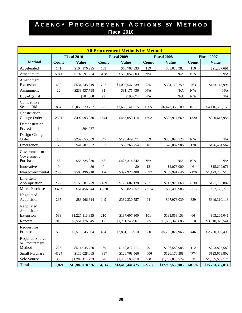|                                          |                |                    |                | <b>All Procurement Methods by Method</b> |           |                    |           |                    |
|------------------------------------------|----------------|--------------------|----------------|------------------------------------------|-----------|--------------------|-----------|--------------------|
|                                          |                | <b>Fiscal 2010</b> |                | <b>Fiscal 2009</b>                       |           | <b>Fiscal 2008</b> |           | <b>Fiscal 2007</b> |
| <b>Method</b>                            | Count          | <b>Value</b>       | <b>Count</b>   | <b>Value</b>                             | Count     | <b>Value</b>       | Count     | <b>Value</b>       |
| Accelerated                              | 171            | \$104,176,995      | 103            | \$66,708,833                             | 139       | \$65,020,982       | 110       | \$21,227,691       |
| Amendment                                | 5941           | \$197,597,254      | 3138           | \$508,057,803                            | N/A       | N/A                | N/A       | N/A                |
| Amendment                                |                |                    |                |                                          |           |                    |           |                    |
| Extension                                | 430            | \$534,245,319      | 727            | \$1,008,547,739                          | 235       | \$304,170,259      | 763       | \$453,147,996      |
| Assignment                               | 22             | \$239,437,798      | 31             | \$31,175,436                             | N/A       | N/A                | N/A       | N/A                |
| Buy-Against                              | $\overline{4}$ | \$784,368          | 29             | \$190,674                                | $\rm N/A$ | N/A                | N/A       | N/A                |
| Competitive<br>Sealed Bid                | 884            | \$6,059,279,777    | 822            | \$3,658,141,715                          | 1005      | \$6,473,366,100    | 1017      | \$4,116,550,159    |
| Construction<br>Change Order             | 2321           | \$492,993,030      | 1644           | \$465,053,114                            | 1502      | \$395,914,669      | 1320      | \$320,616,956      |
| Demonstration<br>Project                 | $\mathbf{1}$   | \$94,987           |                |                                          |           |                    |           |                    |
| Design Change<br>Order                   | 283            | \$259,655,009      | 347            | \$198,449,871                            | 359       | \$305,093,528      | N/A       | N/A                |
| Emergency                                | 129            | \$41,787,032       | 102            | \$68,766,254                             | 48        | \$20,007,986       | 130       | \$126,454,562      |
| Government-to-<br>Government             |                |                    |                |                                          |           |                    |           |                    |
| Purchase                                 | 58             | \$55,725,030       | 68             | \$425,314,842                            | $\rm N/A$ | N/A                | $\rm N/A$ | N/A                |
| Innovative                               | $\mathbf{0}$   | \$0                | $\overline{0}$ | \$0                                      | 12        | \$2,076,000        | 6         | \$15,699,071       |
| Intergovernmental                        | 2356           | \$500,496,918      | 2126           | \$392,978,488                            | 2397      | \$469,991,646      | 2176      | \$1,123,205,518    |
| Line-Item<br>Appropriation               | 2536           | \$153,207,279      | 2439           | \$173,682,120                            | 2021      | \$143,926,060      | 2538      | \$121,785,007      |
| Micro Purchase                           | 33709          | \$51,456,044       | 35278          | \$53,825,057                             | 38014     | \$58,405,983       | 35517     | \$57,723,773       |
| Negotiated<br>Acquisition                | 295            | \$83,966,614       | 149            | \$382,330,557                            | 94        | \$97,973,039       | 339       | \$349,310,118      |
| Negotiated<br>Acquisition                |                |                    |                |                                          |           |                    |           |                    |
| Extension                                | 598            | \$1,227,813,855    | 210            | \$137,607,300                            | 101       | \$193,858,153      | 66        | \$63,205,041       |
| Renewal                                  | 913            | \$2,551,176,945    | 1121           | \$1,201,745,961                          | 685       | \$1,696,345,683    | 810       | \$3,910,979,541    |
| Request for<br>Proposal                  | 565            | \$2,516,645,804    | 454            | \$2,881,176,910                          | 580       | \$5,755,822,965    | 446       | \$2,760,090,408    |
| <b>Required Source</b><br>or Procurement |                |                    |                |                                          |           |                    |           |                    |
| Method                                   | 225            | \$514,035,470      | 169            | \$160,812,217                            | 79        | \$106,580,985      | 112       | \$223,825,582      |
| Small Purchase                           | 4124           | \$110,028,065      | 4897           | \$120,768,566                            | 4606      | \$126,170,388      | 4774      | \$123,658,802      |
| Sole Source                              | 356            | \$1,287,414,733    | 290            | \$1,483,108,018                          | 400       | \$1,737,830,579    | 331       | \$1,865,609,174    |
| <b>Total</b>                             | 55,921         | \$16,982,018,326   | 54,144         | \$13,418,441,475                         | 52,337    | \$17,952,555,005   | 50,586    | \$15,723,327,014   |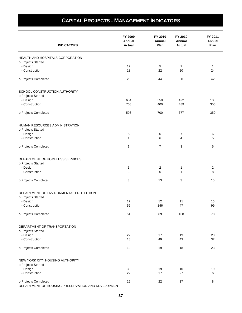|                                                    | FY 2009<br>Annual | FY 2010<br>Annual | FY 2010<br>Annual | FY 2011<br>Annual |
|----------------------------------------------------|-------------------|-------------------|-------------------|-------------------|
| <b>INDICATORS</b>                                  | <b>Actual</b>     | Plan              | Actual            | Plan              |
| HEALTH AND HOSPITALS CORPORATION                   |                   |                   |                   |                   |
| o Projects Started                                 |                   |                   |                   |                   |
| - Design                                           | 12                | 5                 | $\overline{7}$    | $\mathbf{1}$      |
| - Construction                                     | 18                | 22                | 20                | 24                |
| o Projects Completed                               | 25                | 44                | 30                | 42                |
| SCHOOL CONSTRUCTION AUTHORITY                      |                   |                   |                   |                   |
| o Projects Started                                 |                   |                   |                   |                   |
| - Design                                           | 634               | 350               | 422               | 130               |
| - Construction                                     | 708               | 400               | 489               | 350               |
| o Projects Completed                               | 593               | 700               | 677               | 350               |
| HUMAN RESOURCES ADMINISTRATION                     |                   |                   |                   |                   |
| o Projects Started                                 |                   |                   |                   |                   |
| - Design                                           | 5                 | 6                 | 7                 | 6                 |
| - Construction                                     | $\mathbf{1}$      | 6                 | 4                 | 5                 |
| o Projects Completed                               | 1                 | $\overline{7}$    | 3                 | 5                 |
| DEPARTMENT OF HOMELESS SERVICES                    |                   |                   |                   |                   |
| o Projects Started                                 |                   |                   |                   |                   |
| - Design                                           | 1                 | 2                 | 1                 | 2                 |
| - Construction                                     | 3                 | 6                 | $\mathbf{1}$      | 8                 |
| o Projects Completed                               | 3                 | 13                | 3                 | 15                |
| DEPARTMENT OF ENVIRONMENTAL PROTECTION             |                   |                   |                   |                   |
| o Projects Started                                 |                   |                   |                   |                   |
| - Design<br>- Construction                         | 17<br>59          | 12<br>146         | 11<br>47          | 15<br>99          |
|                                                    |                   |                   |                   |                   |
| o Projects Completed                               | 51                | 89                | 108               | 78                |
| DEPARTMENT OF TRANSPORTATION                       |                   |                   |                   |                   |
| o Projects Started                                 |                   |                   |                   |                   |
| - Design<br>- Construction                         | 22<br>18          | 17<br>49          | 19<br>43          | 23<br>32          |
| o Projects Completed                               | 19                | 19                | 18                | 23                |
|                                                    |                   |                   |                   |                   |
| NEW YORK CITY HOUSING AUTHORITY                    |                   |                   |                   |                   |
| o Projects Started<br>- Design                     | 30                | 19                | 10                | 19                |
| - Construction                                     | 22                | 17                | 27                | 6                 |
| o Projects Completed                               | 15                | 22                | 17                | 8                 |
| DEPARTMENT OF HOUSING PRESERVATION AND DEVELOPMENT |                   |                   |                   |                   |

## **CAPITAL PROJECTS - MANAGEMENT INDICATORS**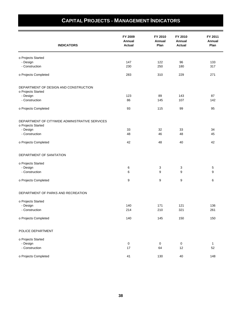| <b>INDICATORS</b>                              | FY 2009<br>Annual<br><b>Actual</b> | FY 2010<br>Annual<br>Plan | FY 2010<br>Annual<br><b>Actual</b> | FY 2011<br>Annual<br>Plan |
|------------------------------------------------|------------------------------------|---------------------------|------------------------------------|---------------------------|
|                                                |                                    |                           |                                    |                           |
| o Projects Started                             |                                    |                           |                                    |                           |
| - Design<br>- Construction                     | 147<br>230                         | 122<br>250                | 96<br>180                          | 133<br>317                |
|                                                |                                    |                           |                                    |                           |
| o Projects Completed                           | 283                                | 310                       | 229                                | 271                       |
| DEPARTMENT OF DESIGN AND CONSTRUCTION          |                                    |                           |                                    |                           |
| o Projects Started                             |                                    |                           |                                    |                           |
| - Design                                       | 123                                | 89                        | 143                                | 87                        |
| - Construction                                 | 86                                 | 145                       | 107                                | 142                       |
| o Projects Completed                           | 93                                 | 115                       | 99                                 | 95                        |
| DEPARTMENT OF CITYWIDE ADMINISTRATIVE SERVICES |                                    |                           |                                    |                           |
| o Projects Started                             |                                    |                           |                                    |                           |
| - Design                                       | 33                                 | 32                        | 33                                 | 34                        |
| - Construction                                 | 48                                 | 46                        | 48                                 | 45                        |
| o Projects Completed                           | 42                                 | 48                        | 40                                 | 42                        |
| DEPARTMENT OF SANITATION                       |                                    |                           |                                    |                           |
| o Projects Started                             |                                    |                           |                                    |                           |
|                                                |                                    |                           |                                    |                           |
| - Design<br>- Construction                     | 6<br>6                             | 3<br>9                    | 3<br>9                             | 5<br>9                    |
|                                                |                                    |                           |                                    |                           |
| o Projects Completed                           | 9                                  | 9                         | 9                                  | 6                         |
| DEPARTMENT OF PARKS AND RECREATION             |                                    |                           |                                    |                           |
| o Projects Started                             |                                    |                           |                                    |                           |
| - Design                                       | 140                                | 171                       | 121                                | 136                       |
| - Construction                                 | 214                                | 210                       | 321                                | 261                       |
| o Projects Completed                           | 140                                | 145                       | 150                                | 150                       |
| POLICE DEPARTMENT                              |                                    |                           |                                    |                           |
| o Projects Started                             |                                    |                           |                                    |                           |
| - Design                                       | $\pmb{0}$                          | $\mathsf{O}\xspace$       | $\pmb{0}$                          | $\mathbf{1}$              |
| - Construction                                 | 17                                 | 64                        | 12                                 | 52                        |
|                                                |                                    |                           |                                    |                           |
| o Projects Completed                           | 41                                 | 130                       | 40                                 | 148                       |

## **CAPITAL PROJECTS - MANAGEMENT INDICATORS**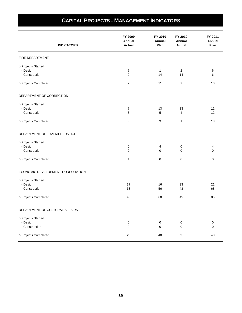| <b>INDICATORS</b>                                | FY 2009<br>Annual<br>Actual        | FY 2010<br><b>Annual</b><br>Plan | FY 2010<br>Annual<br>Actual     | FY 2011<br>Annual<br>Plan |
|--------------------------------------------------|------------------------------------|----------------------------------|---------------------------------|---------------------------|
| FIRE DEPARTMENT                                  |                                    |                                  |                                 |                           |
| o Projects Started<br>- Design<br>- Construction | $\boldsymbol{7}$<br>$\overline{c}$ | $\mathbf{1}$<br>14               | $\overline{2}$<br>14            | 6<br>6                    |
| o Projects Completed                             | $\overline{\mathbf{c}}$            | 11                               | $\boldsymbol{7}$                | 10                        |
| DEPARTMENT OF CORRECTION                         |                                    |                                  |                                 |                           |
| o Projects Started<br>- Design<br>- Construction | $\boldsymbol{7}$<br>8              | 13<br>5                          | 13<br>4                         | 11<br>12                  |
| o Projects Completed                             | 3                                  | 9                                | 1                               | 13                        |
| DEPARTMENT OF JUVENILE JUSTICE                   |                                    |                                  |                                 |                           |
| o Projects Started<br>- Design<br>- Construction | 0<br>0                             | 4<br>$\mathbf 0$                 | $\boldsymbol{0}$<br>$\mathbf 0$ | 4<br>$\mathbf 0$          |
| o Projects Completed                             | $\mathbf{1}$                       | 0                                | $\mathbf 0$                     | 0                         |
| ECONOMIC DEVELOPMENT CORPORATION                 |                                    |                                  |                                 |                           |
| o Projects Started<br>- Design<br>- Construction | 37<br>38                           | 16<br>56                         | 33<br>48                        | 21<br>68                  |
| o Projects Completed                             | 40                                 | 68                               | 45                              | 85                        |
| DEPARTMENT OF CULTURAL AFFAIRS                   |                                    |                                  |                                 |                           |
| o Projects Started<br>- Design<br>- Construction | 0<br>$\pmb{0}$                     | $\pmb{0}$<br>$\pmb{0}$           | $\boldsymbol{0}$<br>$\pmb{0}$   | $\boldsymbol{0}$<br>0     |
| o Projects Completed                             | 25                                 | 48                               | $\boldsymbol{9}$                | 48                        |

## **CAPITAL PROJECTS - MANAGEMENT INDICATORS**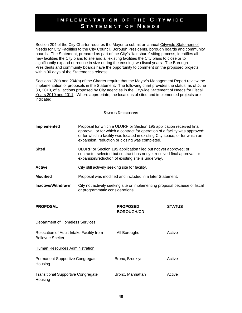#### **I MPLEMENTATION OF THE C ITYWIDE S TATEMENT OF N EEDS**

Section 204 of the City Charter requires the Mayor to submit an annual Citywide Statement of Needs for City Facilities to the City Council, Borough Presidents, borough boards and community boards. The Statement, prepared as part of the City's "fair share" siting process, identifies all new facilities the City plans to site and all existing facilities the City plans to close or to significantly expand or reduce in size during the ensuing two fiscal years. The Borough Presidents and community boards have the opportunity to comment on the proposed projects within 90 days of the Statement's release.

Sections 12(c) and 204(h) of the Charter require that the Mayor's Management Report review the implementation of proposals in the Statement. The following chart provides the status, as of June 30, 2010, of all actions proposed by City agencies in the Citywide Statement of Needs for Fiscal Years 2010 and 2011. Where appropriate, the locations of sited and implemented projects are indicated.

#### **STATUS DEFINITIONS**

| Implemented | Proposal for which a ULURP or Section 195 application received final<br>approval; or for which a contract for operation of a facility was approved;<br>or for which a facility was located in existing City space; or for which an<br>expansion, reduction or closing was completed. |
|-------------|--------------------------------------------------------------------------------------------------------------------------------------------------------------------------------------------------------------------------------------------------------------------------------------|
|             |                                                                                                                                                                                                                                                                                      |

- **Sited** ULURP or Section 195 application filed but not yet approved; or contractor selected but contract has not yet received final approval; or expansion/reduction of existing site is underway.
- Active **City still actively seeking site for facility.**

**Modified** Proposal was modified and included in a later Statement.

**Inactive/Withdrawn** City not actively seeking site or implementing proposal because of fiscal or programmatic considerations.

| <b>PROPOSAL</b>                                                     | <b>PROPOSED</b><br><b>BOROUGH/CD</b> | <b>STATUS</b> |
|---------------------------------------------------------------------|--------------------------------------|---------------|
| Department of Homeless Services                                     |                                      |               |
| Relocation of Adult Intake Facility from<br><b>Bellevue Shelter</b> | All Boroughs                         | Active        |
| Human Resources Administration                                      |                                      |               |
| <b>Permanent Supportive Congregate</b><br>Housing                   | Bronx, Brooklyn                      | Active        |
| Transitional Supportive Congregate<br>Housing                       | Bronx, Manhattan                     | Active        |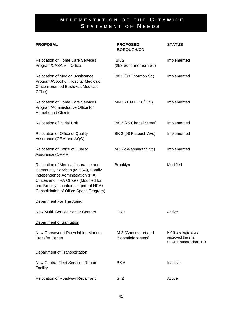## **I MPLEMENTATION OF THE C ITYWIDE S TATEMENT OF N EEDS**

| <b>PROPOSAL</b>                                                                                                                                                                                                                              | <b>PROPOSED</b><br><b>BOROUGH/CD</b>       | <b>STATUS</b>                                                      |
|----------------------------------------------------------------------------------------------------------------------------------------------------------------------------------------------------------------------------------------------|--------------------------------------------|--------------------------------------------------------------------|
| <b>Relocation of Home Care Services</b><br>Program/CASA VIII Office                                                                                                                                                                          | BK <sub>2</sub><br>(253 Schermerhorn St.)  | Implemented                                                        |
| <b>Relocation of Medical Assistance</b><br>Program/Woodhull Hospital-Medicaid<br>Office (renamed Bushwick Medicaid<br>Office)                                                                                                                | BK 1 (30 Thornton St.)                     | Implemented                                                        |
| <b>Relocation of Home Care Services</b><br>Program/Administrative Office for<br><b>Homebound Clients</b>                                                                                                                                     | MN 5 (109 E. 16 <sup>th</sup> St.)         | Implemented                                                        |
| <b>Relocation of Burial Unit</b>                                                                                                                                                                                                             | BK 2 (25 Chapel Street)                    | Implemented                                                        |
| Relocation of Office of Quality<br>Assurance (OEM and AQC)                                                                                                                                                                                   | BK 2 (98 Flatbush Ave)                     | Implemented                                                        |
| Relocation of Office of Quality<br>Assurance (OPMA)                                                                                                                                                                                          | M 1 (2 Washington St.)                     | Implemented                                                        |
| Relocation of Medical Insurance and<br>Community Services (MICSA), Family<br>Independence Administration (FIA)<br>Offices and HRA Offices (Modified for<br>one Brooklyn location, as part of HRA's<br>Consolidation of Office Space Program) | <b>Brooklyn</b>                            | Modified                                                           |
| Department For The Aging                                                                                                                                                                                                                     |                                            |                                                                    |
| <b>New Multi- Service Senior Centers</b>                                                                                                                                                                                                     | <b>TBD</b>                                 | Active                                                             |
| Department of Sanitation                                                                                                                                                                                                                     |                                            |                                                                    |
| New Gansevoort Recyclables Marine<br><b>Transfer Center</b>                                                                                                                                                                                  | M 2 (Gansevoort and<br>Bloomfield streets) | NY State legislature<br>approved the site;<br>ULURP submission TBD |
| Department of Transportation                                                                                                                                                                                                                 |                                            |                                                                    |
| New Central Fleet Services Repair<br>Facility                                                                                                                                                                                                | BK <sub>6</sub>                            | Inactive                                                           |
| Relocation of Roadway Repair and                                                                                                                                                                                                             | SI <sub>2</sub>                            | Active                                                             |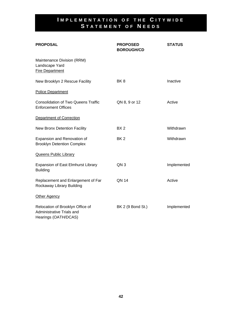## **I MPLEMENTATION OF THE C ITYWIDE S TATEMENT OF N EEDS**

| <b>PROPOSAL</b>                                                                       | <b>PROPOSED</b><br><b>BOROUGH/CD</b> | <b>STATUS</b> |
|---------------------------------------------------------------------------------------|--------------------------------------|---------------|
| Maintenance Division (RRM)<br>Landscape Yard<br><b>Fire Department</b>                |                                      |               |
| New Brooklyn 2 Rescue Facility                                                        | BK <sub>8</sub>                      | Inactive      |
| <b>Police Department</b>                                                              |                                      |               |
| <b>Consolidation of Two Queens Traffic</b><br><b>Enforcement Offices</b>              | QN 8, 9 or 12                        | Active        |
| Department of Correction                                                              |                                      |               |
| New Bronx Detention Facility                                                          | BX <sub>2</sub>                      | Withdrawn     |
| Expansion and Renovation of<br><b>Brooklyn Detention Complex</b>                      | BK <sub>2</sub>                      | Withdrawn     |
| <b>Queens Public Library</b>                                                          |                                      |               |
| Expansion of East Elmhurst Library<br><b>Building</b>                                 | QN <sub>3</sub>                      | Implemented   |
| Replacement and Enlargement of Far<br>Rockaway Library Building                       | <b>QN 14</b>                         | Active        |
| Other Agency                                                                          |                                      |               |
| Relocation of Brooklyn Office of<br>Administrative Trials and<br>Hearings (OATH/DCAS) | BK 2 (9 Bond St.)                    | Implemented   |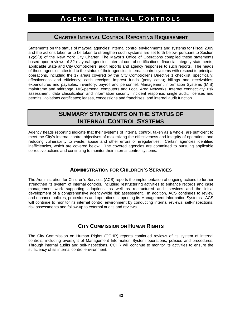### **CHARTER INTERNAL CONTROL REPORTING REQUIREMENT**

Statements on the status of mayoral agencies' internal control environments and systems for Fiscal 2009 and the actions taken or to be taken to strengthen such systems are set forth below, pursuant to Section 12(c)(3) of the New York City Charter. The Mayor's Office of Operations compiled these statements based upon reviews of 32 mayoral agencies' internal control certifications, financial integrity statements, applicable State and City Comptrollers' audit reports and agency responses to such reports. The heads of those agencies attested to the status of their agencies' internal control systems with respect to principal operations, including the 17 areas covered by the City Comptroller's Directive 1 checklist, specifically: effectiveness and efficiency; cash receipts; imprest funds (petty cash); billings and receivables; expenditures and payables; inventory; payroll and personnel; Management Information Systems (MIS) mainframe and midrange; MIS-personal computers and Local Area Networks; Internet connectivity; risk assessment, data classification and information security; incident response; single audit; licenses and permits; violations certificates; leases, concessions and franchises; and internal audit function.

## **SUMMARY STATEMENTS ON THE STATUS OF INTERNAL CONTROL SYSTEMS**

Agency heads reporting indicate that their systems of internal control, taken as a whole, are sufficient to meet the City's internal control objectives of maximizing the effectiveness and integrity of operations and reducing vulnerability to waste, abuse and other errors or irregularities. Certain agencies identified inefficiencies, which are covered below. The covered agencies are committed to pursuing applicable corrective actions and continuing to monitor their internal control systems.

#### **ADMINISTRATION FOR CHILDREN'S SERVICES**

The Administration for Children's Services (ACS) reports the implementation of ongoing actions to further strengthen its system of internal controls, including restructuring activities to enhance records and case management work supporting adoptions, as well as restructured audit services and the initial development of a comprehensive agency-wide risk assessment. In addition, ACS continues to review and enhance policies, procedures and operations supporting its Management Information Systems. ACS will continue to monitor its internal control environment by conducting internal reviews, self-inspections, risk assessments and follow-up to external audits and reviews.

#### **CITY COMMISSION ON HUMAN RIGHTS**

The City Commission on Human Rights (CCHR) reports continued reviews of its system of internal controls, including oversight of Management Information System operations, policies and procedures. Through internal audits and self-inspections, CCHR will continue to monitor its activities to ensure the sufficiency of its internal control environment.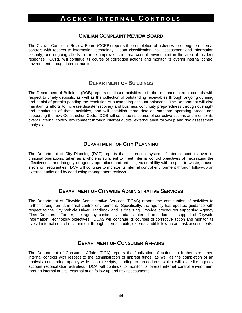#### **CIVILIAN COMPLAINT REVIEW BOARD**

The Civilian Complaint Review Board (CCRB) reports the completion of activities to strengthen internal controls with respect to information technology – data classification, risk assessment and information security, and ongoing efforts to further improve its internal control environment in the area of incident response. CCRB will continue its course of correction actions and monitor its overall internal control environment through internal audits.

#### **DEPARTMENT OF BUILDINGS**

The Department of Buildings (DOB) reports continued activities to further enhance internal controls with respect to timely deposits, as well as the collection of outstanding receivables through ongoing dunning and denial of permits pending the resolution of outstanding account balances. The Department will also maintain its efforts to increase disaster recovery and business continuity preparedness through oversight and monitoring of these activities, and will establish more detailed standard operating procedures supporting the new Construction Code. DOB will continue its course of corrective actions and monitor its overall internal control environment through internal audits, external audit follow-up and risk assessment analysis.

#### **DEPARTMENT OF CITY PLANNING**

The Department of City Planning (DCP) reports that its present system of internal controls over its principal operations, taken as a whole is sufficient to meet internal control objectives of maximizing the effectiveness and integrity of agency operations and reducing vulnerability with respect to waste, abuse, errors or irregularities. DCP will continue to monitor its internal control environment through follow-up on external audits and by conducting management reviews.

#### **DEPARTMENT OF CITYWIDE ADMINISTRATIVE SERVICES**

The Department of Citywide Administrative Services (DCAS) reports the continuation of activities to further strengthen its internal control environment. Specifically, the agency has updated guidance with respect to the City Vehicle Driver Handbook and is finalizing Citywide procedures supporting Agency Fleet Directors. Further, the agency continually updates internal procedures in support of Citywide Information Technology objectives. DCAS will continue its courses of corrective action and monitor its overall internal control environment through internal audits, external audit follow-up and risk assessments.

#### **DEPARTMENT OF CONSUMER AFFAIRS**

The Department of Consumer Affairs (DCA) reports the finalization of actions to further strengthen internal controls with respect to the administration of imprest funds, as well as the completion of an analysis concerning agency-wide cash receipts, leading to procedures which will expedite agency account reconciliation activities. DCA will continue to monitor its overall internal control environment through internal audits, external audit follow-up and risk assessments.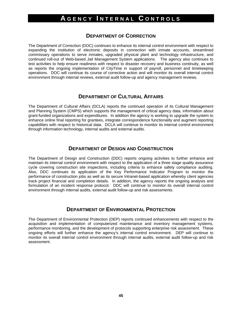#### **DEPARTMENT OF CORRECTION**

The Department of Correction (DOC) continues to enhance its internal control environment with respect to expanding the institution of electronic deposits in connection with inmate accounts, streamlined commissary operations to serve inmates, upgraded physical plant and technology infrastructure, and continued roll-out of Web-based Jail Management System applications. The agency also continues to test activities to help ensure readiness with respect to disaster recovery and business continuity, as well as reports the ongoing implementation of CityTime in support of payroll, personnel and timekeeping operations. DOC will continue its course of corrective action and will monitor its overall internal control environment through internal reviews, external audit follow-up and agency management reviews.

#### **DEPARTMENT OF CULTURAL AFFAIRS**

The Department of Cultural Affairs (DCLA) reports the continued operation of its Cultural Management and Planning System (CMPS) which supports the management of critical agency data, information about grant-funded organizations and expenditures. In addition the agency is working to upgrade the system to enhance online final reporting for grantees, integrate correspondence functionality and augment reporting capabilities with respect to historical data. DCLA will continue to monitor its internal control environment through information technology, internal audits and external audits.

#### **DEPARTMENT OF DESIGN AND CONSTRUCTION**

The Department of Design and Construction (DDC) reports ongoing activities to further enhance and maintain its internal control environment with respect to the application of a three stage quality assurance cycle covering construction site inspections, including criteria to enhance safety compliance auditing. Also, DDC continues its application of the Key Performance Indicator Program to monitor the performance of construction jobs as well as its secure Intranet-based application whereby client agencies track project financial and completion details. In addition, the agency reports the ongoing analysis and formulation of an incident response protocol. DDC will continue to monitor its overall internal control environment through internal audits, external audit follow-up and risk assessments.

#### **DEPARTMENT OF ENVIRONMENTAL PROTECTION**

The Department of Environmental Protection (DEP) reports continued enhancements with respect to the acquisition and implementation of computerized maintenance and inventory management systems, performance monitoring, and the development of protocols supporting enterprise risk assessment. These ongoing efforts will further enhance the agency's internal control environment. DEP will continue to monitor its overall internal control environment through internal audits, external audit follow-up and risk assessment.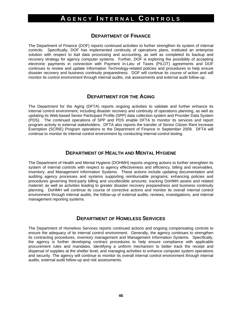#### **DEPARTMENT OF FINANCE**

The Department of Finance (DOF) reports continued activities to further strengthen its system of internal controls. Specifically, DOF has implemented continuity of operations plans, instituted an enterprise solution with respect to bail data processing and accounting, as well as completed its backup and recovery strategy for agency computer systems. Further, DOF is exploring the possibility of accepting electronic payments in connection with Payment In-Lieu of Taxes (PILOT) agreements and DOF continues to review and update Information Technology-related policies and procedures to help ensure disaster recovery and business continuity preparedness. DOF will continue its course of action and will monitor its control environment through internal audits, risk assessments and external audit follow-up.

#### **DEPARTMENT FOR THE AGING**

The Department for the Aging (DFTA) reports ongoing activities to validate and further enhance its internal control environment, including disaster recovery and continuity of operations planning, as well as updating its Web-based Senior Participant Profile (SPP) data collection system and Provider Data System (PDS). The continued operations of SPP and PDS enable DFTA to monitor its services and report program activity to external stakeholders. DFTA also reports the transfer of Senior Citizen Rent Increase Exemption (SCRIE) Program operations to the Department of Finance in September 2009. DFTA will continue to monitor its internal control environment by conducting internal control testing.

#### **DEPARTMENT OF HEALTH AND MENTAL HYGIENE**

The Department of Health and Mental Hygiene (DOHMH) reports ongoing actions to further strenghten its system of internal controls with respect to agency effectiveness and efficiency, billing and receivables, inventory, and Management Information Systems. These actions include updating documentation and auditing agency processes and systems supporting reimbursable programs; enhancing policies and procedures governing third-party billing and uncollectible amounts; tracking DoHMH assets and related materiel; as well as activities leading to greater disaster recovery preparedness and business continuity planning. DoHMH will continue its course of corrective actions and monitor its overall internal control environment through internal audits, the follow-up of external audits, reviews, investigations, and internal management reporting systems.

#### **DEPARTMENT OF HOMELESS SERVICES**

The Department of Homeless Services reports continued actions and ongoing compensating controls to ensure the adequacy of its internal control environment. Generally, the agency continues to strengthen its contracting procedures, inventory management and Management Information Systems. Specifically, the agency is further developing contract procedures to help ensure compliance with applicable procurement rules and mandates, identifying a uniform mechanism to better track the receipt and dispersal of supplies at the shelter level, and managing activities to enhance computer system operations and security. The agency will continue to monitor its overall internal control environment through internal audits, external audit follow-up and risk assessments.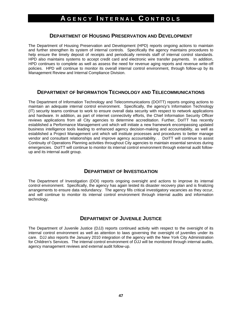#### **DEPARTMENT OF HOUSING PRESERVATION AND DEVELOPMENT**

The Department of Housing Preservation and Development (HPD) reports ongoing actions to maintain and further strengthen its system of internal controls. Specifically the agency maintains procedures to help ensure the timely deposit of receipts and periodically reminds staff of internal control standards. HPD also maintains systems to accept credit card and electronic wire transfer payments. In addition, HPD continues to complete as well as assess the need for revenue aging reports and revenue write-off policies. HPD will continue to monitor its overall internal control environment, through follow-up by its Management Review and Internal Compliance Division.

#### **DEPARTMENT OF INFORMATION TECHNOLOGY AND TELECOMMUNICATIONS**

The Department of Information Technology and Telecommunications (DOITT) reports ongoing actions to maintain an adequate internal control environment. Specifically, the agency's Information Technology (IT) security teams continue to work to ensure overall data security with respect to network applications and hardware. In addition, as part of internet connectivity efforts, the Chief Information Security Officer reviews applications from all City agencies to determine accreditation. Further, DoITT has recently established a Performance Management unit which will initiate a new framework encompassing updated business intelligence tools leading to enhanced agency decision-making and accountability, as well as established a Project Management unit which will institute processes and procedures to better manage vendor and consultant relationships and improve agency accountability. . DoITT will continue to assist Continuity of Operations Planning activities throughout City agencies to maintain essential services during emergencies. DoITT will continue to monitor its internal control environment through external audit followup and its internal audit group.

#### **DEPARTMENT OF INVESTIGATION**

The Department of Investigation (DOI) reports ongoing oversight and actions to improve its internal control environment. Specifically, the agency has again tested its disaster recovery plan and is finalizing arrangements to ensure data redundancy. The agency fills critical investigatory vacancies as they occur, and will continue to monitor its internal control environment through internal audits and information technology.

#### **DEPARTMENT OF JUVENILE JUSTICE**

The Department of Juvenile Justice (DJJ) reports continued activity with respect to the oversight of its internal control environment as well as attention to laws governing the oversight of juveniles under its care. DJJ also reports the January 2010 integration of the agency with the New York City Administration for Children's Services. The internal control environment of DJJ will be monitored through internal audits, agency management reviews and external audit follow-up.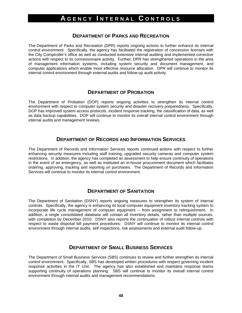#### **DEPARTMENT OF PARKS AND RECREATION**

The Department of Parks and Recreation (DPR) reports ongoing actions to further enhance its internal control environment. Specifically, the agency has facilitated the registration of concession licenses with the City Comptroller's office as well as conducted extensive internal auditing and implemented corrective actions with respect to its concessionaire activity. Further, DPR has strengthened operations in the area of management information systems, including system security and document management, and computer applications which enable more effective resource allocation. DPR will continue to monitor its internal control environment through external audits and follow-up audit activity.

#### **DEPARTMENT OF PROBATION**

The Department of Probation (DOP) reports ongoing activities to strengthen its internal control environment with respect to computer system security and disaster recovery preparedness. Specifically, DOP has improved system access protocols, incident response tracking, the classification of data, as well as data backup capabilities. DOP will continue to monitor its overall internal control environment through internal audits and management reviews.

#### **DEPARTMENT OF RECORDS AND INFORMATION SERVICES**

The Department of Records and Information Services reports continued actions with respect to further enhancing security measures including staff training, upgraded security cameras and computer system restrictions. In addition, the agency has completed an assessment to help ensure continuity of operations in the event of an emergency, as well as instituted an in-house procurement document which facilitates ordering, approving, tracking and reporting on purchases. The Department of Records and Information Services will continue to monitor its internal control environment.

#### **DEPARTMENT OF SANITATION**

The Department of Sanitation (DSNY) reports ongoing measures to strengthen its system of internal controls. Specifically, the agency is enhancing its local computer equipment inventory tracking system to incorporate life cycle management of computer equipment -- from assignment to relinquishment. In addition, a single consolidated database will contain all inventory details, rather than multiple sources, with completion by December 2010. DSNY also reports the continuation of robust internal controls with respect to waste disposal bill payment procedures. DSNY will continue to monitor its internal control environment through internal audits, self inspections, risk assessments and external audit follow-up.

#### **DEPARTMENT OF SMALL BUSINESS SERVICES**

The Department of Small Business Services (SBS) continues to review and further strengthen its internal control environment. Specifically, SBS has developed written procedures with respect governing incident response activities in the IT Unit. The agency has also established and maintains response teams supporting continuity of operations planning. SBS will continue to monitor its overall internal control environment through internal audits and management recommendations.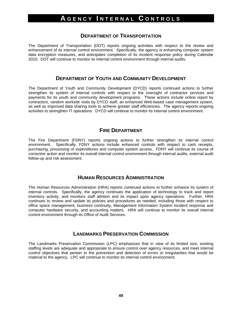#### **DEPARTMENT OF TRANSPORTATION**

The Department of Transportation (DOT) reports ongoing activities with respect to the review and enhancement of its internal control environment. Specifically, the agency is enhancing computer system data encryption measures, and anticipates completion of its incident response policy during Calendar 2010. DOT will continue to monitor its internal control environment through internal audits.

#### **DEPARTMENT OF YOUTH AND COMMUNITY DEVELOPMENT**

The Department of Youth and Community Development (DYCD) reports continued actions to further strengthen its system of internal controls with respect to the oversight of contractor services and payments for its youth and community development programs. These actions include online report by contractors, random worksite visits by DYCD staff, an enhanced Web-based case management system, as well as improved data sharing tools to achieve greater staff efficiencies. The agency reports ongoing activities to strengthen IT operations. DYCD will continue to monitor its internal control environment.

#### **FIRE DEPARTMENT**

The Fire Department (FDNY) reports ongoing actions to further strengthen its internal control environment. Specifically, FDNY actions include enhanced controls with respect to cash receipts, purchasing, processing of expenditures and computer system access. FDNY will continue its course of corrective action and monitor its overall internal control environment through internal audits, external audit follow-up and risk assessment.

#### **HUMAN RESOURCES ADMINISTRATION**

The Human Resources Administration (HRA) reports continued actions to further enhance its system of internal controls. Specifically, the agency continues the application of technology to track and report inventory activity, and monitors staff attrition and its impact upon agency operations. Further, HRA continues to review and update its policies and procedures as needed, including those with respect to office space management, business continuity, Management Information System incident response and computer hardware security, and accounting matters. HRA will continue to monitor its overall internal control environment through its Office of Audit Services.

#### **LANDMARKS PRESERVATION COMMISSION**

The Landmarks Preservation Commission (LPC) emphasizes that in view of its limited size, existing staffing levels are adequate and appropriate to ensure control over agency resources, and meet internal control objectives that pertain to the prevention and detection of errors or irregularities that would be material to the agency. LPC will continue to monitor its internal control environment.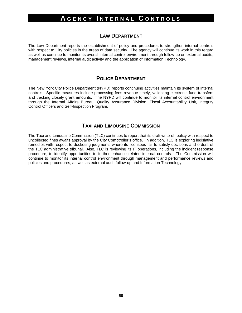#### **LAW DEPARTMENT**

The Law Department reports the establishment of policy and procedures to strengthen internal controls with respect to City policies in the areas of data security. The agency will continue its work in this regard as well as continue to monitor its overall internal control environment through follow-up on external audits, management reviews, internal audit activity and the application of Information Technology.

#### **POLICE DEPARTMENT**

The New York City Police Department (NYPD) reports continuing activities maintain its system of internal controls. Specific measures include processing fees revenue timely, validating electronic fund transfers and tracking closely grant amounts. The NYPD will continue to monitor its internal control environment through the Internal Affairs Bureau, Quality Assurance Division, Fiscal Accountability Unit, Integrity Control Officers and Self-Inspection Program.

#### **TAXI AND LIMOUSINE COMMISSION**

The Taxi and Limousine Commission (TLC) continues to report that its draft write-off policy with respect to uncollected fines awaits approval by the City Comptroller's office. In addition, TLC is exploring legislative remedies with respect to docketing judgments where its licensees fail to satisfy decisions and orders of the TLC administrative tribunal. Also, TLC is reviewing its IT operations, including the incident response procedure, to identify opportunities to further enhance related internal controls. The Commission will continue to monitor its internal control environment through management and performance reviews and policies and procedures, as well as external audit follow-up and Information Technology.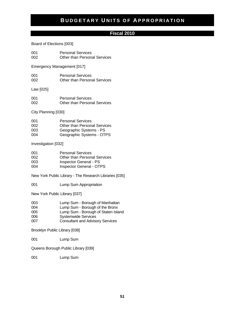#### **Fiscal 2010**

Board of Elections [003]

001 Personal Services<br>002 Other than Person Other than Personal Services

Emergency Management [017]

| 001 | <b>Personal Services</b>            |
|-----|-------------------------------------|
| 002 | <b>Other than Personal Services</b> |

Law [025]

| 001 | <b>Personal Services</b>            |
|-----|-------------------------------------|
| 002 | <b>Other than Personal Services</b> |

City Planning [030]

| 001 | <b>Personal Services</b>            |
|-----|-------------------------------------|
| 002 | <b>Other than Personal Services</b> |
| 003 | Geographic Systems - PS             |
| 004 | Geographic Systems - OTPS           |

Investigation [032]

| 001 | <b>Personal Services</b>            |
|-----|-------------------------------------|
| 002 | <b>Other than Personal Services</b> |
| 003 | <b>Inspector General - PS</b>       |
| 004 | <b>Inspector General - OTPS</b>     |

New York Public Library - The Research Libraries [035]

001 Lump Sum Appropriation

New York Public Library [037]

| 003 | Lump Sum - Borough of Manhattan |
|-----|---------------------------------|
|-----|---------------------------------|

- 004 Lump Sum Borough of the Bronx
- 005 Lump Sum Borough of Staten Island<br>006 Systemwide Services
- Systemwide Services
- 007 Consultant and Advisory Services

Brooklyn Public Library [038]

001 Lump Sum

Queens Borough Public Library [039]

001 Lump Sum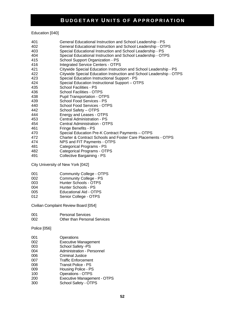Education [040]

- 401 General Educational Instruction and School Leadership PS
- 402 General Educational Instruction and School Leadership OTPS
- 403 Special Educational Instruction and School Leadership PS
- 404 Special Educational Instruction and School Leadership OTPS
- 415 School Support Organization PS
- 416 Integrated Service Centers OTPS
- 421 Citywide Special Education Instruction and School Leadership PS
- 422 Citywide Special Education Instruction and School Leadership OTPS
- 423 Special Education Instructional Support PS
- 424 Special Education Instructional Support OTPS
- 435 School Facilities PS
- 436 School Facilities OTPS
- 438 Pupil Transportation OTPS
- 439 School Food Services PS
- 440 School Food Services OTPS
- 442 School Safety OTPS
- 444 **Energy and Leases OTPS**<br>453 **Central Administration PS**
- 453 Central Administration PS
- Central Administration OTPS
- 461 Fringe Benefits PS
- 470 Special Education Pre-K Contract Payments OTPS
- 472 Charter & Contract Schools and Foster Care Placements OTPS
- 474 NPS and FIT Payments OTPS
- 481 Categorical Programs PS
- 482 Categorical Programs OTPS
- 491 Collective Bargaining PS

City University of New York [042]

- 001 Community College OTPS
- 002 Community College PS
- 003 Hunter Schools OTPS<br>004 Hunter Schools PS
- Hunter Schools PS
- 005 Educational Aid OTPS
- 012 Senior College OTPS

Civilian Complaint Review Board [054]

| 001 | <b>Personal Services</b>     |
|-----|------------------------------|
| 002 | Other than Personal Services |

Police [056]

| 001 | Operations                         |
|-----|------------------------------------|
| 002 | <b>Executive Management</b>        |
| 003 | School Safety -PS                  |
| 004 | Administration - Personnel         |
| 006 | <b>Criminal Justice</b>            |
| 007 | <b>Traffic Enforcement</b>         |
| 008 | Transit Police - PS                |
| 009 | Housing Police - PS                |
| 100 | <b>Operations - OTPS</b>           |
| 200 | <b>Executive Management - OTPS</b> |
| 300 | School Safety - OTPS               |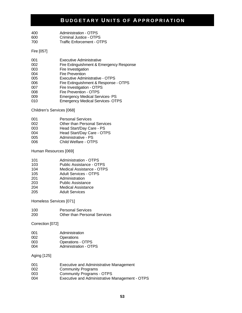| 400. | Administration - OTPS      |
|------|----------------------------|
| 600. | Criminal Justice - OTPS    |
| 700. | Traffic Enforcement - OTPS |

Fire [057]

| 001 | Executive Administrative                 |
|-----|------------------------------------------|
| 002 | Fire Extinguishment & Emergency Response |
| 003 | Fire Investigation                       |
| 004 | <b>Fire Prevention</b>                   |
| 005 | Executive Administrative - OTPS          |
| 006 | Fire Extinguishment & Response - OTPS    |
| 007 | Fire Investigation - OTPS                |
| 008 | Fire Prevention - OTPS                   |
| 009 | <b>Emergency Medical Services-PS</b>     |
| 010 | <b>Emergency Medical Services- OTPS</b>  |

Children's Services [068]

| 001 | <b>Personal Services</b>            |
|-----|-------------------------------------|
| 002 | <b>Other than Personal Services</b> |
| 003 | Head Start/Day Care - PS            |
| 004 | Head Start/Day Care - OTPS          |
| 005 | Administrative - PS                 |
|     |                                     |

006 Child Welfare - OTPS

Human Resources [069]

| 101 | <b>Administration - OTPS</b> |
|-----|------------------------------|
| 103 | Public Assistance - OTPS     |
| 104 | Medical Assistance - OTPS    |
| 105 | <b>Adult Services - OTPS</b> |
| 201 | Administration               |
| 203 | <b>Public Assistance</b>     |
| 204 | <b>Medical Assistance</b>    |
|     |                              |

205 Adult Services

Homeless Services [071]

| 100 | <b>Personal Services</b>            |
|-----|-------------------------------------|
| 200 | <b>Other than Personal Services</b> |

Correction [072]

| 001 | Administration        |
|-----|-----------------------|
| 002 | Operations            |
| 003 | Operations - OTPS     |
| 004 | Administration - OTPS |

Aging [125]

| Executive and Administrative Management        |
|------------------------------------------------|
| <b>Community Programs</b>                      |
| <b>Community Programs - OTPS</b>               |
| Executive and Administrative Management - OTPS |
|                                                |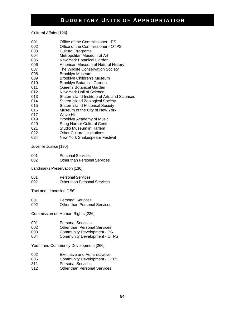Cultural Affairs [126]

| 001 | Office of the Commissioner - PS              |
|-----|----------------------------------------------|
| 002 | Office of the Commissioner - OTPS            |
| 003 | Cultural Programs                            |
| 004 | Metropolitan Museum of Art                   |
| 005 | New York Botanical Garden                    |
| 006 | American Museum of Natural History           |
| 007 | The Wildlife Conservation Society            |
| 008 | Brooklyn Museum                              |
| 009 | Brooklyn Children's Museum                   |
| 010 | <b>Brooklyn Botanical Garden</b>             |
| 011 | Queens Botanical Garden                      |
| 012 | New York Hall of Science                     |
| 013 | Staten Island Institute of Arts and Sciences |
| 014 | Staten Island Zoological Society             |
| 015 | <b>Staten Island Historical Society</b>      |
| 016 | Museum of the City of New York               |
| 017 | Wave Hill                                    |
| 019 | Brooklyn Academy of Music                    |
| 020 | Snug Harbor Cultural Center                  |
| 021 | <b>Studio Museum in Harlem</b>               |
| 022 | Other Cultural Institutions                  |
| 024 | New York Shakespeare Festival                |

Juvenile Justice [130]

| 001 | <b>Personal Services</b>     |
|-----|------------------------------|
| 002 | Other than Personal Services |

Landmarks Preservation [136]

| 001 | <b>Personal Services</b>            |
|-----|-------------------------------------|
| 002 | <b>Other than Personal Services</b> |

Taxi and Limousine [156]

| 001 | <b>Personal Services</b>            |
|-----|-------------------------------------|
| 002 | <b>Other than Personal Services</b> |

Commission on Human Rights [226]

| <b>Personal Services</b><br>001 |  |
|---------------------------------|--|
|---------------------------------|--|

- 002 Other than Personal Services
- 003 Community Development PS<br>004 Community Development OT
- Community Development OTPS

Youth and Community Development [260]

- 002 Executive and Administrative<br>005 Community Development O
- 005 Community Development OTPS<br>311 Personal Services
- Personal Services
- 312 Other than Personal Services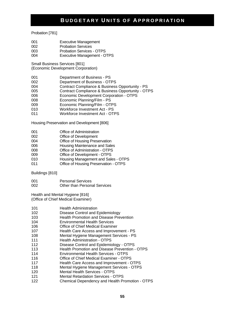#### Probation [781]

- 001 Executive Management
- 002 Probation Services
- 003 Probation Services OTPS
- 004 Executive Management OTPS

Small Business Services [801]

(Economic Development Corporation)

- 001 Department of Business PS
- 002 Department of Business OTPS
- 004 Contract Compliance & Business Opportunity PS
- 005 Contract Compliance & Business Opportunity OTPS<br>006 Economic Development Corporation OTPS
- Economic Development Corporation OTPS
- 008 Economic Planning/Film PS
- 009 Economic Planning/Film OTPS
- 010 Workforce Investment Act PS
- 011 Workforce Investment Act OTPS

Housing Preservation and Development [806]

- 001 Office of Administration
- 002 Office of Development
- 004 Office of Housing Preservation
- 006 Housing Maintenance and Sales
- 008 Office of Administration OTPS
- 009 Office of Development OTPS
- 010 Housing Management and Sales OTPS
- 011 Office of Housing Preservation OTPS

Buildings [810]

001 Personal Services 002 Other than Personal Services

Health and Mental Hygiene [816] (Office of Chief Medical Examiner)

| 101 | <b>Health Administration</b> |
|-----|------------------------------|
|     |                              |

- 102 Disease Control and Epidemiology
- 103 Health Promotion and Disease Prevention
- 104 Environmental Health Services
- 106 Office of Chief Medical Examiner
- 107 Health Care Access and Improvement PS
- 108 Mental Hygiene Management Services PS
- 111 **Health Administration OTPS**
- 112 Disease Control and Epidemiology OTPS
- 113 Health Promotion and Disease Prevention OTPS
- 114 Environmental Health Services OTPS
- 116 Office of Chief Medical Examiner OTPS
- 117 Health Care Access and Improvement OTPS
- 118 Mental Hygiene Management Services OTPS
- 120 Mental Health Services OTPS
- 121 Mental Retardation Services OTPS
- 122 Chemical Dependency and Health Promotion OTPS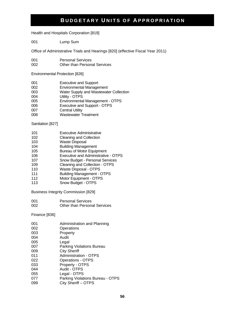Health and Hospitals Corporation [819]

001 Lump Sum

Office of Administrative Trials and Hearings [820] (effective Fiscal Year 2011)

- 001 Personal Services
- 002 Other than Personal Services

Environmental Protection [826]

| 001 | <b>Executive and Support</b>           |
|-----|----------------------------------------|
| 002 | <b>Environmental Management</b>        |
| 003 | Water Supply and Wastewater Collection |
| 004 | Utility - OTPS                         |
| 005 | Environmental Management - OTPS        |
| 006 | Executive and Support - OTPS           |
| 007 | <b>Central Utility</b>                 |
| 008 | <b>Wastewater Treatment</b>            |

Sanitation [827]

- 101 Executive Administrative<br>102 Cleaning and Collection
- **Cleaning and Collection**
- 103 Waste Disposal
- 104 Building Management
- 105 Bureau of Motor Equipment
- 106 Executive and Administrative OTPS
- 107 Snow Budget Personal Services
- 109 Cleaning and Collection OTPS
- 110 Waste Disposal OTPS<br>111 Building Management -
- Building Management OTPS
- 112 Motor Equipment OTPS
- 113 Snow Budget OTPS

Business Integrity Commission [829]

001 Personal Services 002 Other than Personal Services

Finance [836]

| 001 | Administration and Planning      |
|-----|----------------------------------|
| 002 | Operations                       |
| 003 | Property                         |
| 004 | Audit                            |
| 005 | Legal                            |
| 007 | Parking Violations Bureau        |
| 009 | <b>City Sheriff</b>              |
| 011 | <b>Administration - OTPS</b>     |
| 022 | <b>Operations - OTPS</b>         |
| 033 | Property - OTPS                  |
| 044 | Audit - OTPS                     |
| 055 | Legal - OTPS                     |
| 077 | Parking Violations Bureau - OTPS |
| 099 | City Sheriff - OTPS              |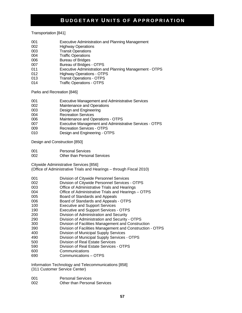Transportation [841]

- 001 Executive Administration and Planning Management
- 002 Highway Operations
- 003 Transit Operations
- 004 Traffic Operations
- 006 Bureau of Bridges
- 007 Bureau of Bridges OTPS
- 011 Executive Administration and Planning Management OTPS
- 012 Highway Operations OTPS
- 013 Transit Operations OTPS
- 014 Traffic Operations OTPS

Parks and Recreation [846]

- 001 Executive Management and Administrative Services
- 002 Maintenance and Operations
- 003 Design and Engineering
- 004 Recreation Services
- 006 Maintenance and Operations OTPS
- 007 Executive Management and Administrative Services OTPS
- 009 Recreation Services OTPS
- 010 Design and Engineering OTPS

Design and Construction [850]

- 001 Personal Services
- 002 Other than Personal Services

Citywide Administrative Services [856]

(Office of Administrative Trials and Hearings – through Fiscal 2010)

- 001 Division of Citywide Personnel Services
- 002 Division of Citywide Personnel Services OTPS<br>003 Office of Administrative Trials and Hearings
- Office of Administrative Trials and Hearings
- 004 Office of Administrative Trials and Hearings OTPS
- 005 Board of Standards and Appeals
- 006 Board of Standards and Appeals OTPS
- 100 Executive and Support Services
- 190 Executive and Support Services OTPS
- 200 Division of Administration and Security
- 290 Division of Administration and Security OTPS
- 300 Division of Facilities Management and Construction
- 390 Division of Facilities Management and Construction OTPS
- 400 Division of Municipal Supply Services
- 490 Division of Municipal Supply Services OTPS
- 500 Division of Real Estate Services
- 590 Division of Real Estate Services OTPS
- 600 Communications
- 690 Communications OTPS

Information Technology and Telecommunications [858] (311 Customer Service Center)

- 001 Personal Services
- 002 Other than Personal Services